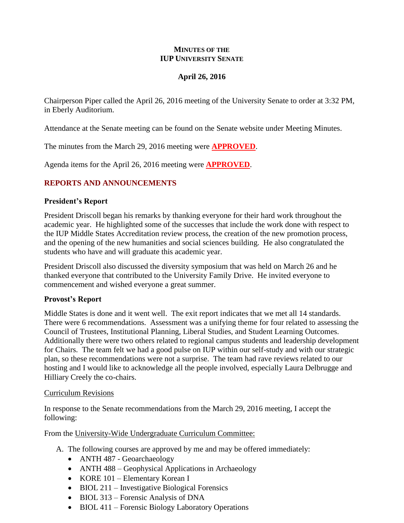#### **MINUTES OF THE IUP UNIVERSITY SENATE**

# **April 26, 2016**

Chairperson Piper called the April 26, 2016 meeting of the University Senate to order at 3:32 PM, in Eberly Auditorium.

Attendance at the Senate meeting can be found on the Senate website under Meeting Minutes.

The minutes from the March 29, 2016 meeting were **APPROVED**.

Agenda items for the April 26, 2016 meeting were **APPROVED**.

# **REPORTS AND ANNOUNCEMENTS**

### **President's Report**

President Driscoll began his remarks by thanking everyone for their hard work throughout the academic year. He highlighted some of the successes that include the work done with respect to the IUP Middle States Accreditation review process, the creation of the new promotion process, and the opening of the new humanities and social sciences building. He also congratulated the students who have and will graduate this academic year.

President Driscoll also discussed the diversity symposium that was held on March 26 and he thanked everyone that contributed to the University Family Drive. He invited everyone to commencement and wished everyone a great summer.

# **Provost's Report**

Middle States is done and it went well. The exit report indicates that we met all 14 standards. There were 6 recommendations. Assessment was a unifying theme for four related to assessing the Council of Trustees, Institutional Planning, Liberal Studies, and Student Learning Outcomes. Additionally there were two others related to regional campus students and leadership development for Chairs. The team felt we had a good pulse on IUP within our self-study and with our strategic plan, so these recommendations were not a surprise. The team had rave reviews related to our hosting and I would like to acknowledge all the people involved, especially Laura Delbrugge and Hilliary Creely the co-chairs.

#### Curriculum Revisions

In response to the Senate recommendations from the March 29, 2016 meeting, I accept the following:

From the University-Wide Undergraduate Curriculum Committee:

- A. The following courses are approved by me and may be offered immediately:
	- ANTH 487 Geoarchaeology
	- ANTH 488 Geophysical Applications in Archaeology
	- KORE 101 Elementary Korean I
	- BIOL 211 Investigative Biological Forensics
	- BIOL 313 Forensic Analysis of DNA
	- BIOL 411 Forensic Biology Laboratory Operations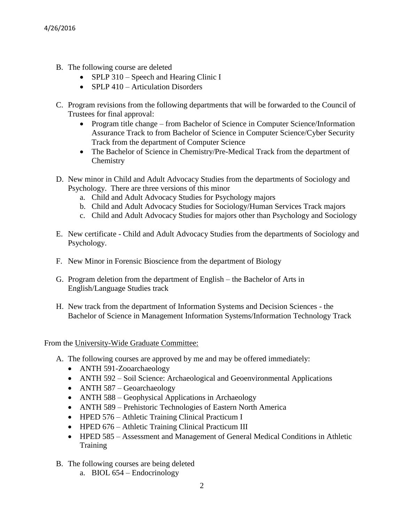- B. The following course are deleted
	- SPLP 310 Speech and Hearing Clinic I
	- SPLP 410 Articulation Disorders
- C. Program revisions from the following departments that will be forwarded to the Council of Trustees for final approval:
	- Program title change from Bachelor of Science in Computer Science/Information Assurance Track to from Bachelor of Science in Computer Science/Cyber Security Track from the department of Computer Science
	- The Bachelor of Science in Chemistry/Pre-Medical Track from the department of **Chemistry**
- D. New minor in Child and Adult Advocacy Studies from the departments of Sociology and Psychology. There are three versions of this minor
	- a. Child and Adult Advocacy Studies for Psychology majors
	- b. Child and Adult Advocacy Studies for Sociology/Human Services Track majors
	- c. Child and Adult Advocacy Studies for majors other than Psychology and Sociology
- E. New certificate Child and Adult Advocacy Studies from the departments of Sociology and Psychology.
- F. New Minor in Forensic Bioscience from the department of Biology
- G. Program deletion from the department of English the Bachelor of Arts in English/Language Studies track
- H. New track from the department of Information Systems and Decision Sciences the Bachelor of Science in Management Information Systems/Information Technology Track

From the University-Wide Graduate Committee:

- A. The following courses are approved by me and may be offered immediately:
	- ANTH 591-Zooarchaeology
	- ANTH 592 Soil Science: Archaeological and Geoenvironmental Applications
	- ANTH 587 Geoarchaeology
	- ANTH 588 Geophysical Applications in Archaeology
	- ANTH 589 Prehistoric Technologies of Eastern North America
	- HPED 576 Athletic Training Clinical Practicum I
	- HPED 676 Athletic Training Clinical Practicum III
	- HPED 585 Assessment and Management of General Medical Conditions in Athletic Training
- B. The following courses are being deleted
	- a. BIOL 654 Endocrinology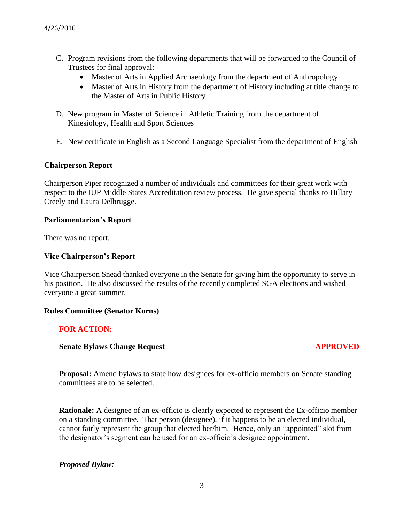- C. Program revisions from the following departments that will be forwarded to the Council of Trustees for final approval:
	- Master of Arts in Applied Archaeology from the department of Anthropology
	- Master of Arts in History from the department of History including at title change to the Master of Arts in Public History
- D. New program in Master of Science in Athletic Training from the department of Kinesiology, Health and Sport Sciences
- E. New certificate in English as a Second Language Specialist from the department of English

# **Chairperson Report**

Chairperson Piper recognized a number of individuals and committees for their great work with respect to the IUP Middle States Accreditation review process. He gave special thanks to Hillary Creely and Laura Delbrugge.

# **Parliamentarian's Report**

There was no report.

# **Vice Chairperson's Report**

Vice Chairperson Snead thanked everyone in the Senate for giving him the opportunity to serve in his position. He also discussed the results of the recently completed SGA elections and wished everyone a great summer.

#### **Rules Committee (Senator Korns)**

# **FOR ACTION:**

# **Senate Bylaws Change Request APPROVED**

**Proposal:** Amend bylaws to state how designees for ex-officio members on Senate standing committees are to be selected.

**Rationale:** A designee of an ex-officio is clearly expected to represent the Ex-officio member on a standing committee. That person (designee), if it happens to be an elected individual, cannot fairly represent the group that elected her/him. Hence, only an "appointed" slot from the designator's segment can be used for an ex-officio's designee appointment.

# *Proposed Bylaw:*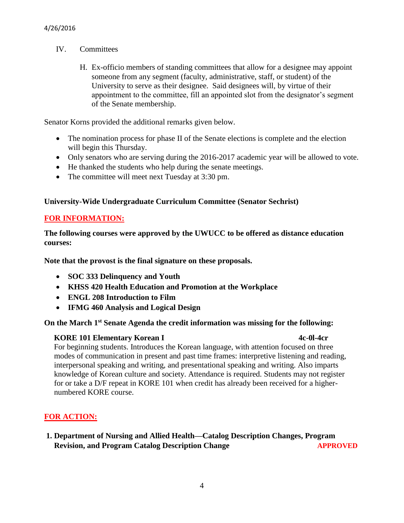- IV. Committees
	- H. Ex-officio members of standing committees that allow for a designee may appoint someone from any segment (faculty, administrative, staff, or student) of the University to serve as their designee. Said designees will, by virtue of their appointment to the committee, fill an appointed slot from the designator's segment of the Senate membership.

Senator Korns provided the additional remarks given below.

- The nomination process for phase II of the Senate elections is complete and the election will begin this Thursday.
- Only senators who are serving during the 2016-2017 academic year will be allowed to vote.
- He thanked the students who help during the senate meetings.
- The committee will meet next Tuesday at 3:30 pm.

# **University-Wide Undergraduate Curriculum Committee (Senator Sechrist)**

# **FOR INFORMATION:**

**The following courses were approved by the UWUCC to be offered as distance education courses:** 

**Note that the provost is the final signature on these proposals.**

- **SOC 333 Delinquency and Youth**
- **KHSS 420 Health Education and Promotion at the Workplace**
- **ENGL 208 Introduction to Film**
- **IFMG 460 Analysis and Logical Design**

# **On the March 1st Senate Agenda the credit information was missing for the following:**

# **KORE 101 Elementary Korean I 4c-0l-4cr**

For beginning students. Introduces the Korean language, with attention focused on three modes of communication in present and past time frames: interpretive listening and reading, interpersonal speaking and writing, and presentational speaking and writing. Also imparts knowledge of Korean culture and society. Attendance is required. Students may not register for or take a D/F repeat in KORE 101 when credit has already been received for a higher numbered KORE course.

# **FOR ACTION:**

**1. Department of Nursing and Allied Health—Catalog Description Changes, Program Revision, and Program Catalog Description Change <b>APPROVED**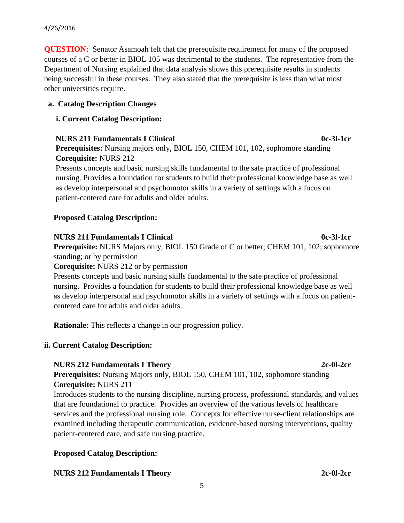**QUESTION:** Senator Asamoah felt that the prerequisite requirement for many of the proposed courses of a C or better in BIOL 105 was detrimental to the students. The representative from the Department of Nursing explained that data analysis shows this prerequisite results in students being successful in these courses. They also stated that the prerequisite is less than what most other universities require.

# **a. Catalog Description Changes**

# **i. Current Catalog Description:**

# **NURS 211 Fundamentals I Clinical 1.1 Compared 1.1 Compared 1.1 Compared 1.1 Compared 1.1 Compared 1.1 Compared 1.1 Compared 1.1 Compared 1.1 Compared 1.1 Compared 1.1 Compared 1.1 Compared 1.1 Compared 1.1 Compared 1.1 Co**

**Prerequisites:** Nursing majors only, BIOL 150, CHEM 101, 102, sophomore standing **Corequisite:** NURS 212

Presents concepts and basic nursing skills fundamental to the safe practice of professional nursing. Provides a foundation for students to build their professional knowledge base as well as develop interpersonal and psychomotor skills in a variety of settings with a focus on patient-centered care for adults and older adults.

# **Proposed Catalog Description:**

#### **NURS 211 Fundamentals I Clinical 0c-3l-1cr Prerequisite:** NURS Majors only, BIOL 150 Grade of C or better; CHEM 101, 102; sophomore

standing; or by permission

**Corequisite:** NURS 212 or by permission

Presents concepts and basic nursing skills fundamental to the safe practice of professional nursing. Provides a foundation for students to build their professional knowledge base as well as develop interpersonal and psychomotor skills in a variety of settings with a focus on patientcentered care for adults and older adults.

**Rationale:** This reflects a change in our progression policy.

# **ii. Current Catalog Description:**

# **NURS 212 Fundamentals I Theory 2c-0l-2cr**

**Prerequisites:** Nursing Majors only, BIOL 150, CHEM 101, 102, sophomore standing **Corequisite:** NURS 211

Introduces students to the nursing discipline, nursing process, professional standards, and values that are foundational to practice. Provides an overview of the various levels of healthcare services and the professional nursing role. Concepts for effective nurse-client relationships are examined including therapeutic communication, evidence-based nursing interventions, quality patient-centered care, and safe nursing practice.

# **Proposed Catalog Description:**

# **NURS 212 Fundamentals I Theory 2c-0l-2cr**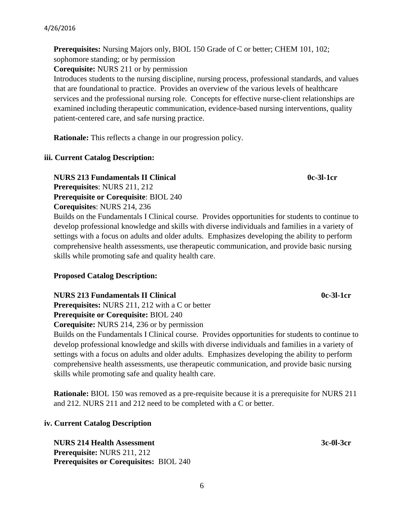**Prerequisites:** Nursing Majors only, BIOL 150 Grade of C or better; CHEM 101, 102; sophomore standing; or by permission

**Corequisite:** NURS 211 or by permission

Introduces students to the nursing discipline, nursing process, professional standards, and values that are foundational to practice. Provides an overview of the various levels of healthcare services and the professional nursing role. Concepts for effective nurse-client relationships are examined including therapeutic communication, evidence-based nursing interventions, quality patient-centered care, and safe nursing practice.

**Rationale:** This reflects a change in our progression policy.

### **iii. Current Catalog Description:**

**NURS 213 Fundamentals II Clinical 120 Community 120 Community 13 Community 13 Community 13 Community 13 Community 13 Community 13 Community 13 Community 13 Community 13 Community 13 Community 13 Community 13 Community 13 Prerequisites**: NURS 211, 212 **Prerequisite or Corequisite**: BIOL 240 **Corequisites**: NURS 214, 236

Builds on the Fundamentals I Clinical course. Provides opportunities for students to continue to develop professional knowledge and skills with diverse individuals and families in a variety of settings with a focus on adults and older adults. Emphasizes developing the ability to perform comprehensive health assessments, use therapeutic communication, and provide basic nursing skills while promoting safe and quality health care.

# **Proposed Catalog Description:**

**NURS 213 Fundamentals II Clinical 120 August 2016 12:45 August 213 Fundamentals II Clinical 12:45 August 2016** 

**Prerequisites:** NURS 211, 212 with a C or better **Prerequisite or Corequisite:** BIOL 240

**Corequisite:** NURS 214, 236 or by permission

Builds on the Fundamentals I Clinical course. Provides opportunities for students to continue to develop professional knowledge and skills with diverse individuals and families in a variety of settings with a focus on adults and older adults. Emphasizes developing the ability to perform comprehensive health assessments, use therapeutic communication, and provide basic nursing skills while promoting safe and quality health care.

**Rationale:** BIOL 150 was removed as a pre-requisite because it is a prerequisite for NURS 211 and 212. NURS 211 and 212 need to be completed with a C or better.

6

# **iv. Current Catalog Description**

**NURS 214 Health Assessment** 3c-0l-3cr **Prerequisite:** NURS 211, 212 **Prerequisites or Corequisites:** BIOL 240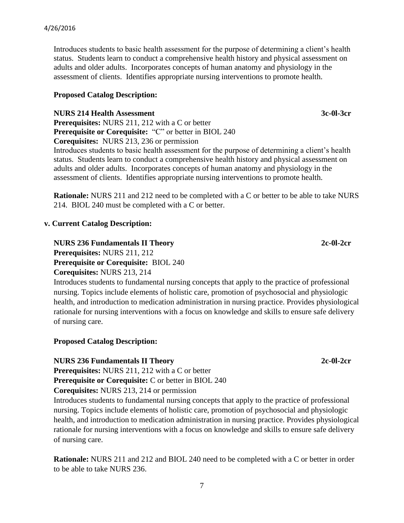Introduces students to basic health assessment for the purpose of determining a client's health status. Students learn to conduct a comprehensive health history and physical assessment on adults and older adults. Incorporates concepts of human anatomy and physiology in the assessment of clients. Identifies appropriate nursing interventions to promote health.

#### **Proposed Catalog Description:**

#### **NURS 214 Health Assessment** 3c-0l-3cr

**Prerequisites:** NURS 211, 212 with a C or better **Prerequisite or Corequisite:** "C" or better in BIOL 240 **Corequisites:** NURS 213, 236 or permission

Introduces students to basic health assessment for the purpose of determining a client's health status. Students learn to conduct a comprehensive health history and physical assessment on adults and older adults. Incorporates concepts of human anatomy and physiology in the assessment of clients. Identifies appropriate nursing interventions to promote health.

**Rationale:** NURS 211 and 212 need to be completed with a C or better to be able to take NURS 214. BIOL 240 must be completed with a C or better.

#### **v. Current Catalog Description:**

**NURS 236 Fundamentals II Theory 2c-0l-2cr Prerequisites:** NURS 211, 212 **Prerequisite or Corequisite:** BIOL 240

**Corequisites:** NURS 213, 214

Introduces students to fundamental nursing concepts that apply to the practice of professional nursing. Topics include elements of holistic care, promotion of psychosocial and physiologic health, and introduction to medication administration in nursing practice. Provides physiological rationale for nursing interventions with a focus on knowledge and skills to ensure safe delivery of nursing care.

#### **Proposed Catalog Description:**

#### **NURS 236 Fundamentals II Theory 2c-0l-2cr**

**Prerequisites:** NURS 211, 212 with a C or better

**Prerequisite or Corequisite: C** or better in BIOL 240

**Corequisites:** NURS 213, 214 or permission

Introduces students to fundamental nursing concepts that apply to the practice of professional nursing. Topics include elements of holistic care, promotion of psychosocial and physiologic health, and introduction to medication administration in nursing practice. Provides physiological rationale for nursing interventions with a focus on knowledge and skills to ensure safe delivery of nursing care.

**Rationale:** NURS 211 and 212 and BIOL 240 need to be completed with a C or better in order to be able to take NURS 236.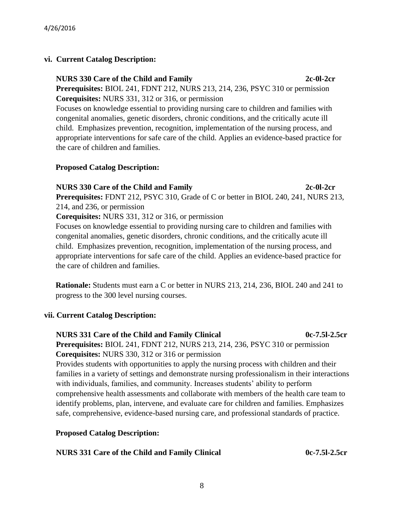# **vi. Current Catalog Description:**

 **NURS 330 Care of the Child and Family 2c-0l-2cr Prerequisites:** BIOL 241, FDNT 212, NURS 213, 214, 236, PSYC 310 or permission **Corequisites:** NURS 331, 312 or 316, or permission

 Focuses on knowledge essential to providing nursing care to children and families with congenital anomalies, genetic disorders, chronic conditions, and the critically acute ill child. Emphasizes prevention, recognition, implementation of the nursing process, and appropriate interventions for safe care of the child. Applies an evidence-based practice for the care of children and families.

#### **Proposed Catalog Description:**

### **NURS 330 Care of the Child and Family 2c-0l-2cr**

 **Prerequisites:** FDNT 212, PSYC 310, Grade of C or better in BIOL 240, 241, NURS 213, 214, and 236, or permission

**Corequisites:** NURS 331, 312 or 316, or permission

Focuses on knowledge essential to providing nursing care to children and families with congenital anomalies, genetic disorders, chronic conditions, and the critically acute ill child. Emphasizes prevention, recognition, implementation of the nursing process, and appropriate interventions for safe care of the child. Applies an evidence-based practice for the care of children and families.

**Rationale:** Students must earn a C or better in NURS 213, 214, 236, BIOL 240 and 241 to progress to the 300 level nursing courses.

# **vii. Current Catalog Description:**

# **NURS 331 Care of the Child and Family Clinical 0c-7.5l-2.5cr**

 **Prerequisites:** BIOL 241, FDNT 212, NURS 213, 214, 236, PSYC 310 or permission **Corequisites:** NURS 330, 312 or 316 or permission

Provides students with opportunities to apply the nursing process with children and their families in a variety of settings and demonstrate nursing professionalism in their interactions with individuals, families, and community. Increases students' ability to perform comprehensive health assessments and collaborate with members of the health care team to identify problems, plan, intervene, and evaluate care for children and families. Emphasizes safe, comprehensive, evidence-based nursing care, and professional standards of practice.

# **Proposed Catalog Description:**

| NURS 331 Care of the Child and Family Clinical | 0c-7.51-2.5cr |
|------------------------------------------------|---------------|
|------------------------------------------------|---------------|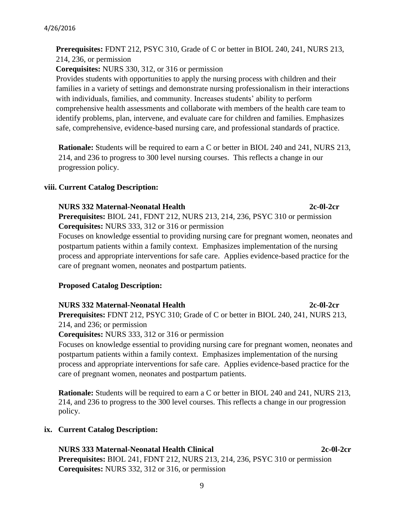#### 9

**Prerequisites:** FDNT 212, PSYC 310, Grade of C or better in BIOL 240, 241, NURS 213,

214, 236, or permission

**Corequisites:** NURS 330, 312, or 316 or permission

 Provides students with opportunities to apply the nursing process with children and their families in a variety of settings and demonstrate nursing professionalism in their interactions with individuals, families, and community. Increases students' ability to perform comprehensive health assessments and collaborate with members of the health care team to identify problems, plan, intervene, and evaluate care for children and families. Emphasizes safe, comprehensive, evidence-based nursing care, and professional standards of practice.

**Rationale:** Students will be required to earn a C or better in BIOL 240 and 241, NURS 213, 214, and 236 to progress to 300 level nursing courses. This reflects a change in our progression policy.

### **viii. Current Catalog Description:**

### **NURS 332 Maternal-Neonatal Health 2c-0l-2cr**

**Prerequisites:** BIOL 241, FDNT 212, NURS 213, 214, 236, PSYC 310 or permission **Corequisites:** NURS 333, 312 or 316 or permission

Focuses on knowledge essential to providing nursing care for pregnant women, neonates and postpartum patients within a family context. Emphasizes implementation of the nursing process and appropriate interventions for safe care. Applies evidence-based practice for the care of pregnant women, neonates and postpartum patients.

# **Proposed Catalog Description:**

#### **NURS 332 Maternal-Neonatal Health 2c-0l-2cr Prerequisites:** FDNT 212, PSYC 310; Grade of C or better in BIOL 240, 241, NURS 213, 214, and 236; or permission

**Corequisites:** NURS 333, 312 or 316 or permission

Focuses on knowledge essential to providing nursing care for pregnant women, neonates and postpartum patients within a family context. Emphasizes implementation of the nursing process and appropriate interventions for safe care. Applies evidence-based practice for the care of pregnant women, neonates and postpartum patients.

**Rationale:** Students will be required to earn a C or better in BIOL 240 and 241, NURS 213, 214, and 236 to progress to the 300 level courses. This reflects a change in our progression policy.

# **ix. Current Catalog Description:**

**NURS 333 Maternal-Neonatal Health Clinical 2c-0l-2cr Prerequisites:** BIOL 241, FDNT 212, NURS 213, 214, 236, PSYC 310 or permission **Corequisites:** NURS 332, 312 or 316, or permission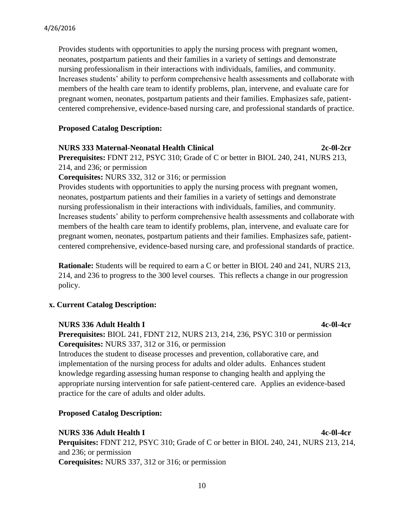Provides students with opportunities to apply the nursing process with pregnant women, neonates, postpartum patients and their families in a variety of settings and demonstrate nursing professionalism in their interactions with individuals, families, and community. Increases students' ability to perform comprehensive health assessments and collaborate with members of the health care team to identify problems, plan, intervene, and evaluate care for pregnant women, neonates, postpartum patients and their families. Emphasizes safe, patientcentered comprehensive, evidence-based nursing care, and professional standards of practice.

#### **Proposed Catalog Description:**

### **NURS 333 Maternal-Neonatal Health Clinical 2c-0l-2cr**

**Prerequisites:** FDNT 212, PSYC 310; Grade of C or better in BIOL 240, 241, NURS 213, 214, and 236; or permission

**Corequisites:** NURS 332, 312 or 316; or permission

Provides students with opportunities to apply the nursing process with pregnant women, neonates, postpartum patients and their families in a variety of settings and demonstrate nursing professionalism in their interactions with individuals, families, and community. Increases students' ability to perform comprehensive health assessments and collaborate with members of the health care team to identify problems, plan, intervene, and evaluate care for pregnant women, neonates, postpartum patients and their families. Emphasizes safe, patientcentered comprehensive, evidence-based nursing care, and professional standards of practice.

**Rationale:** Students will be required to earn a C or better in BIOL 240 and 241, NURS 213, 214, and 236 to progress to the 300 level courses. This reflects a change in our progression policy.

#### **x. Current Catalog Description:**

#### **NURS 336 Adult Health I 4c-0l-4cr**

**Prerequisites:** BIOL 241, FDNT 212, NURS 213, 214, 236, PSYC 310 or permission **Corequisites:** NURS 337, 312 or 316, or permission

Introduces the student to disease processes and prevention, collaborative care, and implementation of the nursing process for adults and older adults. Enhances student knowledge regarding assessing human response to changing health and applying the appropriate nursing intervention for safe patient-centered care. Applies an evidence-based practice for the care of adults and older adults.

#### **Proposed Catalog Description:**

# **NURS 336 Adult Health I 4c-0l-4cr**

**Perquisites:** FDNT 212, PSYC 310; Grade of C or better in BIOL 240, 241, NURS 213, 214, and 236; or permission **Corequisites:** NURS 337, 312 or 316; or permission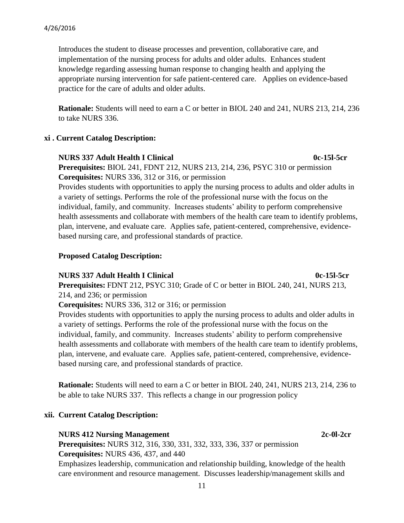Introduces the student to disease processes and prevention, collaborative care, and implementation of the nursing process for adults and older adults. Enhances student knowledge regarding assessing human response to changing health and applying the appropriate nursing intervention for safe patient-centered care. Applies on evidence-based practice for the care of adults and older adults.

**Rationale:** Students will need to earn a C or better in BIOL 240 and 241, NURS 213, 214, 236 to take NURS 336.

### **xi . Current Catalog Description:**

#### **NURS 337 Adult Health I Clinical 0c-15l-5cr**

**Prerequisites:** BIOL 241, FDNT 212, NURS 213, 214, 236, PSYC 310 or permission **Corequisites:** NURS 336, 312 or 316, or permission

Provides students with opportunities to apply the nursing process to adults and older adults in a variety of settings. Performs the role of the professional nurse with the focus on the individual, family, and community. Increases students' ability to perform comprehensive health assessments and collaborate with members of the health care team to identify problems, plan, intervene, and evaluate care. Applies safe, patient-centered, comprehensive, evidencebased nursing care, and professional standards of practice.

# **Proposed Catalog Description:**

# **NURS 337 Adult Health I Clinical 1200 0c-15l-5cr**

**Prerequisites:** FDNT 212, PSYC 310; Grade of C or better in BIOL 240, 241, NURS 213, 214, and 236; or permission

**Corequisites:** NURS 336, 312 or 316; or permission

Provides students with opportunities to apply the nursing process to adults and older adults in a variety of settings. Performs the role of the professional nurse with the focus on the individual, family, and community. Increases students' ability to perform comprehensive health assessments and collaborate with members of the health care team to identify problems, plan, intervene, and evaluate care. Applies safe, patient-centered, comprehensive, evidencebased nursing care, and professional standards of practice.

**Rationale:** Students will need to earn a C or better in BIOL 240, 241, NURS 213, 214, 236 to be able to take NURS 337. This reflects a change in our progression policy

# **xii. Current Catalog Description:**

#### **NURS 412 Nursing Management** 2c-0l-2cr

**Prerequisites:** NURS 312, 316, 330, 331, 332, 333, 336, 337 or permission **Corequisites:** NURS 436, 437, and 440

Emphasizes leadership, communication and relationship building, knowledge of the health care environment and resource management. Discusses leadership/management skills and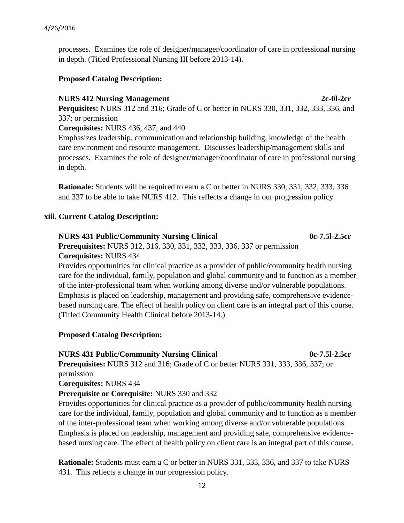#### 4/26/2016

processes. Examines the role of designer/manager/coordinator of care in professional nursing in depth. (Titled Professional Nursing III before 2013-14).

# **Proposed Catalog Description:**

### **NURS 412 Nursing Management** 2c-0l-2cr

**Perquisites:** NURS 312 and 316; Grade of C or better in NURS 330, 331, 332, 333, 336, and 337; or permission

**Corequisites:** NURS 436, 437, and 440

Emphasizes leadership, communication and relationship building, knowledge of the health care environment and resource management. Discusses leadership/management skills and processes. Examines the role of designer/manager/coordinator of care in professional nursing in depth.

**Rationale:** Students will be required to earn a C or better in NURS 330, 331, 332, 333, 336 and 337 to be able to take NURS 412. This reflects a change in our progression policy.

### **xiii. Current Catalog Description:**

### **NURS 431 Public/Community Nursing Clinical 0c-7.5l-2.5cr**

**Prerequisites:** NURS 312, 316, 330, 331, 332, 333, 336, 337 or permission **Corequisites:** NURS 434

Provides opportunities for clinical practice as a provider of public/community health nursing care for the individual, family, population and global community and to function as a member of the inter-professional team when working among diverse and/or vulnerable populations. Emphasis is placed on leadership, management and providing safe, comprehensive evidencebased nursing care. The effect of health policy on client care is an integral part of this course. (Titled Community Health Clinical before 2013-14.)

# **Proposed Catalog Description:**

**NURS 431 Public/Community Nursing Clinical 600-7.5l-2.5cr Prerequisites:** NURS 312 and 316; Grade of C or better NURS 331, 333, 336, 337; or permission **Corequisites:** NURS 434

**Prerequisite or Corequisite:** NURS 330 and 332

Provides opportunities for clinical practice as a provider of public/community health nursing care for the individual, family, population and global community and to function as a member of the inter-professional team when working among diverse and/or vulnerable populations. Emphasis is placed on leadership, management and providing safe, comprehensive evidencebased nursing care. The effect of health policy on client care is an integral part of this course.

**Rationale:** Students must earn a C or better in NURS 331, 333, 336, and 337 to take NURS 431. This reflects a change in our progression policy.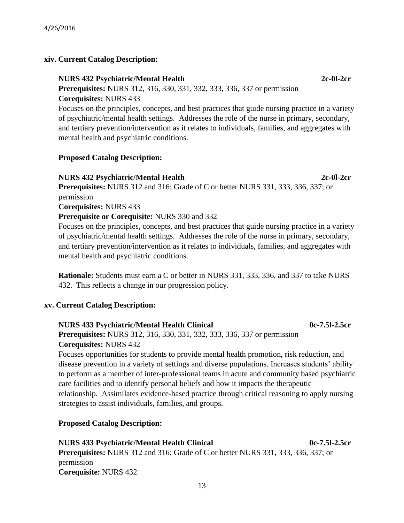# **xiv. Current Catalog Description:**

# **NURS 432 Psychiatric/Mental Health 2c-0l-2cr**

# **Prerequisites:** NURS 312, 316, 330, 331, 332, 333, 336, 337 or permission **Corequisites:** NURS 433

Focuses on the principles, concepts, and best practices that guide nursing practice in a variety of psychiatric/mental health settings. Addresses the role of the nurse in primary, secondary, and tertiary prevention/intervention as it relates to individuals, families, and aggregates with mental health and psychiatric conditions.

# **Proposed Catalog Description:**

# **NURS 432 Psychiatric/Mental Health 2c-0l-2cr**

**Prerequisites:** NURS 312 and 316; Grade of C or better NURS 331, 333, 336, 337; or permission **Corequisites:** NURS 433

# **Prerequisite or Corequisite:** NURS 330 and 332

Focuses on the principles, concepts, and best practices that guide nursing practice in a variety of psychiatric/mental health settings. Addresses the role of the nurse in primary, secondary, and tertiary prevention/intervention as it relates to individuals, families, and aggregates with mental health and psychiatric conditions.

**Rationale:** Students must earn a C or better in NURS 331, 333, 336, and 337 to take NURS 432. This reflects a change in our progression policy.

# **xv. Current Catalog Description:**

# **NURS 433 Psychiatric/Mental Health Clinical 1cannel 1cannel 1cannel 1cannel 1cannel 1cannel 1cannel 1cannel 1cannel 1cannel 1cannel 1cannel 1cannel 1cannel 1cannel 1cannel 1cannel 1cannel 1cannel 1cannel 1cannel 1cannel 1**

**Prerequisites:** NURS 312, 316, 330, 331, 332, 333, 336, 337 or permission **Corequisites:** NURS 432

Focuses opportunities for students to provide mental health promotion, risk reduction, and disease prevention in a variety of settings and diverse populations. Increases students' ability to perform as a member of inter-professional teams in acute and community based psychiatric care facilities and to identify personal beliefs and how it impacts the therapeutic relationship. Assimilates evidence-based practice through critical reasoning to apply nursing strategies to assist individuals, families, and groups.

# **Proposed Catalog Description:**

**NURS 433 Psychiatric/Mental Health Clinical 0c-7.5l-2.5cr Prerequisites:** NURS 312 and 316; Grade of C or better NURS 331, 333, 336, 337; or permission **Corequisite:** NURS 432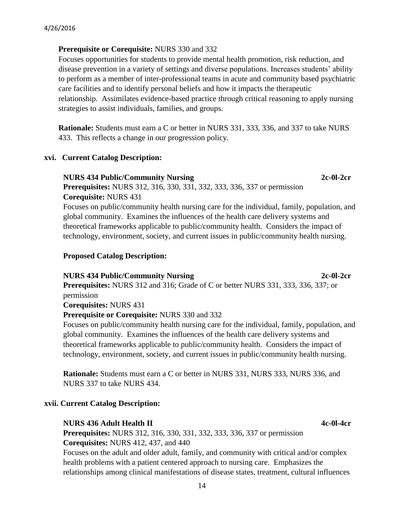### **Prerequisite or Corequisite:** NURS 330 and 332

Focuses opportunities for students to provide mental health promotion, risk reduction, and disease prevention in a variety of settings and diverse populations. Increases students' ability to perform as a member of inter-professional teams in acute and community based psychiatric care facilities and to identify personal beliefs and how it impacts the therapeutic relationship. Assimilates evidence-based practice through critical reasoning to apply nursing strategies to assist individuals, families, and groups.

**Rationale:** Students must earn a C or better in NURS 331, 333, 336, and 337 to take NURS 433. This reflects a change in our progression policy.

#### **xvi. Current Catalog Description:**

#### **NURS 434 Public/Community Nursing 2c-0l-2cr**

**Prerequisites:** NURS 312, 316, 330, 331, 332, 333, 336, 337 or permission **Corequisite:** NURS 431

Focuses on public/community health nursing care for the individual, family, population, and global community. Examines the influences of the health care delivery systems and theoretical frameworks applicable to public/community health. Considers the impact of technology, environment, society, and current issues in public/community health nursing.

#### **Proposed Catalog Description:**

#### **NURS 434 Public/Community Nursing 2c-0l-2cr**

**Prerequisites:** NURS 312 and 316; Grade of C or better NURS 331, 333, 336, 337; or permission

**Corequisites:** NURS 431

#### **Prerequisite or Corequisite:** NURS 330 and 332

Focuses on public/community health nursing care for the individual, family, population, and global community. Examines the influences of the health care delivery systems and theoretical frameworks applicable to public/community health. Considers the impact of technology, environment, society, and current issues in public/community health nursing.

**Rationale:** Students must earn a C or better in NURS 331, NURS 333, NURS 336, and NURS 337 to take NURS 434.

#### **xvii. Current Catalog Description:**

#### **NURS 436 Adult Health II 4c-0l-4cr**

**Prerequisites:** NURS 312, 316, 330, 331, 332, 333, 336, 337 or permission **Corequisites:** NURS 412, 437, and 440

Focuses on the adult and older adult, family, and community with critical and/or complex health problems with a patient centered approach to nursing care. Emphasizes the relationships among clinical manifestations of disease states, treatment, cultural influences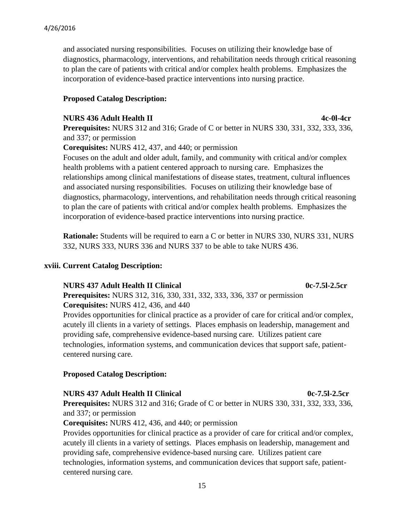and associated nursing responsibilities. Focuses on utilizing their knowledge base of diagnostics, pharmacology, interventions, and rehabilitation needs through critical reasoning to plan the care of patients with critical and/or complex health problems. Emphasizes the incorporation of evidence-based practice interventions into nursing practice.

# **Proposed Catalog Description:**

#### **NURS 436 Adult Health II 4c-0l-4cr**

**Prerequisites:** NURS 312 and 316; Grade of C or better in NURS 330, 331, 332, 333, 336, and 337; or permission

**Corequisites:** NURS 412, 437, and 440; or permission

Focuses on the adult and older adult, family, and community with critical and/or complex health problems with a patient centered approach to nursing care. Emphasizes the relationships among clinical manifestations of disease states, treatment, cultural influences and associated nursing responsibilities. Focuses on utilizing their knowledge base of diagnostics, pharmacology, interventions, and rehabilitation needs through critical reasoning to plan the care of patients with critical and/or complex health problems. Emphasizes the incorporation of evidence-based practice interventions into nursing practice.

**Rationale:** Students will be required to earn a C or better in NURS 330, NURS 331, NURS 332, NURS 333, NURS 336 and NURS 337 to be able to take NURS 436.

# **xviii. Current Catalog Description:**

# **NURS 437 Adult Health II Clinical 0c-7.5l-2.5cr**

**Prerequisites:** NURS 312, 316, 330, 331, 332, 333, 336, 337 or permission **Corequisites:** NURS 412, 436, and 440

Provides opportunities for clinical practice as a provider of care for critical and/or complex, acutely ill clients in a variety of settings. Places emphasis on leadership, management and providing safe, comprehensive evidence-based nursing care. Utilizes patient care technologies, information systems, and communication devices that support safe, patientcentered nursing care.

# **Proposed Catalog Description:**

# **NURS 437 Adult Health II Clinical 0c-7.5l-2.5cr**

**Prerequisites:** NURS 312 and 316; Grade of C or better in NURS 330, 331, 332, 333, 336, and 337; or permission

**Corequisites:** NURS 412, 436, and 440; or permission

Provides opportunities for clinical practice as a provider of care for critical and/or complex, acutely ill clients in a variety of settings. Places emphasis on leadership, management and providing safe, comprehensive evidence-based nursing care. Utilizes patient care technologies, information systems, and communication devices that support safe, patientcentered nursing care.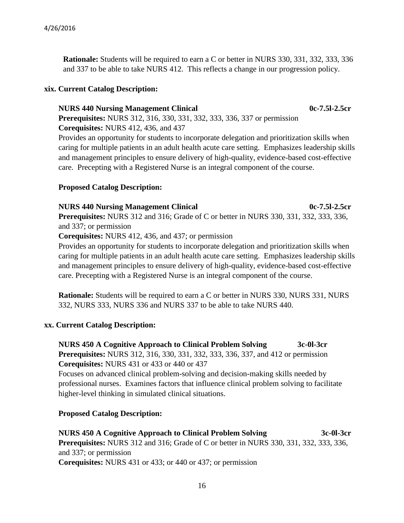**Rationale:** Students will be required to earn a C or better in NURS 330, 331, 332, 333, 336 and 337 to be able to take NURS 412. This reflects a change in our progression policy.

# **xix. Current Catalog Description:**

#### **NURS 440 Nursing Management Clinical 0c-7.5l-2.5cr**

**Prerequisites:** NURS 312, 316, 330, 331, 332, 333, 336, 337 or permission **Corequisites:** NURS 412, 436, and 437

Provides an opportunity for students to incorporate delegation and prioritization skills when caring for multiple patients in an adult health acute care setting. Emphasizes leadership skills and management principles to ensure delivery of high-quality, evidence-based cost-effective care. Precepting with a Registered Nurse is an integral component of the course.

### **Proposed Catalog Description:**

#### **NURS 440 Nursing Management Clinical 0c-7.5l-2.5cr**

**Prerequisites:** NURS 312 and 316; Grade of C or better in NURS 330, 331, 332, 333, 336, and 337; or permission

**Corequisites:** NURS 412, 436, and 437; or permission

Provides an opportunity for students to incorporate delegation and prioritization skills when caring for multiple patients in an adult health acute care setting. Emphasizes leadership skills and management principles to ensure delivery of high-quality, evidence-based cost-effective care. Precepting with a Registered Nurse is an integral component of the course.

**Rationale:** Students will be required to earn a C or better in NURS 330, NURS 331, NURS 332, NURS 333, NURS 336 and NURS 337 to be able to take NURS 440.

#### **xx. Current Catalog Description:**

**NURS 450 A Cognitive Approach to Clinical Problem Solving 3c-0l-3cr Prerequisites:** NURS 312, 316, 330, 331, 332, 333, 336, 337, and 412 or permission **Corequisites:** NURS 431 or 433 or 440 or 437

Focuses on advanced clinical problem-solving and decision-making skills needed by professional nurses. Examines factors that influence clinical problem solving to facilitate higher-level thinking in simulated clinical situations.

# **Proposed Catalog Description:**

**NURS 450 A Cognitive Approach to Clinical Problem Solving 3c-0l-3cr Prerequisites:** NURS 312 and 316; Grade of C or better in NURS 330, 331, 332, 333, 336, and 337; or permission **Corequisites:** NURS 431 or 433; or 440 or 437; or permission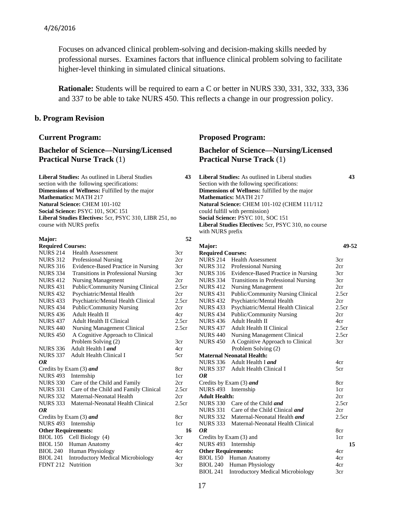#### 4/26/2016

Focuses on advanced clinical problem-solving and decision-making skills needed by professional nurses. Examines factors that influence clinical problem solving to facilitate higher-level thinking in simulated clinical situations.

**Rationale:** Students will be required to earn a C or better in NURS 330, 331, 332, 333, 336 and 337 to be able to take NURS 450. This reflects a change in our progression policy.

> 3cr 2cr 3cr 3cr 2cr 2.5cr  $2<sub>cr</sub>$ 2.5cr  $2cr$ 4cr 2.5cr 2.5cr

3cr 4cr 5cr

8cr 1cr 2cr 2.5cr  $2<sub>cr</sub>$ 2.5cr

8cr 1cr

3cr 4cr 4cr 4cr 3cr

#### **b. Program Revision**

#### **Bachelor of Science—Nursing/Licensed Practical Nurse Track** (1)

**Liberal Studies:** As outlined in Liberal Studies **43** section with the following specifications: **Dimensions of Wellness:** Fulfilled by the major **Mathematics:** MATH 217 **Natural Science:** CHEM 101-102 **Social Science:** PSYC 101, SOC 151 **Liberal Studies Electives:** 5cr, PSYC 310, LIBR 251, no course with NURS prefix

#### **Major:**

#### **Required Courses:** NURS 214 Health Assessment NURS 312 Professional Nursing NURS 316 Evidence-Based Practice in Nursing NURS 334 Transitions in Professional Nursing NURS 412 Nursing Management NURS 431 Public/Community Nursing Clinical NURS 432 Psychiatric/Mental Health NURS 433 Psychiatric/Mental Health Clinical NURS 434 Public/Community Nursing NURS 436 Adult Health II NURS 437 Adult Health II Clinical NURS 440 Nursing Management Clinical NURS 450 A Cognitive Approach to Clinical Problem Solving (2) NURS 336 Adult Health I *and* NURS 337 Adult Health Clinical I *OR* Credits by Exam (3) *and*  NURS 493 Internship NURS 330 Care of the Child and Family NURS 331 Care of the Child and Family Clinical NURS 332 Maternal-Neonatal Health NURS 333 Maternal-Neonatal Health Clinical *OR* Credits by Exam (3) *and*  NURS 493 Internship **Other Requirements:**  BIOL 105 Cell Biology (4) BIOL 150 Human Anatomy BIOL 240 Human Physiology BIOL 241 Introductory Medical Microbiology FDNT 212 Nutrition

#### **Current Program:** Proposed Program:

# **Bachelor of Science—Nursing/Licensed Practical Nurse Track** (1)

**Liberal Studies:** As outlined in Liberal studies **43** Section with the following specifications: **Dimensions of Wellness:** fulfilled by the major **Mathematics:** MATH 217 **Natural Science:** CHEM 101-102 (CHEM 111/112 could fulfill with permission) **Social Science:** PSYC 101, SOC 151 **Liberal Studies Electives:** 5cr, PSYC 310, no course with NURS prefix

| 52  |                            |                                          |                   |       |
|-----|----------------------------|------------------------------------------|-------------------|-------|
|     | Major:                     |                                          |                   | 49-52 |
|     | <b>Required Courses:</b>   |                                          |                   |       |
|     | <b>NURS 214</b>            | <b>Health Assessment</b>                 | 3 <sub>cr</sub>   |       |
|     | <b>NURS 312</b>            | <b>Professional Nursing</b>              | 2cr               |       |
|     | <b>NURS 316</b>            | Evidence-Based Practice in Nursing       | 3cr               |       |
|     | <b>NURS 334</b>            | Transitions in Professional Nursing      | 3cr               |       |
| 'n, | <b>NURS 412</b>            | <b>Nursing Management</b>                | 2cr               |       |
|     | <b>NURS 431</b>            | Public/Community Nursing Clinical        | 2.5 <sub>cr</sub> |       |
| T   | <b>NURS 432</b>            | Psychiatric/Mental Health                | 2cr               |       |
|     | <b>NURS 433</b>            | Psychiatric/Mental Health Clinical       | 2.5 <sub>cr</sub> |       |
|     | <b>NURS 434</b>            | <b>Public/Community Nursing</b>          | 2cr               |       |
| T   | <b>NURS 436</b>            | Adult Health II                          | 4cr               |       |
| 'n, | <b>NURS 437</b>            | <b>Adult Health II Clinical</b>          | 2.5 <sub>cr</sub> |       |
|     | <b>NURS 440</b>            | <b>Nursing Management Clinical</b>       | 2.5 <sub>cr</sub> |       |
|     | <b>NURS 450</b>            | A Cognitive Approach to Clinical         | 3cr               |       |
|     |                            | Problem Solving (2)                      |                   |       |
|     |                            | <b>Maternal Neonatal Health:</b>         |                   |       |
|     | <b>NURS 336</b>            | Adult Health Land                        | 4cr               |       |
|     | NURS 337                   | Adult Health Clinical I                  | 5 <sub>cr</sub>   |       |
|     | 0R                         |                                          |                   |       |
|     |                            | Credits by Exam (3) and                  | 8cr               |       |
| 'n, | <b>NURS 493</b>            | Internship                               | 1 <sub>cr</sub>   |       |
|     | <b>Adult Health:</b>       |                                          | 2cr               |       |
| T   | <b>NURS 330</b>            | Care of the Child and                    | 2.5 <sub>cr</sub> |       |
|     | <b>NURS 331</b>            | Care of the Child Clinical and           | 2cr               |       |
|     | <b>NURS 332</b>            | Maternal-Neonatal Health <i>and</i>      | 2.5 <sub>cr</sub> |       |
|     | <b>NURS 333</b>            | Maternal-Neonatal Health Clinical        |                   |       |
| 16  | 0R                         |                                          | 8cr               |       |
|     |                            | Credits by Exam (3) and                  | 1cr               |       |
|     | NURS 493                   | Internship                               |                   | 15    |
|     | <b>Other Requirements:</b> |                                          | 4cr               |       |
|     | <b>BIOL 150</b>            | Human Anatomy                            | 4cr               |       |
|     | <b>BIOL 240</b>            | Human Physiology                         | 4cr               |       |
|     | <b>BIOL 241</b>            | <b>Introductory Medical Microbiology</b> | 3cr               |       |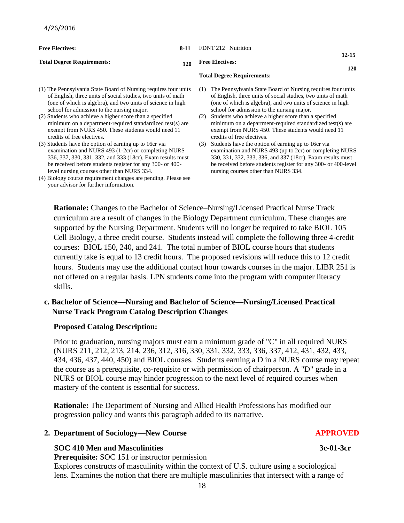| <b>Free Electives:</b>                                                                                                                                                                                                                       | 8-11 | FDNT 212 Nutrition                                                                                                                                                                                                                              |  |
|----------------------------------------------------------------------------------------------------------------------------------------------------------------------------------------------------------------------------------------------|------|-------------------------------------------------------------------------------------------------------------------------------------------------------------------------------------------------------------------------------------------------|--|
| <b>Total Degree Requirements:</b>                                                                                                                                                                                                            |      | $12 - 15$<br><b>Free Electives:</b><br>120<br>120                                                                                                                                                                                               |  |
|                                                                                                                                                                                                                                              |      | <b>Total Degree Requirements:</b>                                                                                                                                                                                                               |  |
| (1) The Pennsylvania State Board of Nursing requires four units<br>of English, three units of social studies, two units of math<br>(one of which is algebra), and two units of science in high<br>school for admission to the nursing major. |      | The Pennsylvania State Board of Nursing requires four units<br>(1)<br>of English, three units of social studies, two units of math<br>(one of which is algebra), and two units of science in high<br>school for admission to the nursing major. |  |
| (2) Students who achieve a higher score than a specified<br>minimum on a department-required standardized test(s) are<br>exempt from NURS 450. These students would need 11<br>credits of free electives.                                    |      | Students who achieve a higher score than a specified<br>(2)<br>minimum on a department-required standardized test(s) are<br>exempt from NURS 450. These students would need 11<br>credits of free electives.                                    |  |

- (3) Students have the option of earning up to 16cr via examination and NURS 493 (1-2cr) or completing NURS 336, 337, 330, 331, 332, and 333 (18cr). Exam results must be received before students register for any 300- or 400 level nursing courses other than NURS 334.
- (4) Biology course requirement changes are pending. Please see your advisor for further information.
- 
- (3) Students have the option of earning up to 16cr via examination and NURS 493 (up to 2cr) or completing NURS 330, 331, 332, 333, 336, and 337 (18cr). Exam results must be received before students register for any 300- or 400-level nursing courses other than NURS 334.

**Rationale:** Changes to the Bachelor of Science–Nursing/Licensed Practical Nurse Track curriculum are a result of changes in the Biology Department curriculum. These changes are supported by the Nursing Department. Students will no longer be required to take BIOL 105 Cell Biology, a three credit course. Students instead will complete the following three 4-credit courses: BIOL 150, 240, and 241. The total number of BIOL course hours that students currently take is equal to 13 credit hours. The proposed revisions will reduce this to 12 credit hours. Students may use the additional contact hour towards courses in the major. LIBR 251 is not offered on a regular basis. LPN students come into the program with computer literacy skills.

# **c. Bachelor of Science—Nursing and Bachelor of Science—Nursing/Licensed Practical Nurse Track Program Catalog Description Changes**

#### **Proposed Catalog Description:**

Prior to graduation, nursing majors must earn a minimum grade of "C" in all required NURS (NURS 211, 212, 213, 214, 236, 312, 316, 330, 331, 332, 333, 336, 337, 412, 431, 432, 433, 434, 436, 437, 440, 450) and BIOL courses. Students earning a D in a NURS course may repeat the course as a prerequisite, co-requisite or with permission of chairperson. A "D" grade in a NURS or BIOL course may hinder progression to the next level of required courses when mastery of the content is essential for success.

**Rationale:** The Department of Nursing and Allied Health Professions has modified our progression policy and wants this paragraph added to its narrative.

#### **2. Department of Sociology—New Course APPROVED**

#### **SOC 410 Men and Masculinities 3c-01-3cr** 3c-01-3cr

 **Prerequisite:** SOC 151 or instructor permission

 Explores constructs of masculinity within the context of U.S. culture using a sociological lens. Examines the notion that there are multiple masculinities that intersect with a range of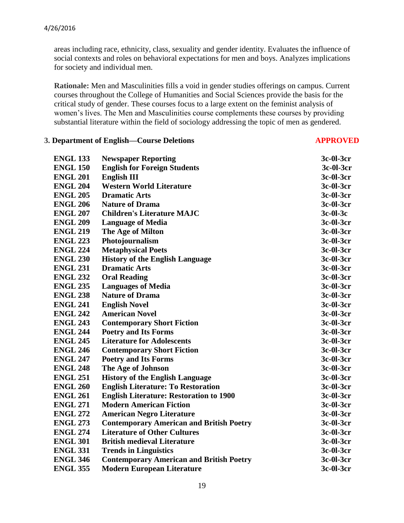areas including race, ethnicity, class, sexuality and gender identity. Evaluates the influence of social contexts and roles on behavioral expectations for men and boys. Analyzes implications for society and individual men.

 **Rationale:** Men and Masculinities fills a void in gender studies offerings on campus. Current courses throughout the College of Humanities and Social Sciences provide the basis for the critical study of gender. These courses focus to a large extent on the feminist analysis of women's lives. The Men and Masculinities course complements these courses by providing substantial literature within the field of sociology addressing the topic of men as gendered.

#### **3. Department of English—Course Deletions APPROVED**

| <b>ENGL 133</b> | <b>Newspaper Reporting</b>                      | 3c-01-3cr  |
|-----------------|-------------------------------------------------|------------|
| <b>ENGL 150</b> | <b>English for Foreign Students</b>             | 3c-01-3cr  |
| <b>ENGL 201</b> | <b>English III</b>                              | 3c-01-3cr  |
| <b>ENGL 204</b> | <b>Western World Literature</b>                 | 3c-01-3cr  |
| <b>ENGL 205</b> | <b>Dramatic Arts</b>                            | 3c-01-3cr  |
| <b>ENGL 206</b> | <b>Nature of Drama</b>                          | 3c-01-3cr  |
| <b>ENGL 207</b> | <b>Children's Literature MAJC</b>               | $3c-01-3c$ |
| <b>ENGL 209</b> | <b>Language of Media</b>                        | 3c-01-3cr  |
| <b>ENGL 219</b> | The Age of Milton                               | 3c-01-3cr  |
| <b>ENGL 223</b> | Photojournalism                                 | 3c-01-3cr  |
| <b>ENGL 224</b> | <b>Metaphysical Poets</b>                       | 3c-01-3cr  |
| <b>ENGL 230</b> | <b>History of the English Language</b>          | 3c-01-3cr  |
| <b>ENGL 231</b> | <b>Dramatic Arts</b>                            | 3c-01-3cr  |
| <b>ENGL 232</b> | <b>Oral Reading</b>                             | 3c-01-3cr  |
| <b>ENGL 235</b> | <b>Languages of Media</b>                       | 3c-01-3cr  |
| <b>ENGL 238</b> | <b>Nature of Drama</b>                          | 3c-01-3cr  |
| <b>ENGL 241</b> | <b>English Novel</b>                            | 3c-01-3cr  |
| <b>ENGL 242</b> | <b>American Novel</b>                           | 3c-01-3cr  |
| <b>ENGL 243</b> | <b>Contemporary Short Fiction</b>               | 3c-01-3cr  |
| <b>ENGL 244</b> | <b>Poetry and Its Forms</b>                     | 3c-01-3cr  |
| <b>ENGL 245</b> | <b>Literature for Adolescents</b>               | 3c-01-3cr  |
| <b>ENGL 246</b> | <b>Contemporary Short Fiction</b>               | 3c-01-3cr  |
| <b>ENGL 247</b> | <b>Poetry and Its Forms</b>                     | 3c-01-3cr  |
| <b>ENGL 248</b> | The Age of Johnson                              | 3c-01-3cr  |
| <b>ENGL 251</b> | <b>History of the English Language</b>          | 3c-01-3cr  |
| <b>ENGL 260</b> | <b>English Literature: To Restoration</b>       | 3c-01-3cr  |
| <b>ENGL 261</b> | <b>English Literature: Restoration to 1900</b>  | 3c-01-3cr  |
| <b>ENGL 271</b> | <b>Modern American Fiction</b>                  | 3c-01-3cr  |
| <b>ENGL 272</b> | <b>American Negro Literature</b>                | 3c-01-3cr  |
| <b>ENGL 273</b> | <b>Contemporary American and British Poetry</b> | 3c-01-3cr  |
| <b>ENGL 274</b> | <b>Literature of Other Cultures</b>             | 3c-01-3cr  |
| <b>ENGL 301</b> | <b>British medieval Literature</b>              | 3c-01-3cr  |
| <b>ENGL 331</b> | <b>Trends in Linguistics</b>                    | 3c-01-3cr  |
| <b>ENGL 346</b> | <b>Contemporary American and British Poetry</b> | 3c-01-3cr  |
| <b>ENGL 355</b> | <b>Modern European Literature</b>               | 3c-01-3cr  |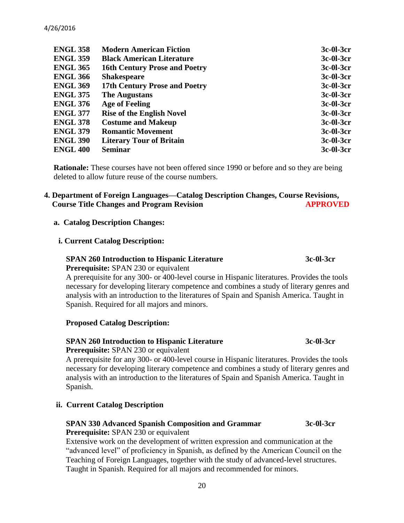| <b>ENGL 358</b> | <b>Modern American Fiction</b>       | 3c-01-3cr |
|-----------------|--------------------------------------|-----------|
| <b>ENGL 359</b> | <b>Black American Literature</b>     | 3c-01-3cr |
| <b>ENGL 365</b> | <b>16th Century Prose and Poetry</b> | 3c-01-3cr |
| <b>ENGL 366</b> | <b>Shakespeare</b>                   | 3c-01-3cr |
| <b>ENGL 369</b> | 17th Century Prose and Poetry        | 3c-01-3cr |
| <b>ENGL 375</b> | <b>The Augustans</b>                 | 3c-01-3cr |
| <b>ENGL 376</b> | <b>Age of Feeling</b>                | 3c-01-3cr |
| <b>ENGL 377</b> | <b>Rise of the English Novel</b>     | 3c-01-3cr |
| <b>ENGL 378</b> | <b>Costume and Makeup</b>            | 3c-01-3cr |
| <b>ENGL 379</b> | <b>Romantic Movement</b>             | 3c-01-3cr |
| <b>ENGL 390</b> | <b>Literary Tour of Britain</b>      | 3c-01-3cr |
| <b>ENGL 400</b> | <b>Seminar</b>                       | 3c-01-3cr |

**Rationale:** These courses have not been offered since 1990 or before and so they are being deleted to allow future reuse of the course numbers.

# **4. Department of Foreign Languages—Catalog Description Changes, Course Revisions, Course Title Changes and Program Revision APPROVED**

#### **a. Catalog Description Changes:**

#### **i. Current Catalog Description:**

# **SPAN 260 Introduction to Hispanic Literature 3c-0l-3cr**

 **Prerequisite:** SPAN 230 or equivalent

 A prerequisite for any 300- or 400-level course in Hispanic literatures. Provides the tools necessary for developing literary competence and combines a study of literary genres and analysis with an introduction to the literatures of Spain and Spanish America. Taught in Spanish. Required for all majors and minors.

# **Proposed Catalog Description:**

# **SPAN 260 Introduction to Hispanic Literature 3c-0l-3cr**

 **Prerequisite:** SPAN 230 or equivalent

 A prerequisite for any 300- or 400-level course in Hispanic literatures. Provides the tools necessary for developing literary competence and combines a study of literary genres and analysis with an introduction to the literatures of Spain and Spanish America. Taught in Spanish.

# **ii. Current Catalog Description**

# **SPAN 330 Advanced Spanish Composition and Grammar 3c-0l-3cr**

 **Prerequisite:** SPAN 230 or equivalent

 Extensive work on the development of written expression and communication at the "advanced level" of proficiency in Spanish, as defined by the American Council on the Teaching of Foreign Languages, together with the study of advanced-level structures. Taught in Spanish. Required for all majors and recommended for minors.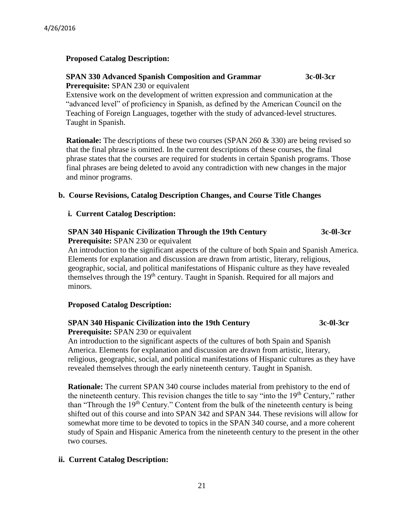# **Proposed Catalog Description:**

#### **SPAN 330 Advanced Spanish Composition and Grammar 3c-0l-3cr Prerequisite:** SPAN 230 or equivalent

 Extensive work on the development of written expression and communication at the "advanced level" of proficiency in Spanish, as defined by the American Council on the Teaching of Foreign Languages, together with the study of advanced-level structures. Taught in Spanish.

**Rationale:** The descriptions of these two courses (SPAN 260 & 330) are being revised so that the final phrase is omitted. In the current descriptions of these courses, the final phrase states that the courses are required for students in certain Spanish programs. Those final phrases are being deleted to avoid any contradiction with new changes in the major and minor programs.

# **b. Course Revisions, Catalog Description Changes, and Course Title Changes**

# **i. Current Catalog Description:**

# **SPAN 340 Hispanic Civilization Through the 19th Century 3c-0l-3cr**

**Prerequisite:** SPAN 230 or equivalent

An introduction to the significant aspects of the culture of both Spain and Spanish America. Elements for explanation and discussion are drawn from artistic, literary, religious, geographic, social, and political manifestations of Hispanic culture as they have revealed themselves through the 19<sup>th</sup> century. Taught in Spanish. Required for all majors and minors.

# **Proposed Catalog Description:**

# **SPAN 340 Hispanic Civilization into the 19th Century 3c-0l-3cr**

**Prerequisite:** SPAN 230 or equivalent

An introduction to the significant aspects of the cultures of both Spain and Spanish America. Elements for explanation and discussion are drawn from artistic, literary, religious, geographic, social, and political manifestations of Hispanic cultures as they have revealed themselves through the early nineteenth century. Taught in Spanish.

**Rationale:** The current SPAN 340 course includes material from prehistory to the end of the nineteenth century. This revision changes the title to say "into the  $19<sup>th</sup>$  Century," rather than "Through the 19th Century." Content from the bulk of the nineteenth century is being shifted out of this course and into SPAN 342 and SPAN 344. These revisions will allow for somewhat more time to be devoted to topics in the SPAN 340 course, and a more coherent study of Spain and Hispanic America from the nineteenth century to the present in the other two courses.

# **ii. Current Catalog Description:**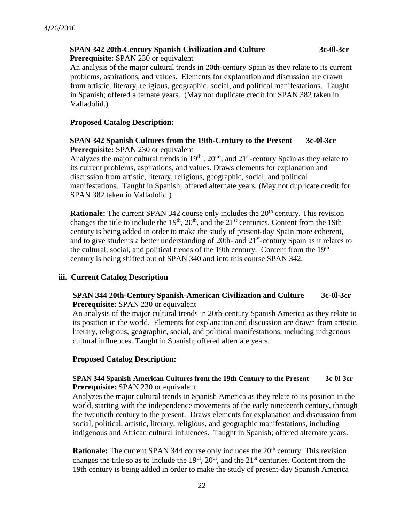# **SPAN 342 20th-Century Spanish Civilization and Culture 3c-0l-3cr**

**Prerequisite:** SPAN 230 or equivalent

An analysis of the major cultural trends in 20th-century Spain as they relate to its current problems, aspirations, and values. Elements for explanation and discussion are drawn from artistic, literary, religious, geographic, social, and political manifestations. Taught in Spanish; offered alternate years. (May not duplicate credit for SPAN 382 taken in Valladolid.)

### **Proposed Catalog Description:**

#### **SPAN 342 Spanish Cultures from the 19th-Century to the Present 3c-0l-3cr Prerequisite:** SPAN 230 or equivalent

Analyzes the major cultural trends in  $19<sup>th</sup>$ ,  $20<sup>th</sup>$ , and  $21<sup>st</sup>$ -century Spain as they relate to its current problems, aspirations, and values. Draws elements for explanation and discussion from artistic, literary, religious, geographic, social, and political manifestations. Taught in Spanish; offered alternate years. (May not duplicate credit for SPAN 382 taken in Valladolid.)

**Rationale:** The current SPAN 342 course only includes the 20<sup>th</sup> century. This revision changes the title to include the  $19<sup>th</sup>$ ,  $20<sup>th</sup>$ , and the  $21<sup>st</sup>$  centuries. Content from the 19th century is being added in order to make the study of present-day Spain more coherent, and to give students a better understanding of 20th- and 21<sup>st</sup>-century Spain as it relates to the cultural, social, and political trends of the 19th century. Content from the 19th century is being shifted out of SPAN 340 and into this course SPAN 342.

#### **iii. Current Catalog Description**

### **SPAN 344 20th-Century Spanish-American Civilization and Culture 3c-0l-3cr Prerequisite:** SPAN 230 or equivalent

An analysis of the major cultural trends in 20th-century Spanish America as they relate to its position in the world. Elements for explanation and discussion are drawn from artistic, literary, religious, geographic, social, and political manifestations, including indigenous cultural influences. Taught in Spanish; offered alternate years.

#### **Proposed Catalog Description:**

#### **SPAN 344 Spanish-American Cultures from the 19th Century to the Present 3c-0l-3cr Prerequisite:** SPAN 230 or equivalent

Analyzes the major cultural trends in Spanish America as they relate to its position in the world, starting with the independence movements of the early nineteenth century, through the twentieth century to the present. Draws elements for explanation and discussion from social, political, artistic, literary, religious, and geographic manifestations, including indigenous and African cultural influences. Taught in Spanish; offered alternate years.

**Rationale:** The current SPAN 344 course only includes the 20<sup>th</sup> century. This revision changes the title so as to include the  $19<sup>th</sup>$ ,  $20<sup>th</sup>$ , and the  $21<sup>st</sup>$  centuries. Content from the 19th century is being added in order to make the study of present-day Spanish America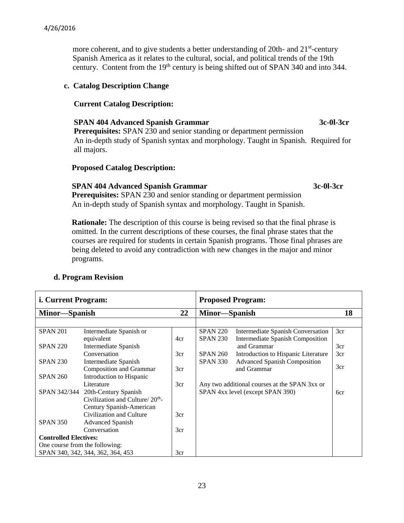more coherent, and to give students a better understanding of 20th- and 21<sup>st</sup>-century Spanish America as it relates to the cultural, social, and political trends of the 19th century. Content from the 19<sup>th</sup> century is being shifted out of SPAN 340 and into 344.

#### **c. Catalog Description Change**

### **Current Catalog Description:**

# **SPAN 404 Advanced Spanish Grammar 3c-0l-3cr**

 **Prerequisites:** SPAN 230 and senior standing or department permission An in-depth study of Spanish syntax and morphology. Taught in Spanish. Required for all majors.

#### **Proposed Catalog Description:**

## **SPAN 404 Advanced Spanish Grammar 3c-0l-3cr**

**Prerequisites:** SPAN 230 and senior standing or department permission An in-depth study of Spanish syntax and morphology. Taught in Spanish.

 **Rationale:** The description of this course is being revised so that the final phrase is omitted. In the current descriptions of these courses, the final phrase states that the courses are required for students in certain Spanish programs. Those final phrases are being deleted to avoid any contradiction with new changes in the major and minor programs.

# **d. Program Revision**

| <i>i.</i> Current Program:     |                                             | <b>Proposed Program:</b> |                 |                                               |     |
|--------------------------------|---------------------------------------------|--------------------------|-----------------|-----------------------------------------------|-----|
| Minor—Spanish                  |                                             | 22                       | Minor—Spanish   |                                               | 18  |
|                                |                                             |                          |                 |                                               |     |
| <b>SPAN 201</b>                | Intermediate Spanish or                     |                          | <b>SPAN 220</b> | Intermediate Spanish Conversation             | 3cr |
|                                | equivalent                                  | 4cr                      | <b>SPAN 230</b> | <b>Intermediate Spanish Composition</b>       |     |
| <b>SPAN 220</b>                | Intermediate Spanish                        |                          |                 | and Grammar                                   | 3cr |
|                                | Conversation                                | 3cr                      | <b>SPAN 260</b> | Introduction to Hispanic Literature           | 3cr |
| <b>SPAN 230</b>                | Intermediate Spanish                        |                          | <b>SPAN 330</b> | <b>Advanced Spanish Composition</b>           |     |
|                                | Composition and Grammar                     | 3cr                      |                 | and Grammar                                   | 3cr |
| <b>SPAN 260</b>                | Introduction to Hispanic                    |                          |                 |                                               |     |
|                                | Literature                                  | 3cr                      |                 | Any two additional courses at the SPAN 3xx or |     |
|                                | SPAN 342/344 20th-Century Spanish           |                          |                 | SPAN 4xx level (except SPAN 390)              | 6cr |
|                                | Civilization and Culture/20 <sup>th</sup> - |                          |                 |                                               |     |
|                                | Century Spanish-American                    |                          |                 |                                               |     |
|                                | Civilization and Culture                    | 3cr                      |                 |                                               |     |
| <b>SPAN 350</b>                | <b>Advanced Spanish</b>                     |                          |                 |                                               |     |
|                                | Conversation                                | 3cr                      |                 |                                               |     |
| <b>Controlled Electives:</b>   |                                             |                          |                 |                                               |     |
| One course from the following: |                                             |                          |                 |                                               |     |
|                                | SPAN 340, 342, 344, 362, 364, 453           | 3cr                      |                 |                                               |     |

23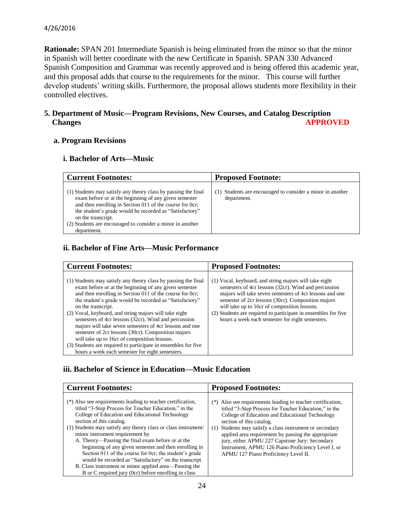#### 4/26/2016

**Rationale:** SPAN 201 Intermediate Spanish is being eliminated from the minor so that the minor in Spanish will better coordinate with the new Certificate in Spanish. SPAN 330 Advanced Spanish Composition and Grammar was recently approved and is being offered this academic year, and this proposal adds that course to the requirements for the minor. This course will further develop students' writing skills. Furthermore, the proposal allows students more flexibility in their controlled electives.

# **5. Department of Music—Program Revisions, New Courses, and Catalog Description Changes** APPROVED

#### **a. Program Revisions**

### **i. Bachelor of Arts—Music**

| <b>Current Footnotes:</b>                                                                                                                                                                                                                                                                                                                         | <b>Proposed Footnote:</b>                                                   |
|---------------------------------------------------------------------------------------------------------------------------------------------------------------------------------------------------------------------------------------------------------------------------------------------------------------------------------------------------|-----------------------------------------------------------------------------|
| (1) Students may satisfy any theory class by passing the final<br>exam before or at the beginning of any given semester<br>and then enrolling in Section 011 of the course for 0cr;<br>the student's grade would be recorded as "Satisfactory"<br>on the transcript.<br>(2) Students are encouraged to consider a minor in another<br>department. | Students are encouraged to consider a minor in another<br>T)<br>department. |

# **ii. Bachelor of Fine Arts—Music Performance**

| <b>Current Footnotes:</b>                                                                                                                                                                                                                                                                                                                                                                                                                                                                                                                                                                                                                                                    | <b>Proposed Footnotes:</b>                                                                                                                                                                                                                                                                                                                                                                           |
|------------------------------------------------------------------------------------------------------------------------------------------------------------------------------------------------------------------------------------------------------------------------------------------------------------------------------------------------------------------------------------------------------------------------------------------------------------------------------------------------------------------------------------------------------------------------------------------------------------------------------------------------------------------------------|------------------------------------------------------------------------------------------------------------------------------------------------------------------------------------------------------------------------------------------------------------------------------------------------------------------------------------------------------------------------------------------------------|
| (1) Students may satisfy any theory class by passing the final<br>exam before or at the beginning of any given semester<br>and then enrolling in Section 011 of the course for 0cr;<br>the student's grade would be recorded as "Satisfactory"<br>on the transcript.<br>(2) Vocal, keyboard, and string majors will take eight<br>semesters of 4cr lessons (32cr). Wind and percussion<br>majors will take seven semesters of 4cr lessons and one<br>semester of 2cr lessons (30cr). Composition majors<br>will take up to 16cr of composition lessons.<br>(3) Students are required to participate in ensembles for five<br>hours a week each semester for eight semesters. | (1) Vocal, keyboard, and string majors will take eight<br>semesters of 4cr lessons (32cr). Wind and percussion<br>majors will take seven semesters of 4cr lessons and one<br>semester of 2cr lessons (30cr). Composition majors<br>will take up to 16cr of composition lessons.<br>(2) Students are required to participate in ensembles for five<br>hours a week each semester for eight semesters. |

# **iii. Bachelor of Science in Education—Music Education**

| <b>Current Footnotes:</b>                                                                                                                                                                                                                                                                                                                                                                                                                                                                                                                                                                                                                                   | <b>Proposed Footnotes:</b>                                                                                                                                                                                                                                                                                                                                                                                                                                                     |
|-------------------------------------------------------------------------------------------------------------------------------------------------------------------------------------------------------------------------------------------------------------------------------------------------------------------------------------------------------------------------------------------------------------------------------------------------------------------------------------------------------------------------------------------------------------------------------------------------------------------------------------------------------------|--------------------------------------------------------------------------------------------------------------------------------------------------------------------------------------------------------------------------------------------------------------------------------------------------------------------------------------------------------------------------------------------------------------------------------------------------------------------------------|
| (*) Also see requirements leading to teacher certification,<br>titled "3-Step Process for Teacher Education," in the<br>College of Education and Educational Technology<br>section of this catalog.<br>(1) Students may satisfy any theory class or class instrument/<br>minor instrument requirement by<br>A. Theory—Passing the final exam before or at the<br>beginning of any given semester and then enrolling in<br>Section 011 of the course for 0cr; the student's grade<br>would be recorded as "Satisfactory" on the transcript.<br>B. Class instrument or minor applied area-Passing the<br>B or C required jury (0cr) before enrolling in class | Also see requirements leading to teacher certification,<br>$(*)$<br>titled "3-Step Process for Teacher Education," in the<br>College of Education and Educational Technology<br>section of this catalog.<br>Students may satisfy a class instrument or secondary<br>(1)<br>applied area requirement by passing the appropriate<br>jury, either APMU 227 Capstone Jury: Secondary<br>Instrument, APMU 126 Piano Proficiency Level I, or<br>APMU 127 Piano Proficiency Level II. |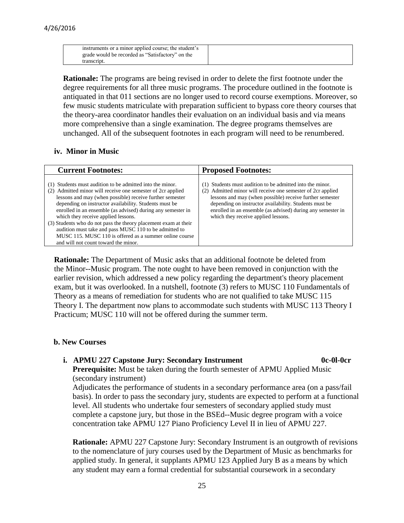| instruments or a minor applied course; the student's |
|------------------------------------------------------|
| grade would be recorded as "Satisfactory" on the     |
| transcript.                                          |

**Rationale:** The programs are being revised in order to delete the first footnote under the degree requirements for all three music programs. The procedure outlined in the footnote is antiquated in that 011 sections are no longer used to record course exemptions. Moreover, so few music students matriculate with preparation sufficient to bypass core theory courses that the theory-area coordinator handles their evaluation on an individual basis and via means more comprehensive than a single examination. The degree programs themselves are unchanged. All of the subsequent footnotes in each program will need to be renumbered.

#### **iv. Minor in Music**

| <b>Current Footnotes:</b>                                                                                                                                                                                                                                                                                                                                                                                                                                                                                                                                                            | <b>Proposed Footnotes:</b>                                                                                                                                                                                                                                                                                                                          |
|--------------------------------------------------------------------------------------------------------------------------------------------------------------------------------------------------------------------------------------------------------------------------------------------------------------------------------------------------------------------------------------------------------------------------------------------------------------------------------------------------------------------------------------------------------------------------------------|-----------------------------------------------------------------------------------------------------------------------------------------------------------------------------------------------------------------------------------------------------------------------------------------------------------------------------------------------------|
| (1) Students must audition to be admitted into the minor.<br>(2) Admitted minor will receive one semester of 2cr applied<br>lessons and may (when possible) receive further semester<br>depending on instructor availability. Students must be<br>enrolled in an ensemble (as advised) during any semester in<br>which they receive applied lessons.<br>(3) Students who do not pass the theory placement exam at their<br>audition must take and pass MUSC 110 to be admitted to<br>MUSC 115. MUSC 110 is offered as a summer online course<br>and will not count toward the minor. | Students must audition to be admitted into the minor.<br>Admitted minor will receive one semester of 2cr applied<br>(2)<br>lessons and may (when possible) receive further semester<br>depending on instructor availability. Students must be<br>enrolled in an ensemble (as advised) during any semester in<br>which they receive applied lessons. |

 **Rationale:** The Department of Music asks that an additional footnote be deleted from the Minor--Music program. The note ought to have been removed in conjunction with the earlier revision, which addressed a new policy regarding the department's theory placement exam, but it was overlooked. In a nutshell, footnote (3) refers to MUSC 110 Fundamentals of Theory as a means of remediation for students who are not qualified to take MUSC 115 Theory I. The department now plans to accommodate such students with MUSC 113 Theory I Practicum; MUSC 110 will not be offered during the summer term.

#### **b. New Courses**

#### **i. APMU 227 Capstone Jury: Secondary Instrument 0c-0l-0cr**

**Prerequisite:** Must be taken during the fourth semester of APMU Applied Music (secondary instrument)

Adjudicates the performance of students in a secondary performance area (on a pass/fail basis). In order to pass the secondary jury, students are expected to perform at a functional level. All students who undertake four semesters of secondary applied study must complete a capstone jury, but those in the BSEd--Music degree program with a voice concentration take APMU 127 Piano Proficiency Level II in lieu of APMU 227.

**Rationale:** APMU 227 Capstone Jury: Secondary Instrument is an outgrowth of revisions to the nomenclature of jury courses used by the Department of Music as benchmarks for applied study. In general, it supplants APMU 123 Applied Jury B as a means by which any student may earn a formal credential for substantial coursework in a secondary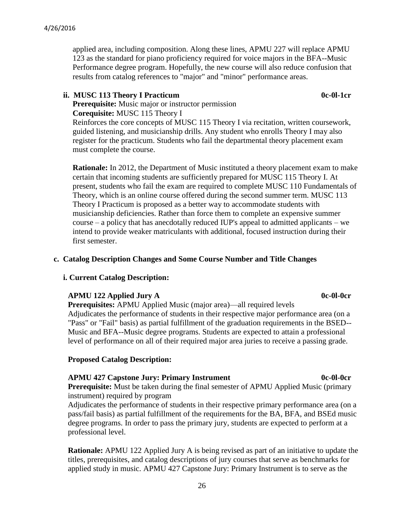applied area, including composition. Along these lines, APMU 227 will replace APMU 123 as the standard for piano proficiency required for voice majors in the BFA--Music Performance degree program. Hopefully, the new course will also reduce confusion that results from catalog references to "major" and "minor" performance areas.

### ii. MUSC 113 Theory I Practicum **0c-0l-1cr**

**Prerequisite:** Music major or instructor permission **Corequisite:** MUSC 115 Theory I

Reinforces the core concepts of MUSC 115 Theory I via recitation, written coursework, guided listening, and musicianship drills. Any student who enrolls Theory I may also register for the practicum. Students who fail the departmental theory placement exam must complete the course.

**Rationale:** In 2012, the Department of Music instituted a theory placement exam to make certain that incoming students are sufficiently prepared for MUSC 115 Theory I. At present, students who fail the exam are required to complete MUSC 110 Fundamentals of Theory, which is an online course offered during the second summer term. MUSC 113 Theory I Practicum is proposed as a better way to accommodate students with musicianship deficiencies. Rather than force them to complete an expensive summer course – a policy that has anecdotally reduced IUP's appeal to admitted applicants – we intend to provide weaker matriculants with additional, focused instruction during their first semester.

### **c. Catalog Description Changes and Some Course Number and Title Changes**

#### **i. Current Catalog Description:**

#### **APMU 122 Applied Jury A** 0c-0l-0cr

**Prerequisites:** APMU Applied Music (major area)—all required levels Adjudicates the performance of students in their respective major performance area (on a "Pass" or "Fail" basis) as partial fulfillment of the graduation requirements in the BSED-- Music and BFA--Music degree programs. Students are expected to attain a professional level of performance on all of their required major area juries to receive a passing grade.

#### **Proposed Catalog Description:**

#### **APMU 427 Capstone Jury: Primary Instrument 0c-0l-0cr**

**Prerequisite:** Must be taken during the final semester of APMU Applied Music (primary instrument) required by program

Adjudicates the performance of students in their respective primary performance area (on a pass/fail basis) as partial fulfillment of the requirements for the BA, BFA, and BSEd music degree programs. In order to pass the primary jury, students are expected to perform at a professional level.

**Rationale:** APMU 122 Applied Jury A is being revised as part of an initiative to update the titles, prerequisites, and catalog descriptions of jury courses that serve as benchmarks for applied study in music. APMU 427 Capstone Jury: Primary Instrument is to serve as the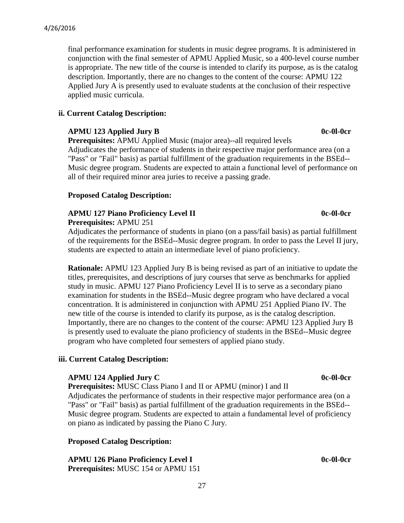final performance examination for students in music degree programs. It is administered in conjunction with the final semester of APMU Applied Music, so a 400-level course number is appropriate. The new title of the course is intended to clarify its purpose, as is the catalog description. Importantly, there are no changes to the content of the course: APMU 122 Applied Jury A is presently used to evaluate students at the conclusion of their respective applied music curricula.

# **ii. Current Catalog Description:**

# **APMU 123 Applied Jury B** 0c-0l-0cr

**Prerequisites:** APMU Applied Music (major area)--all required levels

Adjudicates the performance of students in their respective major performance area (on a "Pass" or "Fail" basis) as partial fulfillment of the graduation requirements in the BSEd-- Music degree program. Students are expected to attain a functional level of performance on all of their required minor area juries to receive a passing grade.

# **Proposed Catalog Description:**

# **APMU 127 Piano Proficiency Level II 0c-0l-0cr**

**Prerequisites:** APMU 251

Adjudicates the performance of students in piano (on a pass/fail basis) as partial fulfillment of the requirements for the BSEd--Music degree program. In order to pass the Level II jury, students are expected to attain an intermediate level of piano proficiency.

**Rationale:** APMU 123 Applied Jury B is being revised as part of an initiative to update the titles, prerequisites, and descriptions of jury courses that serve as benchmarks for applied study in music. APMU 127 Piano Proficiency Level II is to serve as a secondary piano examination for students in the BSEd--Music degree program who have declared a vocal concentration. It is administered in conjunction with APMU 251 Applied Piano IV. The new title of the course is intended to clarify its purpose, as is the catalog description. Importantly, there are no changes to the content of the course: APMU 123 Applied Jury B is presently used to evaluate the piano proficiency of students in the BSEd--Music degree program who have completed four semesters of applied piano study.

# **iii. Current Catalog Description:**

# **APMU 124 Applied Jury C** 0c-0l-0cr

**Prerequisites:** MUSC Class Piano I and II or APMU (minor) I and II

Adjudicates the performance of students in their respective major performance area (on a "Pass" or "Fail" basis) as partial fulfillment of the graduation requirements in the BSEd-- Music degree program. Students are expected to attain a fundamental level of proficiency on piano as indicated by passing the Piano C Jury.

# **Proposed Catalog Description:**

**APMU 126 Piano Proficiency Level I 126 Piano Proficiency Level I 126 Piano Proficiency Level I 126 Piano Proficiency Level I Prerequisites:** MUSC 154 or APMU 151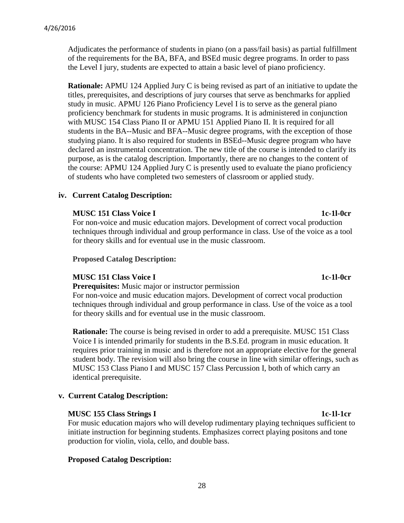Adjudicates the performance of students in piano (on a pass/fail basis) as partial fulfillment of the requirements for the BA, BFA, and BSEd music degree programs. In order to pass the Level I jury, students are expected to attain a basic level of piano proficiency.

**Rationale:** APMU 124 Applied Jury C is being revised as part of an initiative to update the titles, prerequisites, and descriptions of jury courses that serve as benchmarks for applied study in music. APMU 126 Piano Proficiency Level I is to serve as the general piano proficiency benchmark for students in music programs. It is administered in conjunction with MUSC 154 Class Piano II or APMU 151 Applied Piano II. It is required for all students in the BA--Music and BFA--Music degree programs, with the exception of those studying piano. It is also required for students in BSEd--Music degree program who have declared an instrumental concentration. The new title of the course is intended to clarify its purpose, as is the catalog description. Importantly, there are no changes to the content of the course: APMU 124 Applied Jury C is presently used to evaluate the piano proficiency of students who have completed two semesters of classroom or applied study.

#### **iv. Current Catalog Description:**

#### **MUSC 151 Class Voice I 1c-1l-0cr**

For non-voice and music education majors. Development of correct vocal production techniques through individual and group performance in class. Use of the voice as a tool for theory skills and for eventual use in the music classroom.

**Proposed Catalog Description:**

#### **MUSC 151 Class Voice I 1c-1l-0cr**

**Prerequisites:** Music major or instructor permission

For non-voice and music education majors. Development of correct vocal production techniques through individual and group performance in class. Use of the voice as a tool for theory skills and for eventual use in the music classroom.

**Rationale:** The course is being revised in order to add a prerequisite. MUSC 151 Class Voice I is intended primarily for students in the B.S.Ed. program in music education. It requires prior training in music and is therefore not an appropriate elective for the general student body. The revision will also bring the course in line with similar offerings, such as MUSC 153 Class Piano I and MUSC 157 Class Percussion I, both of which carry an identical prerequisite.

#### **v. Current Catalog Description:**

#### **MUSC 155 Class Strings I 1c-1l-1cr**

For music education majors who will develop rudimentary playing techniques sufficient to initiate instruction for beginning students. Emphasizes correct playing positons and tone production for violin, viola, cello, and double bass.

#### **Proposed Catalog Description:**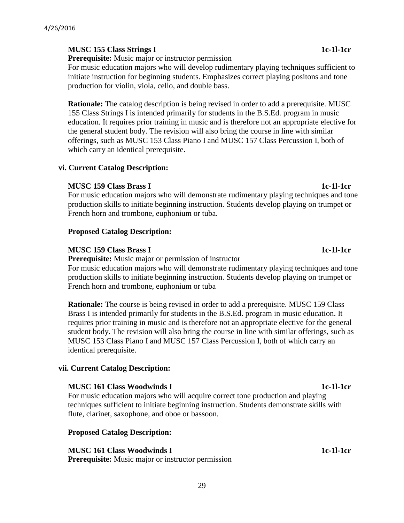# **MUSC 155 Class Strings I 1c-1l-1cr**

**Prerequisite:** Music major or instructor permission

For music education majors who will develop rudimentary playing techniques sufficient to initiate instruction for beginning students. Emphasizes correct playing positons and tone production for violin, viola, cello, and double bass.

**Rationale:** The catalog description is being revised in order to add a prerequisite. MUSC 155 Class Strings I is intended primarily for students in the B.S.Ed. program in music education. It requires prior training in music and is therefore not an appropriate elective for the general student body. The revision will also bring the course in line with similar offerings, such as MUSC 153 Class Piano I and MUSC 157 Class Percussion I, both of which carry an identical prerequisite.

### **vi. Current Catalog Description:**

### **MUSC 159 Class Brass I 1c-1l-1cr**

For music education majors who will demonstrate rudimentary playing techniques and tone production skills to initiate beginning instruction. Students develop playing on trumpet or French horn and trombone, euphonium or tuba.

### **Proposed Catalog Description:**

### **MUSC 159 Class Brass I 1c-1l-1cr**

**Prerequisite:** Music major or permission of instructor

For music education majors who will demonstrate rudimentary playing techniques and tone production skills to initiate beginning instruction. Students develop playing on trumpet or French horn and trombone, euphonium or tuba

**Rationale:** The course is being revised in order to add a prerequisite. MUSC 159 Class Brass I is intended primarily for students in the B.S.Ed. program in music education. It requires prior training in music and is therefore not an appropriate elective for the general student body. The revision will also bring the course in line with similar offerings, such as MUSC 153 Class Piano I and MUSC 157 Class Percussion I, both of which carry an identical prerequisite.

# **vii. Current Catalog Description:**

#### **MUSC 161 Class Woodwinds I 1c-1l-1cr**

For music education majors who will acquire correct tone production and playing techniques sufficient to initiate beginning instruction. Students demonstrate skills with flute, clarinet, saxophone, and oboe or bassoon.

#### **Proposed Catalog Description:**

**MUSC 161 Class Woodwinds I 1c-1l-1cr** 1c-1l-1cr

**Prerequisite:** Music major or instructor permission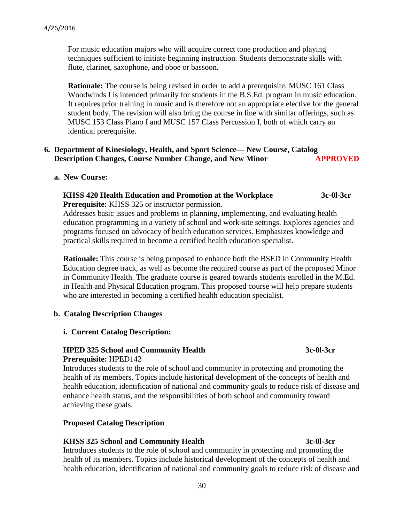For music education majors who will acquire correct tone production and playing techniques sufficient to initiate beginning instruction. Students demonstrate skills with flute, clarinet, saxophone, and oboe or bassoon.

**Rationale:** The course is being revised in order to add a prerequisite. MUSC 161 Class Woodwinds I is intended primarily for students in the B.S.Ed. program in music education. It requires prior training in music and is therefore not an appropriate elective for the general student body. The revision will also bring the course in line with similar offerings, such as MUSC 153 Class Piano I and MUSC 157 Class Percussion I, both of which carry an identical prerequisite.

### **6. Department of Kinesiology, Health, and Sport Science— New Course, Catalog Description Changes, Course Number Change, and New Minor APPROVED**

 **a. New Course:**

#### **KHSS 420 Health Education and Promotion at the Workplace 3c-0l-3cr Prerequisite:** KHSS 325 or instructor permission.

Addresses basic issues and problems in planning, implementing, and evaluating health education programming in a variety of school and work-site settings. Explores agencies and programs focused on advocacy of health education services. Emphasizes knowledge and practical skills required to become a certified health education specialist.

**Rationale:** This course is being proposed to enhance both the BSED in Community Health Education degree track, as well as become the required course as part of the proposed Minor in Community Health. The graduate course is geared towards students enrolled in the M.Ed. in Health and Physical Education program. This proposed course will help prepare students who are interested in becoming a certified health education specialist.

#### **b. Catalog Description Changes**

#### **i. Current Catalog Description:**

### **HPED 325 School and Community Health 3c-0l-3cr Prerequisite:** HPED142

Introduces students to the role of school and community in protecting and promoting the health of its members. Topics include historical development of the concepts of health and health education, identification of national and community goals to reduce risk of disease and enhance health status, and the responsibilities of both school and community toward achieving these goals.

# **Proposed Catalog Description**

#### **KHSS 325 School and Community Health 3c-0l-3cr**

Introduces students to the role of school and community in protecting and promoting the health of its members. Topics include historical development of the concepts of health and health education, identification of national and community goals to reduce risk of disease and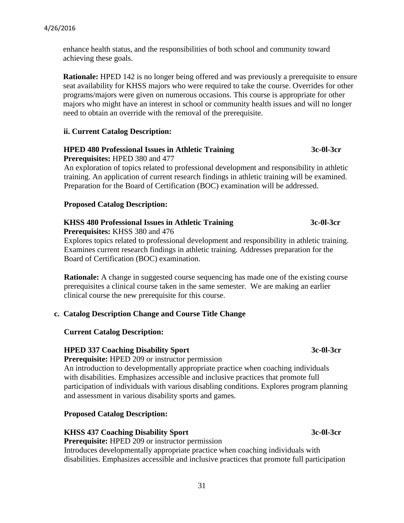enhance health status, and the responsibilities of both school and community toward achieving these goals.

**Rationale:** HPED 142 is no longer being offered and was previously a prerequisite to ensure seat availability for KHSS majors who were required to take the course. Overrides for other programs/majors were given on numerous occasions. This course is appropriate for other majors who might have an interest in school or community health issues and will no longer need to obtain an override with the removal of the prerequisite.

### **ii. Current Catalog Description:**

#### **HPED 480 Professional Issues in Athletic Training 3c-0l-3cr Prerequisites:** HPED 380 and 477

An exploration of topics related to professional development and responsibility in athletic training. An application of current research findings in athletic training will be examined. Preparation for the Board of Certification (BOC) examination will be addressed.

### **Proposed Catalog Description:**

# **KHSS 480 Professional Issues in Athletic Training 3c-0l-3cr**

 **Prerequisites:** KHSS 380 and 476

 Explores topics related to professional development and responsibility in athletic training. Examines current research findings in athletic training. Addresses preparation for the Board of Certification (BOC) examination.

**Rationale:** A change in suggested course sequencing has made one of the existing course prerequisites a clinical course taken in the same semester. We are making an earlier clinical course the new prerequisite for this course.

# **c. Catalog Description Change and Course Title Change**

#### **Current Catalog Description:**

#### **HPED 337 Coaching Disability Sport 3c-0l-3cr**

 **Prerequisite:** HPED 209 or instructor permission

 An introduction to developmentally appropriate practice when coaching individuals with disabilities. Emphasizes accessible and inclusive practices that promote full participation of individuals with various disabling conditions. Explores program planning and assessment in various disability sports and games.

# **Proposed Catalog Description:**

# **KHSS 437 Coaching Disability Sport 3c-0l-3cr**

**Prerequisite:** HPED 209 or instructor permission

 Introduces developmentally appropriate practice when coaching individuals with disabilities. Emphasizes accessible and inclusive practices that promote full participation

31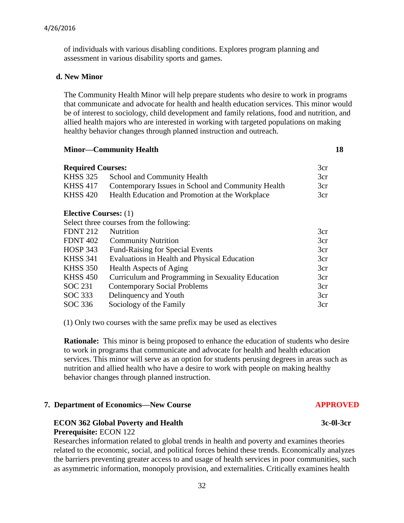of individuals with various disabling conditions. Explores program planning and assessment in various disability sports and games.

#### **d. New Minor**

 The Community Health Minor will help prepare students who desire to work in programs that communicate and advocate for health and health education services. This minor would be of interest to sociology, child development and family relations, food and nutrition, and allied health majors who are interested in working with targeted populations on making healthy behavior changes through planned instruction and outreach.

#### *Minor—Community Health* **18**

| <b>Required Courses:</b>     |                                                    | 3cr |
|------------------------------|----------------------------------------------------|-----|
| <b>KHSS 325</b>              | School and Community Health                        | 3cr |
| <b>KHSS 417</b>              | Contemporary Issues in School and Community Health | 3cr |
| <b>KHSS 420</b>              | Health Education and Promotion at the Workplace    | 3cr |
| <b>Elective Courses:</b> (1) | Select three courses from the following:           |     |
|                              |                                                    |     |
| <b>FDNT 212</b>              | <b>Nutrition</b>                                   | 3cr |
| <b>FDNT 402</b>              | <b>Community Nutrition</b>                         | 3cr |
| <b>HOSP 343</b>              | <b>Fund-Raising for Special Events</b>             | 3cr |

| 11VVI JTJ       | I and Raising for Special Events                  | J⊾⊾ |
|-----------------|---------------------------------------------------|-----|
| <b>KHSS 341</b> | Evaluations in Health and Physical Education      | 3cr |
| <b>KHSS 350</b> | Health Aspects of Aging                           | 3cr |
| <b>KHSS 450</b> | Curriculum and Programming in Sexuality Education | 3cr |
| <b>SOC 231</b>  | <b>Contemporary Social Problems</b>               | 3cr |
| SOC 333         | Delinquency and Youth                             | 3cr |
| SOC 336         | Sociology of the Family                           | 3cr |
|                 |                                                   |     |

(1) Only two courses with the same prefix may be used as electives

**Rationale:** This minor is being proposed to enhance the education of students who desire to work in programs that communicate and advocate for health and health education services. This minor will serve as an option for students perusing degrees in areas such as nutrition and allied health who have a desire to work with people on making healthy behavior changes through planned instruction.

#### **7. Department of Economics—New Course APPROVED**

#### **ECON 362 Global Poverty and Health 3c-0l-3cr**

#### **Prerequisite:** ECON 122

Researches information related to global trends in health and poverty and examines theories related to the economic, social, and political forces behind these trends. Economically analyzes the barriers preventing greater access to and usage of health services in poor communities, such as asymmetric information, monopoly provision, and externalities. Critically examines health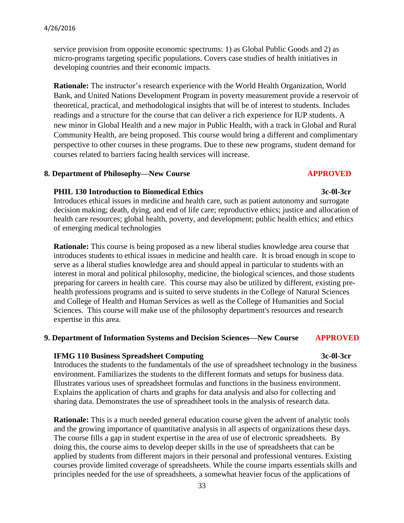service provision from opposite economic spectrums: 1) as Global Public Goods and 2) as micro-programs targeting specific populations. Covers case studies of health initiatives in developing countries and their economic impacts.

**Rationale:** The instructor's research experience with the World Health Organization, World Bank, and United Nations Development Program in poverty measurement provide a reservoir of theoretical, practical, and methodological insights that will be of interest to students. Includes readings and a structure for the course that can deliver a rich experience for IUP students. A new minor in Global Health and a new major in Public Health, with a track in Global and Rural Community Health, are being proposed. This course would bring a different and complimentary perspective to other courses in these programs. Due to these new programs, student demand for courses related to barriers facing health services will increase.

#### 8. Department of Philosophy—New Course **APPROVED**

#### **PHIL 130 Introduction to Biomedical Ethics 3c-0l-3cr**

Introduces ethical issues in medicine and health care, such as patient autonomy and surrogate decision making; death, dying, and end of life care; reproductive ethics; justice and allocation of health care resources; global health, poverty, and development; public health ethics; and ethics of emerging medical technologies

**Rationale:** This course is being proposed as a new liberal studies knowledge area course that introduces students to ethical issues in medicine and health care. It is broad enough in scope to serve as a liberal studies knowledge area and should appeal in particular to students with an interest in moral and political philosophy, medicine, the biological sciences, and those students preparing for careers in health care. This course may also be utilized by different, existing prehealth professions programs and is suited to serve students in the College of Natural Sciences and College of Health and Human Services as well as the College of Humanities and Social Sciences. This course will make use of the philosophy department's resources and research expertise in this area.

#### **9. Department of Information Systems and Decision Sciences—New Course APPROVED**

#### **IFMG 110 Business Spreadsheet Computing 3c-0l-3cr**

Introduces the students to the fundamentals of the use of spreadsheet technology in the business environment. Familiarizes the students to the different formats and setups for business data. Illustrates various uses of spreadsheet formulas and functions in the business environment. Explains the application of charts and graphs for data analysis and also for collecting and sharing data. Demonstrates the use of spreadsheet tools in the analysis of research data.

**Rationale:** This is a much needed general education course given the advent of analytic tools and the growing importance of quantitative analysis in all aspects of organizations these days. The course fills a gap in student expertise in the area of use of electronic spreadsheets. By doing this, the course aims to develop deeper skills in the use of spreadsheets that can be applied by students from different majors in their personal and professional ventures. Existing courses provide limited coverage of spreadsheets. While the course imparts essentials skills and principles needed for the use of spreadsheets, a somewhat heavier focus of the applications of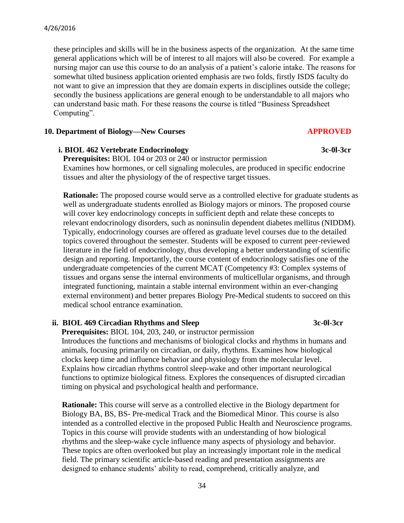these principles and skills will be in the business aspects of the organization. At the same time general applications which will be of interest to all majors will also be covered. For example a nursing major can use this course to do an analysis of a patient's calorie intake. The reasons for somewhat tilted business application oriented emphasis are two folds, firstly ISDS faculty do not want to give an impression that they are domain experts in disciplines outside the college; secondly the business applications are general enough to be understandable to all majors who can understand basic math. For these reasons the course is titled "Business Spreadsheet Computing".

#### **10. Department of Biology—New Courses APPROVED**

### **i. BIOL 462 Vertebrate Endocrinology 3c-0l-3cr**

**Prerequisites:** BIOL 104 or 203 or 240 or instructor permission Examines how hormones, or cell signaling molecules, are produced in specific endocrine tissues and alter the physiology of the of respective target tissues.

**Rationale:** The proposed course would serve as a controlled elective for graduate students as well as undergraduate students enrolled as Biology majors or minors. The proposed course will cover key endocrinology concepts in sufficient depth and relate these concepts to relevant endocrinology disorders, such as noninsulin dependent diabetes mellitus (NIDDM). Typically, endocrinology courses are offered as graduate level courses due to the detailed topics covered throughout the semester. Students will be exposed to current peer-reviewed literature in the field of endocrinology, thus developing a better understanding of scientific design and reporting. Importantly, the course content of endocrinology satisfies one of the undergraduate competencies of the current MCAT (Competency #3: Complex systems of tissues and organs sense the internal environments of multicellular organisms, and through integrated functioning, maintain a stable internal environment within an ever-changing external environment) and better prepares Biology Pre-Medical students to succeed on this medical school entrance examination.

### **ii. BIOL 469 Circadian Rhythms and Sleep** 3c-0l-3cr

 **Prerequisites:** BIOL 104, 203, 240, or instructor permission

 Introduces the functions and mechanisms of biological clocks and rhythms in humans and animals, focusing primarily on circadian, or daily, rhythms. Examines how biological clocks keep time and influence behavior and physiology from the molecular level. Explains how circadian rhythms control sleep-wake and other important neurological functions to optimize biological fitness. Explores the consequences of disrupted circadian timing on physical and psychological health and performance.

 **Rationale:** This course will serve as a controlled elective in the Biology department for Biology BA, BS, BS- Pre-medical Track and the Biomedical Minor. This course is also intended as a controlled elective in the proposed Public Health and Neuroscience programs. Topics in this course will provide students with an understanding of how biological rhythms and the sleep-wake cycle influence many aspects of physiology and behavior. These topics are often overlooked but play an increasingly important role in the medical field. The primary scientific article-based reading and presentation assignments are designed to enhance students' ability to read, comprehend, critically analyze, and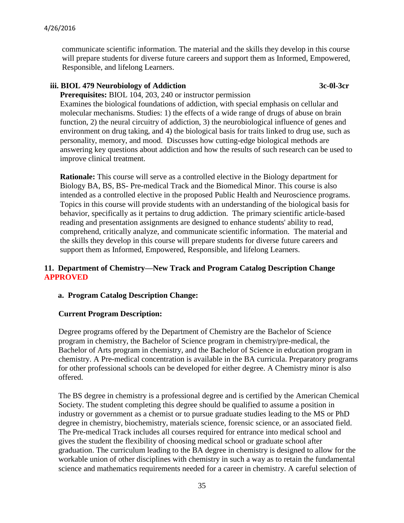#### 4/26/2016

 communicate scientific information. The material and the skills they develop in this course will prepare students for diverse future careers and support them as Informed, Empowered, Responsible, and lifelong Learners.

# **iii. BIOL 479 Neurobiology of Addiction 3c-0l-3cr**

 **Prerequisites:** BIOL 104, 203, 240 or instructor permission Examines the biological foundations of addiction, with special emphasis on cellular and molecular mechanisms. Studies: 1) the effects of a wide range of drugs of abuse on brain function, 2) the neural circuitry of addiction, 3) the neurobiological influence of genes and environment on drug taking, and 4) the biological basis for traits linked to drug use, such as personality, memory, and mood. Discusses how cutting-edge biological methods are answering key questions about addiction and how the results of such research can be used to improve clinical treatment.

 **Rationale:** This course will serve as a controlled elective in the Biology department for Biology BA, BS, BS- Pre-medical Track and the Biomedical Minor. This course is also intended as a controlled elective in the proposed Public Health and Neuroscience programs. Topics in this course will provide students with an understanding of the biological basis for behavior, specifically as it pertains to drug addiction. The primary scientific article-based reading and presentation assignments are designed to enhance students' ability to read, comprehend, critically analyze, and communicate scientific information. The material and the skills they develop in this course will prepare students for diverse future careers and support them as Informed, Empowered, Responsible, and lifelong Learners.

# **11. Department of Chemistry—New Track and Program Catalog Description Change APPROVED**

# **a. Program Catalog Description Change:**

#### **Current Program Description:**

Degree programs offered by the Department of Chemistry are the Bachelor of Science program in chemistry, the Bachelor of Science program in chemistry/pre-medical, the Bachelor of Arts program in chemistry, and the Bachelor of Science in education program in chemistry. A Pre-medical concentration is available in the BA curricula. Preparatory programs for other professional schools can be developed for either degree. A Chemistry minor is also offered.

The BS degree in chemistry is a professional degree and is certified by the American Chemical Society. The student completing this degree should be qualified to assume a position in industry or government as a chemist or to pursue graduate studies leading to the MS or PhD degree in chemistry, biochemistry, materials science, forensic science, or an associated field. The Pre-medical Track includes all courses required for entrance into medical school and gives the student the flexibility of choosing medical school or graduate school after graduation. The curriculum leading to the BA degree in chemistry is designed to allow for the workable union of other disciplines with chemistry in such a way as to retain the fundamental science and mathematics requirements needed for a career in chemistry. A careful selection of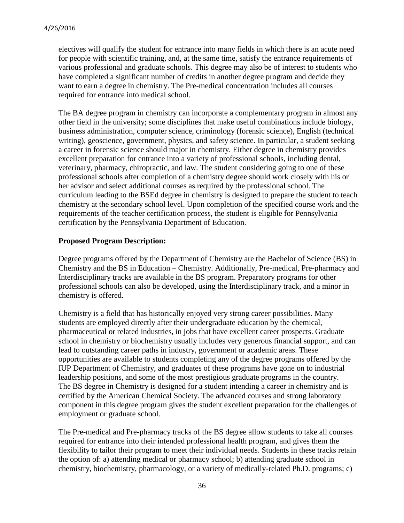electives will qualify the student for entrance into many fields in which there is an acute need for people with scientific training, and, at the same time, satisfy the entrance requirements of various professional and graduate schools. This degree may also be of interest to students who have completed a significant number of credits in another degree program and decide they want to earn a degree in chemistry. The Pre-medical concentration includes all courses required for entrance into medical school.

The BA degree program in chemistry can incorporate a complementary program in almost any other field in the university; some disciplines that make useful combinations include biology, business administration, computer science, criminology (forensic science), English (technical writing), geoscience, government, physics, and safety science. In particular, a student seeking a career in forensic science should major in chemistry. Either degree in chemistry provides excellent preparation for entrance into a variety of professional schools, including dental, veterinary, pharmacy, chiropractic, and law. The student considering going to one of these professional schools after completion of a chemistry degree should work closely with his or her advisor and select additional courses as required by the professional school. The curriculum leading to the BSEd degree in chemistry is designed to prepare the student to teach chemistry at the secondary school level. Upon completion of the specified course work and the requirements of the teacher certification process, the student is eligible for Pennsylvania certification by the Pennsylvania Department of Education.

# **Proposed Program Description:**

Degree programs offered by the Department of Chemistry are the Bachelor of Science (BS) in Chemistry and the BS in Education – Chemistry. Additionally, Pre-medical, Pre-pharmacy and Interdisciplinary tracks are available in the BS program. Preparatory programs for other professional schools can also be developed, using the Interdisciplinary track, and a minor in chemistry is offered.

Chemistry is a field that has historically enjoyed very strong career possibilities. Many students are employed directly after their undergraduate education by the chemical, pharmaceutical or related industries, in jobs that have excellent career prospects. Graduate school in chemistry or biochemistry usually includes very generous financial support, and can lead to outstanding career paths in industry, government or academic areas. These opportunities are available to students completing any of the degree programs offered by the IUP Department of Chemistry, and graduates of these programs have gone on to industrial leadership positions, and some of the most prestigious graduate programs in the country. The BS degree in Chemistry is designed for a student intending a career in chemistry and is certified by the American Chemical Society. The advanced courses and strong laboratory component in this degree program gives the student excellent preparation for the challenges of employment or graduate school.

The Pre-medical and Pre-pharmacy tracks of the BS degree allow students to take all courses required for entrance into their intended professional health program, and gives them the flexibility to tailor their program to meet their individual needs. Students in these tracks retain the option of: a) attending medical or pharmacy school; b) attending graduate school in chemistry, biochemistry, pharmacology, or a variety of medically-related Ph.D. programs; c)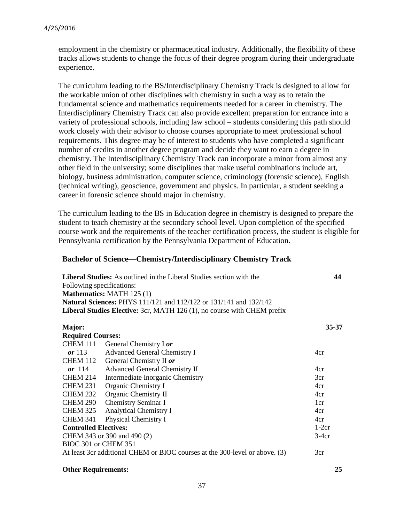employment in the chemistry or pharmaceutical industry. Additionally, the flexibility of these tracks allows students to change the focus of their degree program during their undergraduate experience.

The curriculum leading to the BS/Interdisciplinary Chemistry Track is designed to allow for the workable union of other disciplines with chemistry in such a way as to retain the fundamental science and mathematics requirements needed for a career in chemistry. The Interdisciplinary Chemistry Track can also provide excellent preparation for entrance into a variety of professional schools, including law school – students considering this path should work closely with their advisor to choose courses appropriate to meet professional school requirements. This degree may be of interest to students who have completed a significant number of credits in another degree program and decide they want to earn a degree in chemistry. The Interdisciplinary Chemistry Track can incorporate a minor from almost any other field in the university; some disciplines that make useful combinations include art, biology, business administration, computer science, criminology (forensic science), English (technical writing), geoscience, government and physics. In particular, a student seeking a career in forensic science should major in chemistry.

The curriculum leading to the BS in Education degree in chemistry is designed to prepare the student to teach chemistry at the secondary school level. Upon completion of the specified course work and the requirements of the teacher certification process, the student is eligible for Pennsylvania certification by the Pennsylvania Department of Education.

#### **Bachelor of Science—Chemistry/Interdisciplinary Chemistry Track**

| <b>Liberal Studies:</b> As outlined in the Liberal Studies section with the    | 44    |
|--------------------------------------------------------------------------------|-------|
| Following specifications:                                                      |       |
| <b>Mathematics: MATH 125 (1)</b>                                               |       |
| <b>Natural Sciences: PHYS</b> 111/121 and 112/122 or 131/141 and 132/142       |       |
| <b>Liberal Studies Elective:</b> 3cr, MATH 126 (1), no course with CHEM prefix |       |
|                                                                                |       |
| Maior:                                                                         | 35-37 |

| <b>Required Courses:</b>     |                                                                             |                 |
|------------------------------|-----------------------------------------------------------------------------|-----------------|
| <b>CHEM 111</b>              | General Chemistry I or                                                      |                 |
| or $113$                     | <b>Advanced General Chemistry I</b>                                         | 4cr             |
| CHEM 112                     | General Chemistry II or                                                     |                 |
| or $114$                     | <b>Advanced General Chemistry II</b>                                        | 4cr             |
| <b>CHEM 214</b>              | Intermediate Inorganic Chemistry                                            | 3cr             |
| <b>CHEM 231</b>              | Organic Chemistry I                                                         | 4cr             |
| <b>CHEM 232</b>              | Organic Chemistry II                                                        | 4cr             |
| <b>CHEM 290</b>              | <b>Chemistry Seminar I</b>                                                  | 1 <sub>cr</sub> |
| <b>CHEM 325</b>              | <b>Analytical Chemistry I</b>                                               | 4cr             |
| <b>CHEM 341</b>              | <b>Physical Chemistry I</b>                                                 | 4cr             |
| <b>Controlled Electives:</b> |                                                                             | $1-2cr$         |
| CHEM 343 or 390 and 490 (2)  |                                                                             | $3-4cr$         |
| BIOC 301 or CHEM 351         |                                                                             |                 |
|                              | At least 3cr additional CHEM or BIOC courses at the 300-level or above. (3) | 3cr             |
|                              |                                                                             |                 |

#### **Other Requirements:**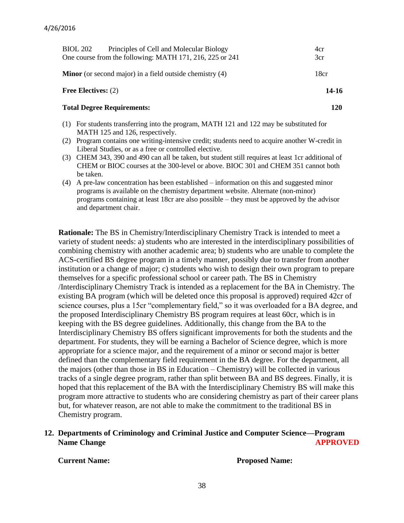| <b>BIOL 202</b><br>Principles of Cell and Molecular Biology<br>One course from the following: MATH 171, 216, 225 or 241                                                                                                                                                                                                                                                                                                                                                                                 | 4cr<br>3cr |
|---------------------------------------------------------------------------------------------------------------------------------------------------------------------------------------------------------------------------------------------------------------------------------------------------------------------------------------------------------------------------------------------------------------------------------------------------------------------------------------------------------|------------|
| <b>Minor</b> (or second major) in a field outside chemistry (4)                                                                                                                                                                                                                                                                                                                                                                                                                                         | 18cr       |
| <b>Free Electives:</b> $(2)$                                                                                                                                                                                                                                                                                                                                                                                                                                                                            | 14-16      |
| <b>Total Degree Requirements:</b>                                                                                                                                                                                                                                                                                                                                                                                                                                                                       | 120        |
| $\overline{1}$ $\overline{1}$ $\overline{2}$ $\overline{3}$ $\overline{1}$ $\overline{1}$ $\overline{1}$ $\overline{1}$ $\overline{1}$ $\overline{1}$ $\overline{1}$ $\overline{1}$ $\overline{1}$ $\overline{1}$ $\overline{1}$ $\overline{1}$ $\overline{1}$ $\overline{1}$ $\overline{1}$ $\overline{1}$ $\overline{1}$ $\overline{1}$ $\overline{1}$ $\overline{1}$ $\overline{$<br>$\mathcal{L}$ and the set of the set of $\mathcal{L}$ . The set of $\mathcal{L}$<br>, <i>,</i> , <del>. .</del> |            |

- (1) For students transferring into the program, MATH 121 and 122 may be substituted for MATH 125 and 126, respectively.
- (2) Program contains one writing-intensive credit; students need to acquire another W-credit in Liberal Studies, or as a free or controlled elective.
- (3) CHEM 343, 390 and 490 can all be taken, but student still requires at least 1cr additional of CHEM or BIOC courses at the 300-level or above. BIOC 301 and CHEM 351 cannot both be taken.
- (4) A pre-law concentration has been established information on this and suggested minor programs is available on the chemistry department website. Alternate (non-minor) programs containing at least 18cr are also possible – they must be approved by the advisor and department chair.

**Rationale:** The BS in Chemistry/Interdisciplinary Chemistry Track is intended to meet a variety of student needs: a) students who are interested in the interdisciplinary possibilities of combining chemistry with another academic area; b) students who are unable to complete the ACS-certified BS degree program in a timely manner, possibly due to transfer from another institution or a change of major; c) students who wish to design their own program to prepare themselves for a specific professional school or career path. The BS in Chemistry /Interdisciplinary Chemistry Track is intended as a replacement for the BA in Chemistry. The existing BA program (which will be deleted once this proposal is approved) required 42cr of science courses, plus a 15cr "complementary field," so it was overloaded for a BA degree, and the proposed Interdisciplinary Chemistry BS program requires at least 60cr, which is in keeping with the BS degree guidelines. Additionally, this change from the BA to the Interdisciplinary Chemistry BS offers significant improvements for both the students and the department. For students, they will be earning a Bachelor of Science degree, which is more appropriate for a science major, and the requirement of a minor or second major is better defined than the complementary field requirement in the BA degree. For the department, all the majors (other than those in BS in Education – Chemistry) will be collected in various tracks of a single degree program, rather than split between BA and BS degrees. Finally, it is hoped that this replacement of the BA with the Interdisciplinary Chemistry BS will make this program more attractive to students who are considering chemistry as part of their career plans but, for whatever reason, are not able to make the commitment to the traditional BS in Chemistry program.

**12. Departments of Criminology and Criminal Justice and Computer Science—Program Name Change APPROVED** 

 **Current Name: Proposed Name:**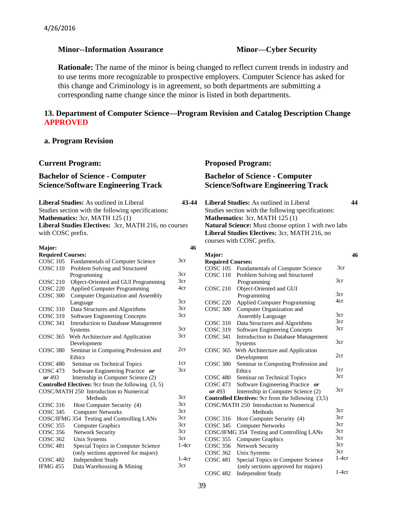#### **Minor--Information Assurance Minor-Cyber Security**

**Rationale:** The name of the minor is being changed to reflect current trends in industry and to use terms more recognizable to prospective employers. Computer Science has asked for this change and Criminology is in agreement, so both departments are submitting a corresponding name change since the minor is listed in both departments.

#### **13. Department of Computer Science—Program Revision and Catalog Description Change APPROVED**

#### **a. Program Revision**

|                                                                                                                                                                                                                                                                                                                                                                                                                                                                               | <b>Current Program:</b>                                                            |            | <b>Proposed Program:</b>                                                                  |    |
|-------------------------------------------------------------------------------------------------------------------------------------------------------------------------------------------------------------------------------------------------------------------------------------------------------------------------------------------------------------------------------------------------------------------------------------------------------------------------------|------------------------------------------------------------------------------------|------------|-------------------------------------------------------------------------------------------|----|
|                                                                                                                                                                                                                                                                                                                                                                                                                                                                               | <b>Bachelor of Science - Computer</b><br><b>Science/Software Engineering Track</b> |            | <b>Bachelor of Science - Computer</b><br><b>Science/Software Engineering Track</b>        |    |
| <b>Liberal Studies:</b> As outlined in Liberal<br>43-44<br><b>Liberal Studies:</b> As outlined in Liberal<br>Studies section with the following specifications:<br>Studies section with the following specifications:<br>Mathematics: 3cr, MATH 125 (1)<br>Mathematics: 3cr, MATH 125 (1)<br>Liberal Studies Electives: 3cr, MATH 216, no courses<br>Natural Science: Must choose option 1 with two labs<br>Liberal Studies Electives: 3cr, MATH 216, no<br>with COSC prefix. |                                                                                    | 44         |                                                                                           |    |
|                                                                                                                                                                                                                                                                                                                                                                                                                                                                               |                                                                                    |            | courses with COSC prefix.                                                                 |    |
| Major:                                                                                                                                                                                                                                                                                                                                                                                                                                                                        |                                                                                    | 46         |                                                                                           |    |
| <b>Required Courses:</b>                                                                                                                                                                                                                                                                                                                                                                                                                                                      |                                                                                    |            | Major:                                                                                    | 46 |
|                                                                                                                                                                                                                                                                                                                                                                                                                                                                               | COSC 105 Fundamentals of Computer Science                                          | 3cr        | <b>Required Courses:</b>                                                                  |    |
|                                                                                                                                                                                                                                                                                                                                                                                                                                                                               | COSC 110 Problem Solving and Structured                                            |            | 3cr<br>COSC 105 Fundamentals of Computer Science                                          |    |
|                                                                                                                                                                                                                                                                                                                                                                                                                                                                               | Programming                                                                        | 3cr<br>3cr | <b>COSC 110</b><br>Problem Solving and Structured<br>3cr                                  |    |
| <b>COSC 210</b>                                                                                                                                                                                                                                                                                                                                                                                                                                                               | Object-Oriented and GUI Programming                                                | 4cr        | Programming                                                                               |    |
| <b>COSC 220</b>                                                                                                                                                                                                                                                                                                                                                                                                                                                               | <b>Applied Computer Programming</b>                                                |            | Object-Oriented and GUI<br><b>COSC 210</b><br>3cr                                         |    |
| COSC 300                                                                                                                                                                                                                                                                                                                                                                                                                                                                      | Computer Organization and Assembly                                                 | 3cr        | Programming<br>4cr                                                                        |    |
|                                                                                                                                                                                                                                                                                                                                                                                                                                                                               | Language                                                                           | 3cr        | <b>Applied Computer Programming</b><br><b>COSC 220</b>                                    |    |
|                                                                                                                                                                                                                                                                                                                                                                                                                                                                               | COSC 310 Data Structures and Algorithms                                            | 3cr        | Computer Organization and<br><b>COSC 300</b><br>3cr                                       |    |
| COSC 319                                                                                                                                                                                                                                                                                                                                                                                                                                                                      | Software Engineering Concepts                                                      |            | <b>Assembly Language</b><br>3cr<br><b>COSC 310</b>                                        |    |
| COSC 341                                                                                                                                                                                                                                                                                                                                                                                                                                                                      | Introduction to Database Management                                                | 3cr        | Data Structures and Algorithms<br>3cr<br><b>COSC 319</b><br>Software Engineering Concepts |    |
|                                                                                                                                                                                                                                                                                                                                                                                                                                                                               | Systems<br>COSC 365 Web Architecture and Application                               | 3cr        | <b>COSC 341</b><br>Introduction to Database Management                                    |    |
|                                                                                                                                                                                                                                                                                                                                                                                                                                                                               | Development                                                                        |            | 3cr<br>Systems                                                                            |    |
| <b>COSC 380</b>                                                                                                                                                                                                                                                                                                                                                                                                                                                               | Seminar in Computing Profession and                                                | 2cr        | COSC 365 Web Architecture and Application                                                 |    |
|                                                                                                                                                                                                                                                                                                                                                                                                                                                                               | Ethics                                                                             |            | 2cr<br>Development                                                                        |    |
| COSC <sub>480</sub>                                                                                                                                                                                                                                                                                                                                                                                                                                                           | Seminar on Technical Topics                                                        | 1cr        | <b>COSC 380</b><br>Seminar in Computing Profession and                                    |    |
| COSC 473                                                                                                                                                                                                                                                                                                                                                                                                                                                                      | Software Engineering Practice or                                                   | 3cr        | 1 <sub>cr</sub><br>Ethics                                                                 |    |
| or 493                                                                                                                                                                                                                                                                                                                                                                                                                                                                        | Internship in Computer Science (2)                                                 |            | 3 <sub>cr</sub><br>COSC 480<br>Seminar on Technical Topics                                |    |
|                                                                                                                                                                                                                                                                                                                                                                                                                                                                               | <b>Controlled Electives:</b> 9cr from the following $(3, 5)$                       |            | COSC 473<br>Software Engineering Practice or                                              |    |
|                                                                                                                                                                                                                                                                                                                                                                                                                                                                               | COSC/MATH 250 Introduction to Numerical                                            |            | 3cr<br>$\boldsymbol{or}$ 493<br>Internship in Computer Science (2)                        |    |
|                                                                                                                                                                                                                                                                                                                                                                                                                                                                               | Methods                                                                            | 3cr        | <b>Controlled Electives:</b> 9cr from the following (3,5)                                 |    |
| <b>COSC 316</b>                                                                                                                                                                                                                                                                                                                                                                                                                                                               | Host Computer Security (4)                                                         | 3cr        | COSC/MATH 250 Introduction to Numerical                                                   |    |
| <b>COSC 345</b>                                                                                                                                                                                                                                                                                                                                                                                                                                                               | <b>Computer Networks</b>                                                           | 3cr        | 3cr<br>Methods                                                                            |    |
|                                                                                                                                                                                                                                                                                                                                                                                                                                                                               | COSC/IFMG 354 Testing and Controlling LANs                                         | 3cr        | 3cr<br>COSC 316 Host Computer Security (4)                                                |    |
| <b>COSC 355</b>                                                                                                                                                                                                                                                                                                                                                                                                                                                               | <b>Computer Graphics</b>                                                           | 3cr        | 3cr<br>COSC 345 Computer Networks                                                         |    |
| <b>COSC 356</b>                                                                                                                                                                                                                                                                                                                                                                                                                                                               | Network Security                                                                   | 3cr        | 3cr<br>COSC/IFMG 354 Testing and Controlling LANs                                         |    |
| COSC 362                                                                                                                                                                                                                                                                                                                                                                                                                                                                      | Unix Systems                                                                       | 3cr        | 3cr<br>COSC 355<br><b>Computer Graphics</b>                                               |    |
| COSC <sub>481</sub>                                                                                                                                                                                                                                                                                                                                                                                                                                                           | Special Topics in Computer Science                                                 | $1-4cr$    | 3cr<br><b>COSC 356</b><br>Network Security                                                |    |
|                                                                                                                                                                                                                                                                                                                                                                                                                                                                               | (only sections approved for majors)                                                |            | 3cr<br><b>COSC 362</b><br>Unix Systems                                                    |    |
| <b>COSC 482</b>                                                                                                                                                                                                                                                                                                                                                                                                                                                               | <b>Independent Study</b>                                                           | $1-4cr$    | $1-4cr$<br><b>COSC 481</b><br>Special Topics in Computer Science                          |    |
| <b>IFMG 455</b>                                                                                                                                                                                                                                                                                                                                                                                                                                                               | Data Warehousing & Mining                                                          | 3cr        | (only sections approved for majors)                                                       |    |
|                                                                                                                                                                                                                                                                                                                                                                                                                                                                               |                                                                                    |            | $1-4cr$<br><b>COSC 482</b><br><b>Independent Study</b>                                    |    |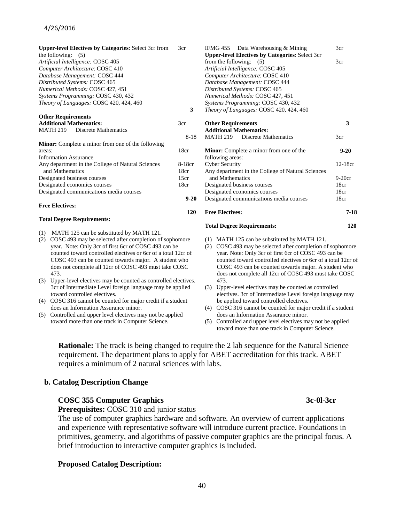#### 4/26/2016

| <b>Upper-level Electives by Categories: Select 3cr from</b> | 3cr      |
|-------------------------------------------------------------|----------|
| the following: $(5)$                                        |          |
| Artificial Intelligence: COSC 405                           |          |
| Computer Architecture: COSC 410                             |          |
| Database Management: COSC 444                               |          |
| Distributed Systems: COSC 465                               |          |
| Numerical Methods: COSC 427, 451                            |          |
| Systems Programming: COSC 430, 432                          |          |
| Theory of Languages: COSC 420, 424, 460                     |          |
|                                                             | 3        |
| <b>Other Requirements</b>                                   |          |
| <b>Additional Mathematics:</b>                              | 3cr      |
| MATH 219 Discrete Mathematics                               |          |
|                                                             | $8 - 18$ |
| Minor: Complete a minor from one of the following           |          |
| areas:                                                      | 18cr     |
| <b>Information Assurance</b>                                |          |
| Any department in the College of Natural Sciences           | 8-18cr   |
| and Mathematics                                             | 18cr     |
| Designated business courses                                 | 15cr     |
| Designated economics courses                                | 18cr     |
| Designated communications media courses                     |          |
|                                                             | $9 - 20$ |
| <b>Free Electives:</b>                                      |          |
|                                                             | 120      |

#### **Total Degree Requirements:**

- (1) MATH 125 can be substituted by MATH 121.
- (2) COSC 493 may be selected after completion of sophomore year. Note: Only 3cr of first 6cr of COSC 493 can be counted toward controlled electives or 6cr of a total 12cr of COSC 493 can be counted towards major. A student who does not complete all 12cr of COSC 493 must take COSC 473.
- (3) Upper-level electives may be counted as controlled electives. 3cr of Intermediate Level foreign language may be applied toward controlled electives.
- (4) COSC 316 cannot be counted for major credit if a student does an Information Assurance minor.
- (5) Controlled and upper level electives may not be applied toward more than one track in Computer Science.

| <b>Upper-level Electives by Categories: Select 3cr</b> |          |
|--------------------------------------------------------|----------|
| from the following: $(5)$                              | 3cr      |
| Artificial Intelligence: COSC 405                      |          |
| Computer Architecture: COSC 410                        |          |
| Database Management: COSC 444                          |          |
| Distributed Systems: COSC 465                          |          |
| Numerical Methods: COSC 427, 451                       |          |
| Systems Programming: COSC 430, 432                     |          |
| Theory of Languages: COSC 420, 424, 460                |          |
| <b>Other Requirements</b>                              | 3        |
| <b>Additional Mathematics:</b>                         |          |
| <b>MATH 219</b> Discrete Mathematics                   | 3cr      |
| <b>Minor:</b> Complete a minor from one of the         | $9 - 20$ |
| following areas:                                       |          |
| <b>Cyber Security</b>                                  | 12-18cr  |
| Any department in the College of Natural Sciences      |          |
| and Mathematics                                        | $9-20cr$ |
| Designated business courses                            | 18cr     |
| Designated economics courses                           | 18cr     |
| Designated communications media courses                | 18cr     |
| <b>Free Electives:</b>                                 | 7-18     |
| <b>Total Degree Requirements:</b>                      | 120      |

3cr

IFMG 455 Data Warehousing & Mining

- (1) MATH 125 can be substituted by MATH 121.
- (2) COSC 493 may be selected after completion of sophomore year. Note: Only 3cr of first 6cr of COSC 493 can be counted toward controlled electives or 6cr of a total 12cr of COSC 493 can be counted towards major. A student who does not complete all 12cr of COSC 493 must take COSC 473.
- (3) Upper-level electives may be counted as controlled electives. 3cr of Intermediate Level foreign language may be applied toward controlled electives.
- (4) COSC 316 cannot be counted for major credit if a student does an Information Assurance minor.
- (5) Controlled and upper level electives may not be applied toward more than one track in Computer Science.

**Rationale:** The track is being changed to require the 2 lab sequence for the Natural Science requirement. The department plans to apply for ABET accreditation for this track. ABET requires a minimum of 2 natural sciences with labs.

#### **b. Catalog Description Change**

#### **COSC 355 Computer Graphics 3c-0l-3cr** 3c-0l-3cr

 **Prerequisites:** COSC 310 and junior status

 The use of computer graphics hardware and software. An overview of current applications and experience with representative software will introduce current practice. Foundations in primitives, geometry, and algorithms of passive computer graphics are the principal focus. A brief introduction to interactive computer graphics is included.

#### **Proposed Catalog Description:**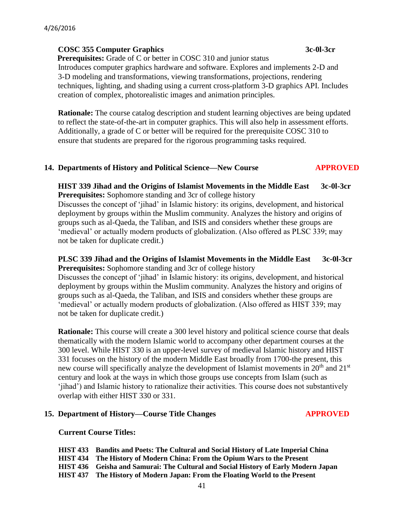#### **COSC 355 Computer Graphics 3c-0l-3cr**

**Prerequisites:** Grade of C or better in COSC 310 and junior status Introduces computer graphics hardware and software. Explores and implements 2-D and 3-D modeling and transformations, viewing transformations, projections, rendering techniques, lighting, and shading using a current cross-platform 3-D graphics API. Includes creation of complex, photorealistic images and animation principles.

 **Rationale:** The course catalog description and student learning objectives are being updated to reflect the state-of-the-art in computer graphics. This will also help in assessment efforts. Additionally, a grade of C or better will be required for the prerequisite COSC 310 to ensure that students are prepared for the rigorous programming tasks required.

#### **14. Departments of History and Political Science—New Course APPROVED**

#### **HIST 339 Jihad and the Origins of Islamist Movements in the Middle East 3c-0l-3cr Prerequisites:** Sophomore standing and 3cr of college history

Discusses the concept of 'jihad' in Islamic history: its origins, development, and historical deployment by groups within the Muslim community. Analyzes the history and origins of groups such as al-Qaeda, the Taliban, and ISIS and considers whether these groups are 'medieval' or actually modern products of globalization. (Also offered as PLSC 339; may not be taken for duplicate credit.)

#### **PLSC 339 Jihad and the Origins of Islamist Movements in the Middle East 3c-0l-3cr Prerequisites:** Sophomore standing and 3cr of college history

Discusses the concept of 'jihad' in Islamic history: its origins, development, and historical deployment by groups within the Muslim community. Analyzes the history and origins of groups such as al-Qaeda, the Taliban, and ISIS and considers whether these groups are 'medieval' or actually modern products of globalization. (Also offered as HIST 339; may not be taken for duplicate credit.)

 **Rationale:** This course will create a 300 level history and political science course that deals thematically with the modern Islamic world to accompany other department courses at the 300 level. While HIST 330 is an upper-level survey of medieval Islamic history and HIST 331 focuses on the history of the modern Middle East broadly from 1700-the present, this new course will specifically analyze the development of Islamist movements in  $20<sup>th</sup>$  and  $21<sup>st</sup>$  century and look at the ways in which those groups use concepts from Islam (such as 'jihad') and Islamic history to rationalize their activities. This course does not substantively overlap with either HIST 330 or 331.

#### **15. Department of History—Course Title Changes APPROVED**

#### **Current Course Titles:**

**HIST 433 Bandits and Poets: The Cultural and Social History of Late Imperial China HIST 434 The History of Modern China: From the Opium Wars to the Present HIST 436 Geisha and Samurai: The Cultural and Social History of Early Modern Japan HIST 437 The History of Modern Japan: From the Floating World to the Present**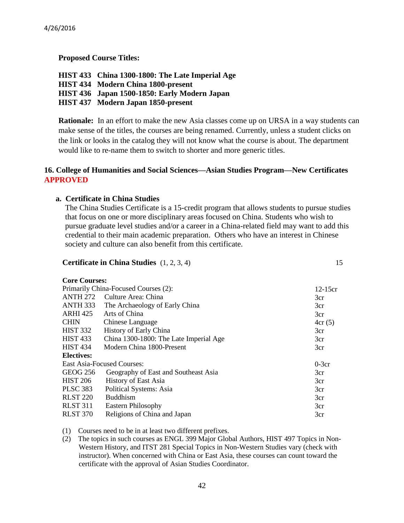**Proposed Course Titles:**

**HIST 433 China 1300-1800: The Late Imperial Age HIST 434 Modern China 1800-present HIST 436 Japan 1500-1850: Early Modern Japan HIST 437 Modern Japan 1850-present**

**Rationale:** In an effort to make the new Asia classes come up on URSA in a way students can make sense of the titles, the courses are being renamed. Currently, unless a student clicks on the link or looks in the catalog they will not know what the course is about. The department would like to re-name them to switch to shorter and more generic titles.

#### **16. College of Humanities and Social Sciences—Asian Studies Program—New Certificates APPROVED**

#### **a. Certificate in China Studies**

The China Studies Certificate is a 15-credit program that allows students to pursue studies that focus on one or more disciplinary areas focused on China. Students who wish to pursue graduate level studies and/or a career in a China-related field may want to add this credential to their main academic preparation. Others who have an interest in Chinese society and culture can also benefit from this certificate.

#### **Certificate in China Studies** (1, 2, 3, 4) 15

| <b>Core Courses:</b> |  |
|----------------------|--|
|                      |  |

| Primarily China-Focused Courses (2): |                                        | $12-15cr$ |
|--------------------------------------|----------------------------------------|-----------|
| <b>ANTH 272</b>                      | Culture Area: China                    | 3cr       |
| ANTH 333                             | The Archaeology of Early China         | 3cr       |
| <b>ARHI 425</b>                      | Arts of China                          | 3cr       |
| <b>CHIN</b>                          | Chinese Language                       | 4cr(5)    |
| <b>HIST 332</b>                      | History of Early China                 | 3cr       |
| <b>HIST 433</b>                      | China 1300-1800: The Late Imperial Age | 3cr       |
| <b>HIST 434</b>                      | Modern China 1800-Present              | 3cr       |
| <b>Electives:</b>                    |                                        |           |
|                                      | <b>East Asia-Focused Courses:</b>      | $0-3cr$   |
| GEOG 256                             | Geography of East and Southeast Asia   | 3cr       |
| <b>HIST 206</b>                      | <b>History of East Asia</b>            | 3cr       |
| <b>PLSC 383</b>                      | Political Systems: Asia                | 3cr       |
| <b>RLST 220</b>                      | <b>Buddhism</b>                        | 3cr       |
| <b>RLST 311</b>                      | <b>Eastern Philosophy</b>              | 3cr       |
| <b>RLST 370</b>                      | Religions of China and Japan           | 3cr       |

#### (1) Courses need to be in at least two different prefixes.

(2) The topics in such courses as ENGL 399 Major Global Authors, HIST 497 Topics in Non- Western History, and ITST 281 Special Topics in Non-Western Studies vary (check with instructor). When concerned with China or East Asia, these courses can count toward the certificate with the approval of Asian Studies Coordinator.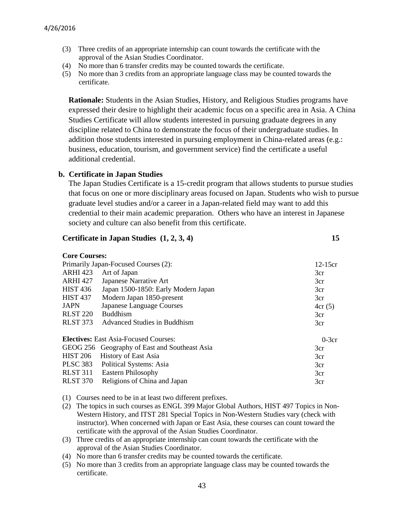- (3) Three credits of an appropriate internship can count towards the certificate with the approval of the Asian Studies Coordinator.
- (4) No more than 6 transfer credits may be counted towards the certificate.
- (5) No more than 3 credits from an appropriate language class may be counted towards the certificate.

**Rationale:** Students in the Asian Studies, History, and Religious Studies programs have expressed their desire to highlight their academic focus on a specific area in Asia. A China Studies Certificate will allow students interested in pursuing graduate degrees in any discipline related to China to demonstrate the focus of their undergraduate studies. In addition those students interested in pursuing employment in China-related areas (e.g.: business, education, tourism, and government service) find the certificate a useful additional credential.

#### **b. Certificate in Japan Studies**

The Japan Studies Certificate is a 15-credit program that allows students to pursue studies that focus on one or more disciplinary areas focused on Japan. Students who wish to pursue graduate level studies and/or a career in a Japan-related field may want to add this credential to their main academic preparation. Others who have an interest in Japanese society and culture can also benefit from this certificate.

#### **Certificate in Japan Studies (1, 2, 3, 4) 15**

#### **Core Courses:**

| Primarily Japan-Focused Courses (2):                    |                                               | $12-15cr$ |
|---------------------------------------------------------|-----------------------------------------------|-----------|
| <b>ARHI 423</b>                                         | Art of Japan                                  | 3cr       |
| <b>ARHI 427</b>                                         | Japanese Narrative Art                        | 3cr       |
| <b>HIST 436</b>                                         | Japan 1500-1850: Early Modern Japan           | 3cr       |
| <b>HIST 437</b>                                         | Modern Japan 1850-present                     | 3cr       |
| <b>JAPN</b>                                             | Japanese Language Courses                     | 4cr(5)    |
| <b>RLST 220</b>                                         | <b>Buddhism</b>                               | 3cr       |
| <b>RLST 373</b>                                         | <b>Advanced Studies in Buddhism</b>           | 3cr       |
| <b>Electives:</b> East Asia-Focused Courses:<br>$0-3cr$ |                                               |           |
|                                                         | GEOG 256 Geography of East and Southeast Asia | 3cr       |
| <b>HIST 206</b>                                         | <b>History of East Asia</b>                   | 3cr       |
| PLSC 383                                                | Political Systems: Asia                       | 3cr       |
| <b>RLST 311</b>                                         | <b>Eastern Philosophy</b>                     | 3cr       |
| <b>RLST 370</b>                                         | Religions of China and Japan                  | 3cr       |

(1) Courses need to be in at least two different prefixes.

- (2) The topics in such courses as ENGL 399 Major Global Authors, HIST 497 Topics in Non- Western History, and ITST 281 Special Topics in Non-Western Studies vary (check with instructor). When concerned with Japan or East Asia, these courses can count toward the certificate with the approval of the Asian Studies Coordinator.
- (3) Three credits of an appropriate internship can count towards the certificate with the approval of the Asian Studies Coordinator.
- (4) No more than 6 transfer credits may be counted towards the certificate.
- (5) No more than 3 credits from an appropriate language class may be counted towards the certificate.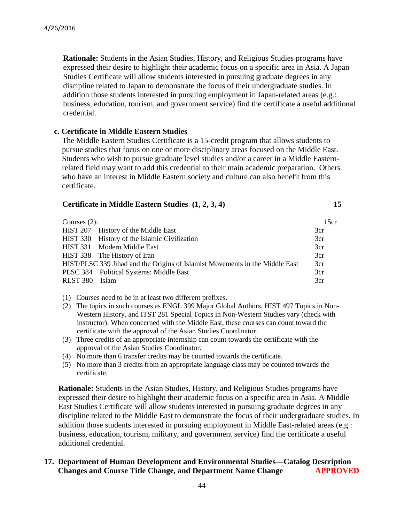**Rationale:** Students in the Asian Studies, History, and Religious Studies programs have expressed their desire to highlight their academic focus on a specific area in Asia. A Japan Studies Certificate will allow students interested in pursuing graduate degrees in any discipline related to Japan to demonstrate the focus of their undergraduate studies. In addition those students interested in pursuing employment in Japan-related areas (e.g.: business, education, tourism, and government service) find the certificate a useful additional credential.

#### **c. Certificate in Middle Eastern Studies**

 The Middle Eastern Studies Certificate is a 15-credit program that allows students to pursue studies that focus on one or more disciplinary areas focused on the Middle East. Students who wish to pursue graduate level studies and/or a career in a Middle Eastern related field may want to add this credential to their main academic preparation. Others who have an interest in Middle Eastern society and culture can also benefit from this certificate.

#### **Certificate in Middle Eastern Studies (1, 2, 3, 4) 15**

| Courses $(2)$ : |                                                                              | 15cr |
|-----------------|------------------------------------------------------------------------------|------|
|                 | HIST 207 History of the Middle East                                          | 3cr  |
|                 | HIST 330 History of the Islamic Civilization                                 | 3cr  |
|                 | HIST 331 Modern Middle East                                                  | 3cr  |
|                 | HIST 338 The History of Iran                                                 | 3cr  |
|                 | HIST/PLSC 339 Jihad and the Origins of Islamist Movements in the Middle East | 3cr  |
|                 | PLSC 384 Political Systems: Middle East                                      | 3cr  |
| RLST 380        | Islam                                                                        | 3cr  |

- (1) Courses need to be in at least two different prefixes.
- (2) The topics in such courses as ENGL 399 Major Global Authors, HIST 497 Topics in Non- Western History, and ITST 281 Special Topics in Non-Western Studies vary (check with instructor). When concerned with the Middle East, these courses can count toward the certificate with the approval of the Asian Studies Coordinator.
- (3) Three credits of an appropriate internship can count towards the certificate with the approval of the Asian Studies Coordinator.
- (4) No more than 6 transfer credits may be counted towards the certificate.
- (5) No more than 3 credits from an appropriate language class may be counted towards the certificate.

**Rationale:** Students in the Asian Studies, History, and Religious Studies programs have expressed their desire to highlight their academic focus on a specific area in Asia. A Middle East Studies Certificate will allow students interested in pursuing graduate degrees in any discipline related to the Middle East to demonstrate the focus of their undergraduate studies. In addition those students interested in pursuing employment in Middle East-related areas (e.g.: business, education, tourism, military, and government service) find the certificate a useful additional credential.

#### **17. Department of Human Development and Environmental Studies—Catalog Description Changes and Course Title Change, and Department Name Change APPROVED**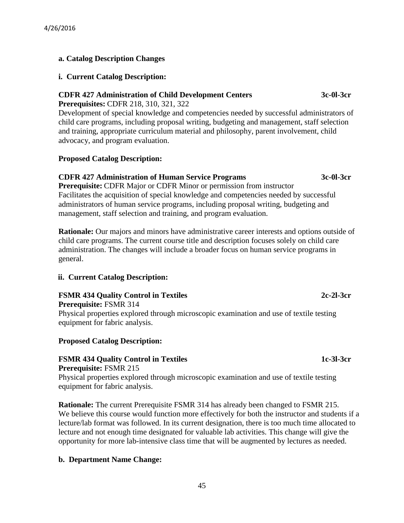# **a. Catalog Description Changes**

#### **i. Current Catalog Description:**

# **CDFR 427 Administration of Child Development Centers 3c-0l-3cr**

**Prerequisites:** CDFR 218, 310, 321, 322

Development of special knowledge and competencies needed by successful administrators of child care programs, including proposal writing, budgeting and management, staff selection and training, appropriate curriculum material and philosophy, parent involvement, child advocacy, and program evaluation.

# **Proposed Catalog Description:**

# **CDFR 427 Administration of Human Service Programs 3c-0l-3cr**

**Prerequisite:** CDFR Major or CDFR Minor or permission from instructor Facilitates the acquisition of special knowledge and competencies needed by successful administrators of human service programs, including proposal writing, budgeting and management, staff selection and training, and program evaluation.

**Rationale:** Our majors and minors have administrative career interests and options outside of child care programs. The current course title and description focuses solely on child care administration. The changes will include a broader focus on human service programs in general.

# **ii. Current Catalog Description:**

#### **FSMR 434 Quality Control in Textiles 2c-2l-3cr Prerequisite:** FSMR 314

Physical properties explored through microscopic examination and use of textile testing equipment for fabric analysis.

# **Proposed Catalog Description:**

#### **FSMR 434 Quality Control in Textiles 1c-3l-3cr Prerequisite:** FSMR 215

Physical properties explored through microscopic examination and use of textile testing equipment for fabric analysis.

**Rationale:** The current Prerequisite FSMR 314 has already been changed to FSMR 215. We believe this course would function more effectively for both the instructor and students if a lecture/lab format was followed. In its current designation, there is too much time allocated to lecture and not enough time designated for valuable lab activities. This change will give the opportunity for more lab-intensive class time that will be augmented by lectures as needed.

# **b. Department Name Change:**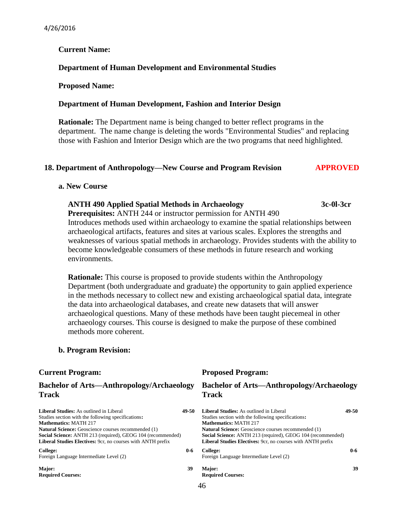#### **Current Name:**

#### **Department of Human Development and Environmental Studies**

#### **Proposed Name:**

#### **Department of Human Development, Fashion and Interior Design**

**Rationale:** The Department name is being changed to better reflect programs in the department. The name change is deleting the words "Environmental Studies" and replacing those with Fashion and Interior Design which are the two programs that need highlighted.

#### **18. Department of Anthropology—New Course and Program Revision APPROVED**

#### **a. New Course**

#### **ANTH 490 Applied Spatial Methods in Archaeology 3c-0l-3cr**

**Prerequisites:** ANTH 244 or instructor permission for ANTH 490 Introduces methods used within archaeology to examine the spatial relationships between archaeological artifacts, features and sites at various scales. Explores the strengths and weaknesses of various spatial methods in archaeology. Provides students with the ability to become knowledgeable consumers of these methods in future research and working environments.

**Rationale:** This course is proposed to provide students within the Anthropology Department (both undergraduate and graduate) the opportunity to gain applied experience in the methods necessary to collect new and existing archaeological spatial data, integrate the data into archaeological databases, and create new datasets that will answer archaeological questions. Many of these methods have been taught piecemeal in other archaeology courses. This course is designed to make the purpose of these combined methods more coherent.

#### **b. Program Revision:**

#### **Bachelor of Arts—Anthropology/Archaeology Track**

| <b>Liberal Studies:</b> As outlined in Liberal              | 49-50   |
|-------------------------------------------------------------|---------|
| Studies section with the following specifications:          |         |
| <b>Mathematics: MATH 217</b>                                |         |
| Natural Science: Geoscience courses recommended (1)         |         |
| Social Science: ANTH 213 (required), GEOG 104 (recommended) |         |
| Liberal Studies Electives: 9cr, no courses with ANTH prefix |         |
| College:<br>Foreign Language Intermediate Level (2)         | $0 - 6$ |
|                                                             |         |

**Major: Required Courses:**

#### **Current Program: Proposed Program:**

#### **Bachelor of Arts—Anthropology/Archaeology Track**

|       | 49-50 | <b>Liberal Studies:</b> As outlined in Liberal                     | 49-50   |
|-------|-------|--------------------------------------------------------------------|---------|
|       |       | Studies section with the following specifications:                 |         |
|       |       | <b>Mathematics: MATH 217</b>                                       |         |
|       |       | <b>Natural Science:</b> Geoscience courses recommended (1)         |         |
| nded) |       | <b>Social Science:</b> ANTH 213 (required), GEOG 104 (recommended) |         |
|       |       | <b>Liberal Studies Electives:</b> 9cr, no courses with ANTH prefix |         |
|       | $0-6$ | College:                                                           | $0 - 6$ |
|       |       | Foreign Language Intermediate Level (2)                            |         |
|       | 39    | Major:                                                             | 39      |
|       |       | <b>Required Courses:</b>                                           |         |
|       |       |                                                                    |         |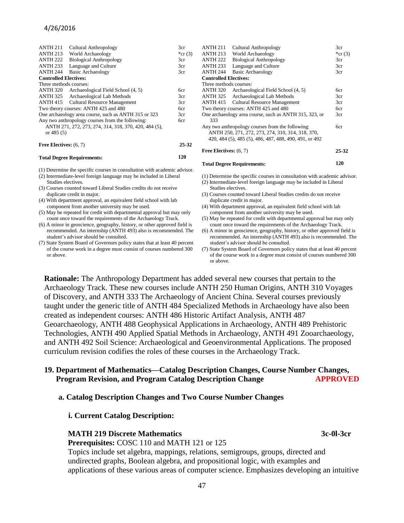#### 4/26/2016

| <b>ANTH 211</b>              | <b>Cultural Anthropology</b>                          | 3 <sub>cr</sub> |
|------------------------------|-------------------------------------------------------|-----------------|
| <b>ANTH 213</b>              | World Archaeology                                     | *cr $(3)$       |
| <b>ANTH 222</b>              | <b>Biological Anthropology</b>                        | 3cr             |
| <b>ANTH 233</b>              | Language and Culture                                  | 3cr             |
| <b>ANTH 244</b>              | <b>Basic Archaeology</b>                              | 3cr             |
| <b>Controlled Electives:</b> |                                                       |                 |
| Three methods courses:       |                                                       |                 |
| <b>ANTH 320</b>              | Archaeological Field School (4, 5)                    | 6cr             |
| ANTH 325                     | Archaeological Lab Methods                            | 3cr             |
| <b>ANTH 415</b>              | <b>Cultural Resource Management</b>                   | 3cr             |
|                              | Two theory courses: ANTH 425 and 480                  | 6cr             |
|                              | One archaeology area course, such as ANTH 315 or 323  | 3cr             |
|                              | Any two anthropology courses from the following:      | бcг             |
|                              | ANTH 271, 272, 273, 274, 314, 318, 370, 420, 484 (5), |                 |
| or $485(5)$                  |                                                       |                 |
| Free Electives: $(6, 7)$     |                                                       | 25-32           |

#### **Total Degree Requirements:**

(1) Determine the specific courses in consultation with academic advisor.

(2) Intermediate-level foreign language may be included in Liberal Studies electives.

(3) Courses counted toward Liberal Studies credits do not receive duplicate credit in major.

- (4) With department approval, an equivalent field school with lab component from another university may be used.
- (5) May be repeated for credit with departmental approval but may only count once toward the requirements of the Archaeology Track.
- (6) A minor in geoscience, geography, history, or other approved field is recommended. An internship (ANTH 493) also is recommended. The student's advisor should be consulted.
- (7) State System Board of Governors policy states that at least 40 percent of the course work in a degree must consist of courses numbered 300 or above.

| <b>ANTH 211</b>              | <b>Cultural Anthropology</b>                           | 3cr             |
|------------------------------|--------------------------------------------------------|-----------------|
| <b>ANTH 213</b>              | World Archaeology                                      | *cr $(3)$       |
| <b>ANTH 222</b>              | <b>Biological Anthropology</b>                         | 3cr             |
| <b>ANTH 233</b>              | Language and Culture                                   | 3cr             |
| <b>ANTH 244</b>              | <b>Basic Archaeology</b>                               | 3 <sub>cr</sub> |
| <b>Controlled Electives:</b> |                                                        |                 |
| Three methods courses:       |                                                        |                 |
| ANTH 320                     | Archaeological Field School (4, 5)                     | бcг             |
| ANTH 325                     | Archaeological Lab Methods                             | 3cr             |
| <b>ANTH 415</b>              | <b>Cultural Resource Management</b>                    | 3cr             |
|                              | Two theory courses: ANTH 425 and 480                   | бcг             |
|                              | One archaeology area course, such as ANTH 315, 323, or | 3cr             |
| 333                          |                                                        |                 |
|                              | Any two anthropology courses from the following:       | бcг             |
|                              | ANTH 250, 271, 272, 273, 274, 310, 314, 318, 370,      |                 |
|                              | 420, 484 (5), 485 (5), 486, 487, 488, 490, 491, or 492 |                 |
| Free Electives: (6, 7)       |                                                        | 25-32           |
|                              |                                                        |                 |

#### **Total Degree Requirements:**

**120**

(1) Determine the specific courses in consultation with academic advisor.

- (2) Intermediate-level foreign language may be included in Liberal
- Studies electives. (3) Courses counted toward Liberal Studies credits do not receive duplicate credit in major.
- (4) With department approval, an equivalent field school with lab component from another university may be used.
- (5) May be repeated for credit with departmental approval but may only count once toward the requirements of the Archaeology Track.
- (6) A minor in geoscience, geography, history, or other approved field is recommended. An internship (ANTH 493) also is recommended. The student's advisor should be consulted.
- (7) State System Board of Governors policy states that at least 40 percent of the course work in a degree must consist of courses numbered 300 or above.

**Rationale:** The Anthropology Department has added several new courses that pertain to the Archaeology Track. These new courses include ANTH 250 Human Origins, ANTH 310 Voyages of Discovery, and ANTH 333 The Archaeology of Ancient China. Several courses previously taught under the generic title of ANTH 484 Specialized Methods in Archaeology have also been created as independent courses: ANTH 486 Historic Artifact Analysis, ANTH 487 Geoarchaeology, ANTH 488 Geophysical Applications in Archaeology, ANTH 489 Prehistoric Technologies, ANTH 490 Applied Spatial Methods in Archaeology, ANTH 491 Zooarchaeology, and ANTH 492 Soil Science: Archaeological and Geoenvironmental Applications. The proposed curriculum revision codifies the roles of these courses in the Archaeology Track.

**120**

#### **19. Department of Mathematics—Catalog Description Changes, Course Number Changes, Program Revision, and Program Catalog Description Change APPROVED**

#### **a. Catalog Description Changes and Two Course Number Changes**

#### **i. Current Catalog Description:**

#### **MATH 219 Discrete Mathematics 3c-0l-3cr**

**Prerequisites:** COSC 110 and MATH 121 or 125

Topics include set algebra, mappings, relations, semigroups, groups, directed and undirected graphs, Boolean algebra, and propositional logic, with examples and applications of these various areas of computer science. Emphasizes developing an intuitive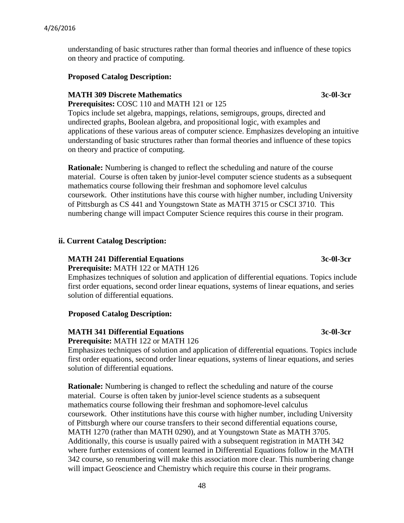understanding of basic structures rather than formal theories and influence of these topics on theory and practice of computing.

#### **Proposed Catalog Description:**

#### **MATH 309 Discrete Mathematics 3c-0l-3cr**

**Prerequisites:** COSC 110 and MATH 121 or 125

Topics include set algebra, mappings, relations, semigroups, groups, directed and undirected graphs, Boolean algebra, and propositional logic, with examples and applications of these various areas of computer science. Emphasizes developing an intuitive understanding of basic structures rather than formal theories and influence of these topics on theory and practice of computing.

**Rationale:** Numbering is changed to reflect the scheduling and nature of the course material. Course is often taken by junior-level computer science students as a subsequent mathematics course following their freshman and sophomore level calculus coursework. Other institutions have this course with higher number, including University of Pittsburgh as CS 441 and Youngstown State as MATH 3715 or CSCI 3710. This numbering change will impact Computer Science requires this course in their program.

#### **ii. Current Catalog Description:**

# **MATH 241 Differential Equations 3c-0l-3cr**

**Prerequisite:** MATH 122 or MATH 126

Emphasizes techniques of solution and application of differential equations. Topics include first order equations, second order linear equations, systems of linear equations, and series solution of differential equations.

#### **Proposed Catalog Description:**

#### **MATH 341 Differential Equations 3c-0l-3cr**

**Prerequisite:** MATH 122 or MATH 126

Emphasizes techniques of solution and application of differential equations. Topics include first order equations, second order linear equations, systems of linear equations, and series solution of differential equations.

**Rationale:** Numbering is changed to reflect the scheduling and nature of the course material. Course is often taken by junior-level science students as a subsequent mathematics course following their freshman and sophomore-level calculus coursework. Other institutions have this course with higher number, including University of Pittsburgh where our course transfers to their second differential equations course, MATH 1270 (rather than MATH 0290), and at Youngstown State as MATH 3705. Additionally, this course is usually paired with a subsequent registration in MATH 342 where further extensions of content learned in Differential Equations follow in the MATH 342 course, so renumbering will make this association more clear. This numbering change will impact Geoscience and Chemistry which require this course in their programs.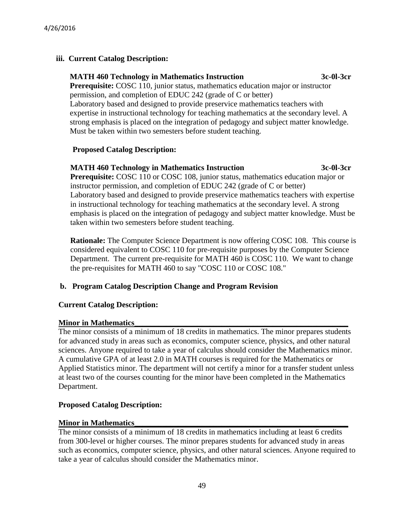# **iii. Current Catalog Description:**

# **MATH 460 Technology in Mathematics Instruction 3c-0l-3cr**

 **Prerequisite:** COSC 110, junior status, mathematics education major or instructor permission, and completion of EDUC 242 (grade of C or better) Laboratory based and designed to provide preservice mathematics teachers with expertise in instructional technology for teaching mathematics at the secondary level. A strong emphasis is placed on the integration of pedagogy and subject matter knowledge. Must be taken within two semesters before student teaching.

# **Proposed Catalog Description:**

#### **MATH 460 Technology in Mathematics Instruction 3c-0l-3cr**

**Prerequisite:** COSC 110 or COSC 108, junior status, mathematics education major or instructor permission, and completion of EDUC 242 (grade of C or better) Laboratory based and designed to provide preservice mathematics teachers with expertise in instructional technology for teaching mathematics at the secondary level. A strong emphasis is placed on the integration of pedagogy and subject matter knowledge. Must be taken within two semesters before student teaching.

**Rationale:** The Computer Science Department is now offering COSC 108. This course is considered equivalent to COSC 110 for pre-requisite purposes by the Computer Science Department. The current pre-requisite for MATH 460 is COSC 110. We want to change the pre-requisites for MATH 460 to say "COSC 110 or COSC 108."

# **b. Program Catalog Description Change and Program Revision**

# **Current Catalog Description:**

# **Minor in Mathematics**

The minor consists of a minimum of 18 credits in mathematics. The minor prepares students for advanced study in areas such as economics, computer science, physics, and other natural sciences. Anyone required to take a year of calculus should consider the Mathematics minor. A cumulative GPA of at least 2.0 in MATH courses is required for the Mathematics or Applied Statistics minor. The department will not certify a minor for a transfer student unless at least two of the courses counting for the minor have been completed in the Mathematics Department.

# **Proposed Catalog Description:**

# **Minor in Mathematics**

The minor consists of a minimum of 18 credits in mathematics including at least 6 credits from 300-level or higher courses. The minor prepares students for advanced study in areas such as economics, computer science, physics, and other natural sciences. Anyone required to take a year of calculus should consider the Mathematics minor.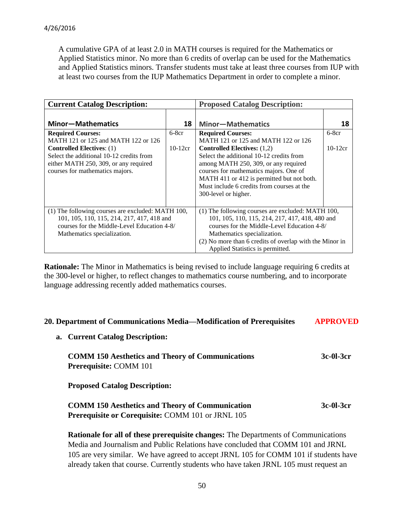A cumulative GPA of at least 2.0 in MATH courses is required for the Mathematics or Applied Statistics minor. No more than 6 credits of overlap can be used for the Mathematics and Applied Statistics minors. Transfer students must take at least three courses from IUP with at least two courses from the IUP Mathematics Department in order to complete a minor.

| <b>Current Catalog Description:</b>               |           | <b>Proposed Catalog Description:</b>                    |           |
|---------------------------------------------------|-----------|---------------------------------------------------------|-----------|
| <b>Minor-Mathematics</b>                          | 18        | <b>Minor-Mathematics</b>                                | 18        |
| <b>Required Courses:</b>                          | $6-8cr$   | <b>Required Courses:</b>                                | $6-8cr$   |
| MATH 121 or 125 and MATH 122 or 126               |           | MATH 121 or 125 and MATH 122 or 126                     |           |
| <b>Controlled Electives: (1)</b>                  | $10-12cr$ | Controlled Electives: $(1,2)$                           | $10-12cr$ |
| Select the additional 10-12 credits from          |           | Select the additional 10-12 credits from                |           |
| either MATH 250, 309, or any required             |           | among MATH 250, 309, or any required                    |           |
| courses for mathematics majors.                   |           | courses for mathematics majors. One of                  |           |
|                                                   |           | MATH 411 or 412 is permitted but not both.              |           |
|                                                   |           | Must include 6 credits from courses at the              |           |
|                                                   |           | 300-level or higher.                                    |           |
|                                                   |           |                                                         |           |
| (1) The following courses are excluded: MATH 100, |           | (1) The following courses are excluded: MATH 100,       |           |
| 101, 105, 110, 115, 214, 217, 417, 418 and        |           | 101, 105, 110, 115, 214, 217, 417, 418, 480 and         |           |
| courses for the Middle-Level Education 4-8/       |           | courses for the Middle-Level Education 4-8/             |           |
| Mathematics specialization.                       |           | Mathematics specialization.                             |           |
|                                                   |           | (2) No more than 6 credits of overlap with the Minor in |           |
|                                                   |           | Applied Statistics is permitted.                        |           |

**Rationale:** The Minor in Mathematics is being revised to include language requiring 6 credits at the 300-level or higher, to reflect changes to mathematics course numbering, and to incorporate language addressing recently added mathematics courses.

| 20. Department of Communications Media—Modification of Prerequisites                      | <b>APPROVED</b> |
|-------------------------------------------------------------------------------------------|-----------------|
| a. Current Catalog Description:                                                           |                 |
| <b>COMM 150 Aesthetics and Theory of Communications</b><br>Prerequisite: COMM 101         | 3c-01-3cr       |
| <b>Proposed Catalog Description:</b>                                                      |                 |
| <b>COMM 150 Aesthetics and Theory of Communication</b>                                    | 3c-01-3cr       |
| Prerequisite or Corequisite: COMM 101 or JRNL 105                                         |                 |
| <b>Rationale for all of these prerequisite changes:</b> The Departments of Communications |                 |
| Media and Journalism and Public Relations have concluded that COMM 101 and JRNL           |                 |
| 105 are very similar. We have agreed to accept JRNL 105 for COMM 101 if students have     |                 |
| already taken that course. Currently students who have taken JRNL 105 must request an     |                 |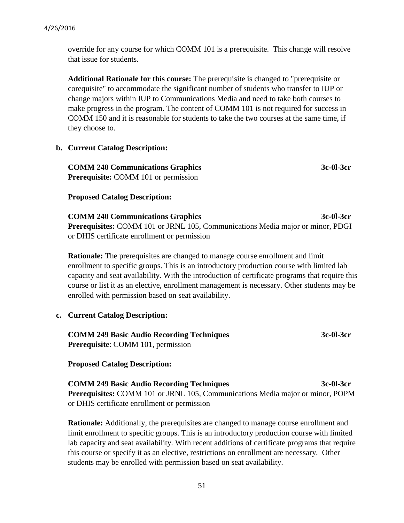override for any course for which COMM 101 is a prerequisite. This change will resolve that issue for students.

**Additional Rationale for this course:** The prerequisite is changed to "prerequisite or corequisite" to accommodate the significant number of students who transfer to IUP or change majors within IUP to Communications Media and need to take both courses to make progress in the program. The content of COMM 101 is not required for success in COMM 150 and it is reasonable for students to take the two courses at the same time, if they choose to.

#### **b. Current Catalog Description:**

**COMM 240 Communications Graphics 3c-0l-3cr Prerequisite:** COMM 101 or permission

#### **Proposed Catalog Description:**

**COMM 240 Communications Graphics 3c-0l-3cr Prerequisites:** COMM 101 or JRNL 105, Communications Media major or minor, PDGI or DHIS certificate enrollment or permission

**Rationale:** The prerequisites are changed to manage course enrollment and limit enrollment to specific groups. This is an introductory production course with limited lab capacity and seat availability. With the introduction of certificate programs that require this course or list it as an elective, enrollment management is necessary. Other students may be enrolled with permission based on seat availability.

#### **c. Current Catalog Description:**

| <b>COMM 249 Basic Audio Recording Techniques</b> | 3c-01-3cr |
|--------------------------------------------------|-----------|
| <b>Prerequisite:</b> COMM 101, permission        |           |

#### **Proposed Catalog Description:**

**COMM 249 Basic Audio Recording Techniques 3c-0l-3cr Prerequisites:** COMM 101 or JRNL 105, Communications Media major or minor, POPM or DHIS certificate enrollment or permission

**Rationale:** Additionally, the prerequisites are changed to manage course enrollment and limit enrollment to specific groups. This is an introductory production course with limited lab capacity and seat availability. With recent additions of certificate programs that require this course or specify it as an elective, restrictions on enrollment are necessary. Other students may be enrolled with permission based on seat availability.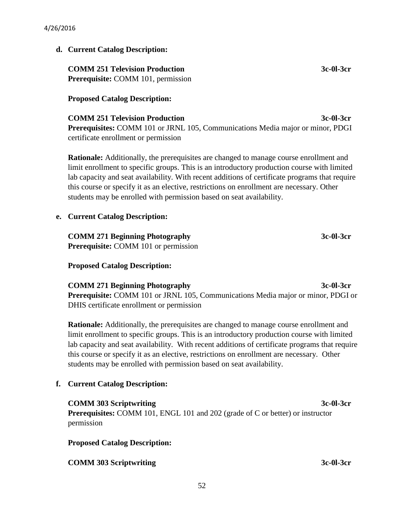#### **d. Current Catalog Description:**

**COMM 251 Television Production 3c-0l-3cr Prerequisite: COMM 101, permission** 

#### **Proposed Catalog Description:**

**COMM 251 Television Production 3c-0l-3cr Prerequisites:** COMM 101 or JRNL 105, Communications Media major or minor, PDGI certificate enrollment or permission

**Rationale:** Additionally, the prerequisites are changed to manage course enrollment and limit enrollment to specific groups. This is an introductory production course with limited lab capacity and seat availability. With recent additions of certificate programs that require this course or specify it as an elective, restrictions on enrollment are necessary. Other students may be enrolled with permission based on seat availability.

#### **e. Current Catalog Description:**

**COMM 271 Beginning Photography 3c-0l-3cr Prerequisite:** COMM 101 or permission

**Proposed Catalog Description:**

**COMM 271 Beginning Photography 3c-0l-3cr Prerequisite:** COMM 101 or JRNL 105, Communications Media major or minor, PDGI or DHIS certificate enrollment or permission

**Rationale:** Additionally, the prerequisites are changed to manage course enrollment and limit enrollment to specific groups. This is an introductory production course with limited lab capacity and seat availability. With recent additions of certificate programs that require this course or specify it as an elective, restrictions on enrollment are necessary. Other students may be enrolled with permission based on seat availability.

# **f. Current Catalog Description:**

**COMM 303 Scriptwriting 3c-0l-3cr Prerequisites:** COMM 101, ENGL 101 and 202 (grade of C or better) or instructor permission

#### **Proposed Catalog Description:**

#### **COMM 303 Scriptwriting 3c-0l-3cr**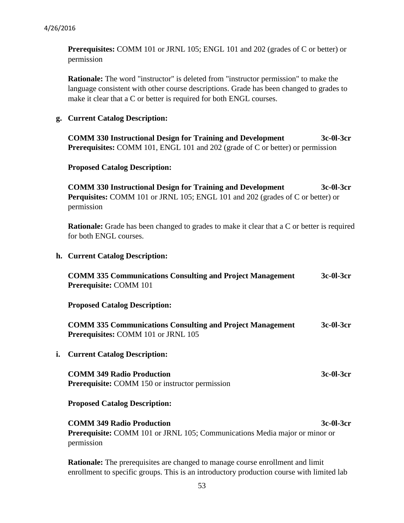**Prerequisites:** COMM 101 or JRNL 105; ENGL 101 and 202 (grades of C or better) or permission

**Rationale:** The word "instructor" is deleted from "instructor permission" to make the language consistent with other course descriptions. Grade has been changed to grades to make it clear that a C or better is required for both ENGL courses.

#### **g. Current Catalog Description:**

**COMM 330 Instructional Design for Training and Development 3c-0l-3cr Prerequisites:** COMM 101, ENGL 101 and 202 (grade of C or better) or permission

#### **Proposed Catalog Description:**

**COMM 330 Instructional Design for Training and Development 3c-0l-3cr Perquisites:** COMM 101 or JRNL 105; ENGL 101 and 202 (grades of C or better) or permission

**Rationale:** Grade has been changed to grades to make it clear that a C or better is required for both ENGL courses.

#### **h. Current Catalog Description:**

| <b>COMM 335 Communications Consulting and Project Management</b> | 3c-01-3cr |
|------------------------------------------------------------------|-----------|
| <b>Prerequisite: COMM 101</b>                                    |           |

**Proposed Catalog Description:**

**COMM 335 Communications Consulting and Project Management 3c-0l-3cr Prerequisites:** COMM 101 or JRNL 105

**i. Current Catalog Description:**

**COMM 349 Radio Production** 3c-0l-3cr **Prerequisite:** COMM 150 or instructor permission

#### **Proposed Catalog Description:**

**COMM 349 Radio Production** 3c-0l-3cr **Prerequisite:** COMM 101 or JRNL 105; Communications Media major or minor or permission

**Rationale:** The prerequisites are changed to manage course enrollment and limit enrollment to specific groups. This is an introductory production course with limited lab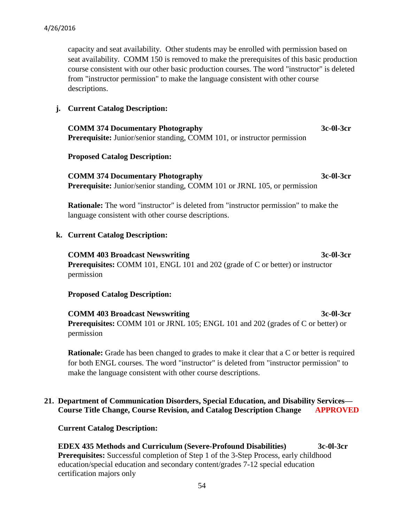capacity and seat availability. Other students may be enrolled with permission based on seat availability. COMM 150 is removed to make the prerequisites of this basic production course consistent with our other basic production courses. The word "instructor" is deleted from "instructor permission" to make the language consistent with other course descriptions.

#### **j. Current Catalog Description:**

**COMM 374 Documentary Photography 3c-0l-3cr Prerequisite:** Junior/senior standing, COMM 101, or instructor permission

#### **Proposed Catalog Description:**

**COMM 374 Documentary Photography 3c-0l-3cr Prerequisite:** Junior/senior standing, COMM 101 or JRNL 105, or permission

**Rationale:** The word "instructor" is deleted from "instructor permission" to make the language consistent with other course descriptions.

#### **k. Current Catalog Description:**

**COMM 403 Broadcast Newswriting 3c-0l-3cr Prerequisites:** COMM 101, ENGL 101 and 202 (grade of C or better) or instructor permission

#### **Proposed Catalog Description:**

**COMM 403 Broadcast Newswriting 3c-0l-3cr Prerequisites:** COMM 101 or JRNL 105; ENGL 101 and 202 (grades of C or better) or permission

**Rationale:** Grade has been changed to grades to make it clear that a C or better is required for both ENGL courses. The word "instructor" is deleted from "instructor permission" to make the language consistent with other course descriptions.

#### **21. Department of Communication Disorders, Special Education, and Disability Services— Course Title Change, Course Revision, and Catalog Description Change APPROVED**

 **Current Catalog Description:**

 **EDEX 435 Methods and Curriculum (Severe-Profound Disabilities) 3c-0l-3cr Prerequisites:** Successful completion of Step 1 of the 3-Step Process, early childhood education/special education and secondary content/grades 7-12 special education certification majors only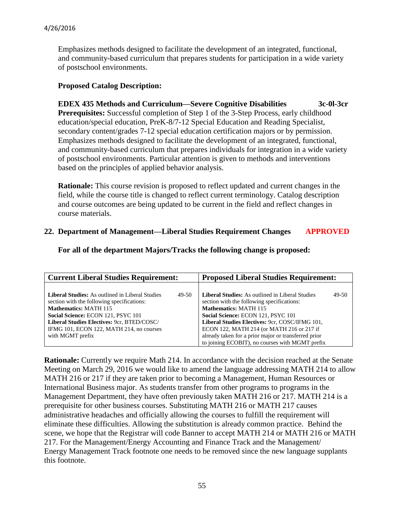Emphasizes methods designed to facilitate the development of an integrated, functional, and community-based curriculum that prepares students for participation in a wide variety of postschool environments.

#### **Proposed Catalog Description:**

 **EDEX 435 Methods and Curriculum—Severe Cognitive Disabilities 3c-0l-3cr Prerequisites:** Successful completion of Step 1 of the 3-Step Process, early childhood education/special education, PreK-8/7-12 Special Education and Reading Specialist, secondary content/grades 7-12 special education certification majors or by permission. Emphasizes methods designed to facilitate the development of an integrated, functional, and community-based curriculum that prepares individuals for integration in a wide variety of postschool environments. Particular attention is given to methods and interventions based on the principles of applied behavior analysis.

 **Rationale:** This course revision is proposed to reflect updated and current changes in the field, while the course title is changed to reflect current terminology. Catalog description and course outcomes are being updated to be current in the field and reflect changes in course materials.

#### **22. Department of Management—Liberal Studies Requirement Changes APPROVED**

 **For all of the department Majors/Tracks the following change is proposed:**

| <b>Current Liberal Studies Requirement:</b>                                                                                                                                                                                       | <b>Proposed Liberal Studies Requirement:</b>                                                                                                                                                                                          |  |
|-----------------------------------------------------------------------------------------------------------------------------------------------------------------------------------------------------------------------------------|---------------------------------------------------------------------------------------------------------------------------------------------------------------------------------------------------------------------------------------|--|
| <b>Liberal Studies:</b> As outlined in Liberal Studies<br>49-50<br>section with the following specifications:<br><b>Mathematics: MATH 115</b><br>Social Science: ECON 121, PSYC 101<br>Liberal Studies Electives: 9cr, BTED/COSC/ | <b>Liberal Studies:</b> As outlined in Liberal Studies<br>49-50<br>section with the following specifications:<br><b>Mathematics: MATH 115</b><br>Social Science: ECON 121, PSYC 101<br>Liberal Studies Electives: 9cr, COSC/IFMG 101, |  |
| IFMG 101, ECON 122, MATH 214, no courses<br>with MGMT prefix                                                                                                                                                                      | ECON 122, MATH 214 (or MATH 216 or 217 if<br>already taken for a prior major or transferred prior<br>to joining ECOBIT), no courses with MGMT prefix                                                                                  |  |

**Rationale:** Currently we require Math 214. In accordance with the decision reached at the Senate Meeting on March 29, 2016 we would like to amend the language addressing MATH 214 to allow MATH 216 or 217 if they are taken prior to becoming a Management, Human Resources or International Business major. As students transfer from other programs to programs in the Management Department, they have often previously taken MATH 216 or 217. MATH 214 is a prerequisite for other business courses. Substituting MATH 216 or MATH 217 causes administrative headaches and officially allowing the courses to fulfill the requirement will eliminate these difficulties. Allowing the substitution is already common practice. Behind the scene, we hope that the Registrar will code Banner to accept MATH 214 or MATH 216 or MATH 217. For the Management/Energy Accounting and Finance Track and the Management/ Energy Management Track footnote one needs to be removed since the new language supplants this footnote.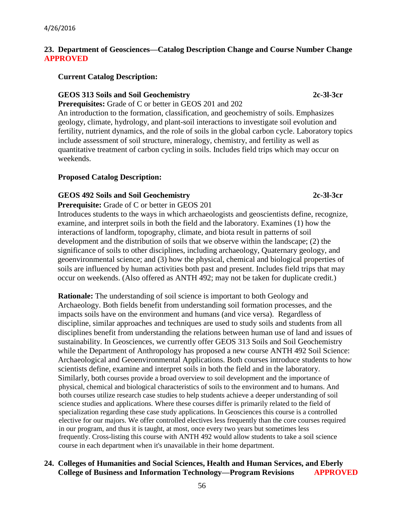# **23. Department of Geosciences—Catalog Description Change and Course Number Change APPROVED**

 **Current Catalog Description:**

# **GEOS 313 Soils and Soil Geochemistry 2c-3l-3cr**

 **Prerequisites:** Grade of C or better in GEOS 201 and 202

An introduction to the formation, classification, and geochemistry of soils. Emphasizes geology, climate, hydrology, and plant-soil interactions to investigate soil evolution and fertility, nutrient dynamics, and the role of soils in the global carbon cycle. Laboratory topics include assessment of soil structure, mineralogy, chemistry, and fertility as well as quantitative treatment of carbon cycling in soils. Includes field trips which may occur on weekends.

# **Proposed Catalog Description:**

# **GEOS 492 Soils and Soil Geochemistry 2c-3l-3cr**

**Prerequisite:** Grade of C or better in GEOS 201 Introduces students to the ways in which archaeologists and geoscientists define, recognize, examine, and interpret soils in both the field and the laboratory. Examines (1) how the interactions of landform, topography, climate, and biota result in patterns of soil development and the distribution of soils that we observe within the landscape; (2) the significance of soils to other disciplines, including archaeology, Quaternary geology, and geoenvironmental science; and (3) how the physical, chemical and biological properties of soils are influenced by human activities both past and present. Includes field trips that may occur on weekends. (Also offered as ANTH 492; may not be taken for duplicate credit.)

**Rationale:** The understanding of soil science is important to both Geology and Archaeology. Both fields benefit from understanding soil formation processes, and the impacts soils have on the environment and humans (and vice versa). Regardless of discipline, similar approaches and techniques are used to study soils and students from all disciplines benefit from understanding the relations between human use of land and issues of sustainability. In Geosciences, we currently offer GEOS 313 Soils and Soil Geochemistry while the Department of Anthropology has proposed a new course ANTH 492 Soil Science: Archaeological and Geoenvironmental Applications. Both courses introduce students to how scientists define, examine and interpret soils in both the field and in the laboratory. Similarly, both courses provide a broad overview to soil development and the importance of physical, chemical and biological characteristics of soils to the environment and to humans. And both courses utilize research case studies to help students achieve a deeper understanding of soil science studies and applications. Where these courses differ is primarily related to the field of specialization regarding these case study applications. In Geosciences this course is a controlled elective for our majors. We offer controlled electives less frequently than the core courses required in our program, and thus it is taught, at most, once every two years but sometimes less frequently. Cross-listing this course with ANTH 492 would allow students to take a soil science course in each department when it's unavailable in their home department.

# **24. Colleges of Humanities and Social Sciences, Health and Human Services, and Eberly College of Business and Information Technology—Program Revisions APPROVED**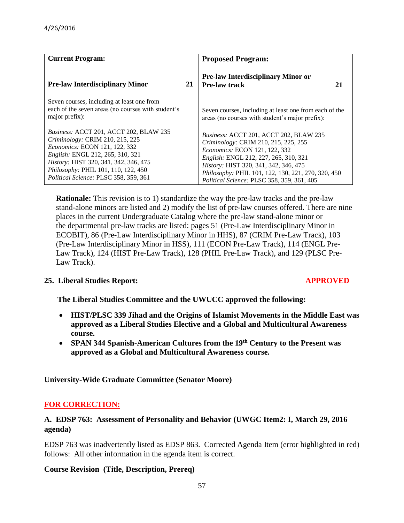| <b>Current Program:</b>                                                                                                                                                                                                                                                               |    | <b>Proposed Program:</b>                                                                                                                                                                                                                                                                                     |
|---------------------------------------------------------------------------------------------------------------------------------------------------------------------------------------------------------------------------------------------------------------------------------------|----|--------------------------------------------------------------------------------------------------------------------------------------------------------------------------------------------------------------------------------------------------------------------------------------------------------------|
| <b>Pre-law Interdisciplinary Minor</b>                                                                                                                                                                                                                                                | 21 | <b>Pre-law Interdisciplinary Minor or</b><br><b>Pre-law track</b><br>21                                                                                                                                                                                                                                      |
| Seven courses, including at least one from<br>each of the seven areas (no courses with student's<br>major prefix):                                                                                                                                                                    |    | Seven courses, including at least one from each of the<br>areas (no courses with student's major prefix):                                                                                                                                                                                                    |
| <i>Business: ACCT 201, ACCT 202, BLAW 235</i><br>Criminology: CRIM 210, 215, 225<br><i>Economics: ECON 121, 122, 332</i><br>English: ENGL 212, 265, 310, 321<br>History: HIST 320, 341, 342, 346, 475<br>Philosophy: PHIL 101, 110, 122, 450<br>Political Science: PLSC 358, 359, 361 |    | Business: ACCT 201, ACCT 202, BLAW 235<br>Criminology: CRIM 210, 215, 225, 255<br><i>Economics: ECON 121, 122, 332</i><br>English: ENGL 212, 227, 265, 310, 321<br>History: HIST 320, 341, 342, 346, 475<br>Philosophy: PHIL 101, 122, 130, 221, 270, 320, 450<br>Political Science: PLSC 358, 359, 361, 405 |

 **Rationale:** This revision is to 1) standardize the way the pre-law tracks and the pre-law stand-alone minors are listed and 2) modify the list of pre-law courses offered. There are nine places in the current Undergraduate Catalog where the pre-law stand-alone minor or the departmental pre-law tracks are listed: pages 51 (Pre-Law Interdisciplinary Minor in ECOBIT), 86 (Pre-Law Interdisciplinary Minor in HHS), 87 (CRIM Pre-Law Track), 103 (Pre-Law Interdisciplinary Minor in HSS), 111 (ECON Pre-Law Track), 114 (ENGL Pre- Law Track), 124 (HIST Pre-Law Track), 128 (PHIL Pre-Law Track), and 129 (PLSC Pre- Law Track).

# **25. Liberal Studies Report: APPROVED**

 **The Liberal Studies Committee and the UWUCC approved the following:**

- **HIST/PLSC 339 Jihad and the Origins of Islamist Movements in the Middle East was approved as a Liberal Studies Elective and a Global and Multicultural Awareness course.**
- **SPAN 344 Spanish-American Cultures from the 19th Century to the Present was approved as a Global and Multicultural Awareness course.**

**University-Wide Graduate Committee (Senator Moore)**

# **FOR CORRECTION:**

# **A. EDSP 763: Assessment of Personality and Behavior (UWGC Item2: I, March 29, 2016 agenda)**

EDSP 763 was inadvertently listed as EDSP 863. Corrected Agenda Item (error highlighted in red) follows: All other information in the agenda item is correct.

# **Course Revision (Title, Description, Prereq)**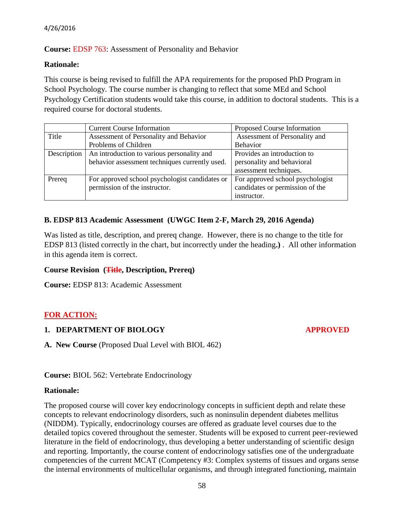# **Course:** EDSP 763: Assessment of Personality and Behavior

#### **Rationale:**

This course is being revised to fulfill the APA requirements for the proposed PhD Program in School Psychology. The course number is changing to reflect that some MEd and School Psychology Certification students would take this course, in addition to doctoral students. This is a required course for doctoral students.

|             | <b>Current Course Information</b>              | Proposed Course Information      |
|-------------|------------------------------------------------|----------------------------------|
| Title       | Assessment of Personality and Behavior         | Assessment of Personality and    |
|             | Problems of Children                           | <b>Behavior</b>                  |
| Description | An introduction to various personality and     | Provides an introduction to      |
|             | behavior assessment techniques currently used. | personality and behavioral       |
|             |                                                | assessment techniques.           |
| Prereq      | For approved school psychologist candidates or | For approved school psychologist |
|             | permission of the instructor.                  | candidates or permission of the  |
|             |                                                | instructor.                      |

# **B. EDSP 813 Academic Assessment (UWGC Item 2-F, March 29, 2016 Agenda)**

Was listed as title, description, and prereq change. However, there is no change to the title for EDSP 813 (listed correctly in the chart, but incorrectly under the heading**.)** . All other information in this agenda item is correct.

# **Course Revision (Title, Description, Prereq)**

**Course:** EDSP 813: Academic Assessment

# **FOR ACTION:**

# **1. DEPARTMENT OF BIOLOGY APPROVED**

**A. New Course** (Proposed Dual Level with BIOL 462)

**Course:** BIOL 562: Vertebrate Endocrinology

#### **Rationale:**

The proposed course will cover key endocrinology concepts in sufficient depth and relate these concepts to relevant endocrinology disorders, such as noninsulin dependent diabetes mellitus (NIDDM). Typically, endocrinology courses are offered as graduate level courses due to the detailed topics covered throughout the semester. Students will be exposed to current peer-reviewed literature in the field of endocrinology, thus developing a better understanding of scientific design and reporting. Importantly, the course content of endocrinology satisfies one of the undergraduate competencies of the current MCAT (Competency #3: Complex systems of tissues and organs sense the internal environments of multicellular organisms, and through integrated functioning, maintain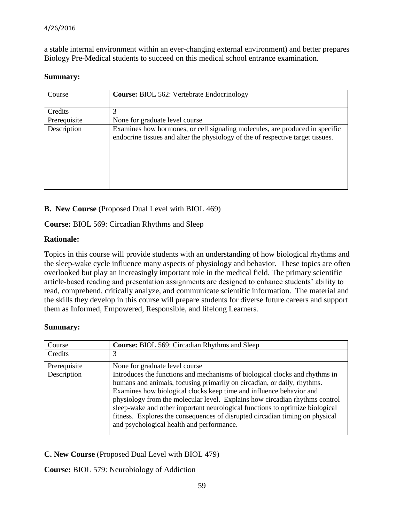a stable internal environment within an ever-changing external environment) and better prepares Biology Pre-Medical students to succeed on this medical school entrance examination.

#### **Summary:**

| Course       | <b>Course: BIOL 562: Vertebrate Endocrinology</b>                                                                                                               |
|--------------|-----------------------------------------------------------------------------------------------------------------------------------------------------------------|
| Credits      |                                                                                                                                                                 |
| Prerequisite | None for graduate level course                                                                                                                                  |
| Description  | Examines how hormones, or cell signaling molecules, are produced in specific<br>endocrine tissues and alter the physiology of the of respective target tissues. |

# **B. New Course** (Proposed Dual Level with BIOL 469)

# **Course:** BIOL 569: Circadian Rhythms and Sleep

# **Rationale:**

Topics in this course will provide students with an understanding of how biological rhythms and the sleep-wake cycle influence many aspects of physiology and behavior. These topics are often overlooked but play an increasingly important role in the medical field. The primary scientific article-based reading and presentation assignments are designed to enhance students' ability to read, comprehend, critically analyze, and communicate scientific information. The material and the skills they develop in this course will prepare students for diverse future careers and support them as Informed, Empowered, Responsible, and lifelong Learners.

#### **Summary:**

| Course       | <b>Course: BIOL 569: Circadian Rhythms and Sleep</b>                                                                                                                                                                                                                                                                                                                                                                                                                                                                      |
|--------------|---------------------------------------------------------------------------------------------------------------------------------------------------------------------------------------------------------------------------------------------------------------------------------------------------------------------------------------------------------------------------------------------------------------------------------------------------------------------------------------------------------------------------|
| Credits      |                                                                                                                                                                                                                                                                                                                                                                                                                                                                                                                           |
| Prerequisite | None for graduate level course                                                                                                                                                                                                                                                                                                                                                                                                                                                                                            |
| Description  | Introduces the functions and mechanisms of biological clocks and rhythms in<br>humans and animals, focusing primarily on circadian, or daily, rhythms.<br>Examines how biological clocks keep time and influence behavior and<br>physiology from the molecular level. Explains how circadian rhythms control<br>sleep-wake and other important neurological functions to optimize biological<br>fitness. Explores the consequences of disrupted circadian timing on physical<br>and psychological health and performance. |

**C. New Course** (Proposed Dual Level with BIOL 479)

**Course:** BIOL 579: Neurobiology of Addiction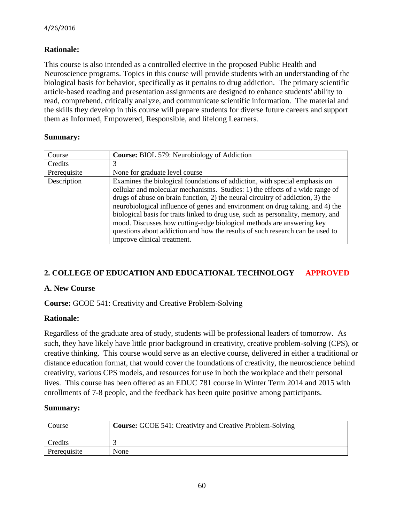# **Rationale:**

This course is also intended as a controlled elective in the proposed Public Health and Neuroscience programs. Topics in this course will provide students with an understanding of the biological basis for behavior, specifically as it pertains to drug addiction. The primary scientific article-based reading and presentation assignments are designed to enhance students' ability to read, comprehend, critically analyze, and communicate scientific information. The material and the skills they develop in this course will prepare students for diverse future careers and support them as Informed, Empowered, Responsible, and lifelong Learners.

#### **Summary:**

| Course       | <b>Course:</b> BIOL 579: Neurobiology of Addiction                                                                                                                                                                                                                                                                                                                                                                                                                                                                                                                                                          |
|--------------|-------------------------------------------------------------------------------------------------------------------------------------------------------------------------------------------------------------------------------------------------------------------------------------------------------------------------------------------------------------------------------------------------------------------------------------------------------------------------------------------------------------------------------------------------------------------------------------------------------------|
| Credits      | 3                                                                                                                                                                                                                                                                                                                                                                                                                                                                                                                                                                                                           |
| Prerequisite | None for graduate level course                                                                                                                                                                                                                                                                                                                                                                                                                                                                                                                                                                              |
| Description  | Examines the biological foundations of addiction, with special emphasis on<br>cellular and molecular mechanisms. Studies: 1) the effects of a wide range of<br>drugs of abuse on brain function, 2) the neural circuitry of addiction, 3) the<br>neurobiological influence of genes and environment on drug taking, and 4) the<br>biological basis for traits linked to drug use, such as personality, memory, and<br>mood. Discusses how cutting-edge biological methods are answering key<br>questions about addiction and how the results of such research can be used to<br>improve clinical treatment. |

# **2. COLLEGE OF EDUCATION AND EDUCATIONAL TECHNOLOGY APPROVED**

# **A. New Course**

**Course:** GCOE 541: Creativity and Creative Problem-Solving

# **Rationale:**

Regardless of the graduate area of study, students will be professional leaders of tomorrow. As such, they have likely have little prior background in creativity, creative problem-solving (CPS), or creative thinking. This course would serve as an elective course, delivered in either a traditional or distance education format, that would cover the foundations of creativity, the neuroscience behind creativity, various CPS models, and resources for use in both the workplace and their personal lives. This course has been offered as an EDUC 781 course in Winter Term 2014 and 2015 with enrollments of 7-8 people, and the feedback has been quite positive among participants.

# **Summary:**

| Course       | <b>Course:</b> GCOE 541: Creativity and Creative Problem-Solving |
|--------------|------------------------------------------------------------------|
| Credits      |                                                                  |
| Prerequisite | None                                                             |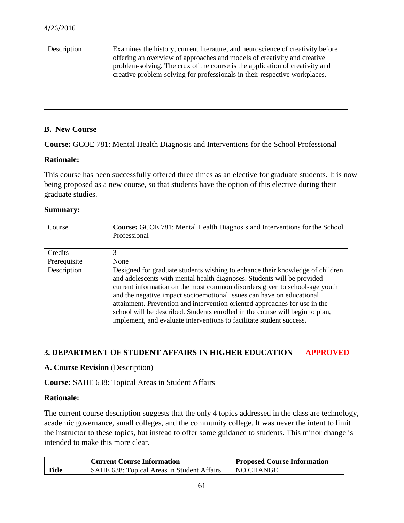| Description | Examines the history, current literature, and neuroscience of creativity before<br>offering an overview of approaches and models of creativity and creative<br>problem-solving. The crux of the course is the application of creativity and<br>creative problem-solving for professionals in their respective workplaces. |
|-------------|---------------------------------------------------------------------------------------------------------------------------------------------------------------------------------------------------------------------------------------------------------------------------------------------------------------------------|
|             |                                                                                                                                                                                                                                                                                                                           |

#### **B. New Course**

**Course:** GCOE 781: Mental Health Diagnosis and Interventions for the School Professional

#### **Rationale:**

This course has been successfully offered three times as an elective for graduate students. It is now being proposed as a new course, so that students have the option of this elective during their graduate studies.

#### **Summary:**

| Course       | Course: GCOE 781: Mental Health Diagnosis and Interventions for the School<br>Professional                                                                                                                                                                                                                                                                                                                                                                                                                                                             |
|--------------|--------------------------------------------------------------------------------------------------------------------------------------------------------------------------------------------------------------------------------------------------------------------------------------------------------------------------------------------------------------------------------------------------------------------------------------------------------------------------------------------------------------------------------------------------------|
| Credits      | 3                                                                                                                                                                                                                                                                                                                                                                                                                                                                                                                                                      |
| Prerequisite | None                                                                                                                                                                                                                                                                                                                                                                                                                                                                                                                                                   |
| Description  | Designed for graduate students wishing to enhance their knowledge of children<br>and adolescents with mental health diagnoses. Students will be provided<br>current information on the most common disorders given to school-age youth<br>and the negative impact socioemotional issues can have on educational<br>attainment. Prevention and intervention oriented approaches for use in the<br>school will be described. Students enrolled in the course will begin to plan,<br>implement, and evaluate interventions to facilitate student success. |

# **3. DEPARTMENT OF STUDENT AFFAIRS IN HIGHER EDUCATION APPROVED**

#### **A. Course Revision** (Description)

**Course:** SAHE 638: Topical Areas in Student Affairs

#### **Rationale:**

The current course description suggests that the only 4 topics addressed in the class are technology, academic governance, small colleges, and the community college. It was never the intent to limit the instructor to these topics, but instead to offer some guidance to students. This minor change is intended to make this more clear.

|              | <b>Current Course Information</b>          | <b>Proposed Course Information</b> |
|--------------|--------------------------------------------|------------------------------------|
| <b>Title</b> | SAHE 638: Topical Areas in Student Affairs | NO CHANGE                          |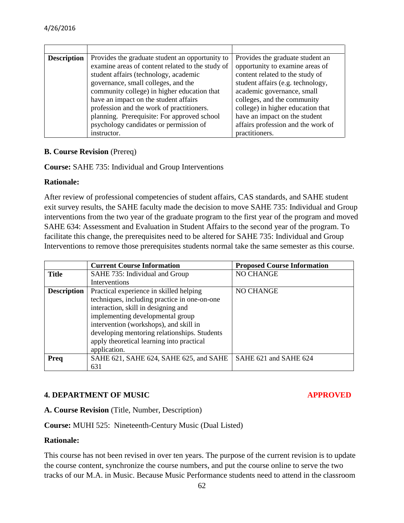| <b>Description</b> | Provides the graduate student an opportunity to  | Provides the graduate student an   |
|--------------------|--------------------------------------------------|------------------------------------|
|                    | examine areas of content related to the study of | opportunity to examine areas of    |
|                    | student affairs (technology, academic            | content related to the study of    |
|                    | governance, small colleges, and the              | student affairs (e.g. technology,  |
|                    | community college) in higher education that      | academic governance, small         |
|                    | have an impact on the student affairs            | colleges, and the community        |
|                    | profession and the work of practitioners.        | college) in higher education that  |
|                    | planning. Prerequisite: For approved school      | have an impact on the student      |
|                    | psychology candidates or permission of           | affairs profession and the work of |
|                    | instructor.                                      | practitioners.                     |

#### **B. Course Revision** (Prereq)

**Course:** SAHE 735: Individual and Group Interventions

#### **Rationale:**

After review of professional competencies of student affairs, CAS standards, and SAHE student exit survey results, the SAHE faculty made the decision to move SAHE 735: Individual and Group interventions from the two year of the graduate program to the first year of the program and moved SAHE 634: Assessment and Evaluation in Student Affairs to the second year of the program. To facilitate this change, the prerequisites need to be altered for SAHE 735: Individual and Group Interventions to remove those prerequisites students normal take the same semester as this course.

|                    | <b>Current Course Information</b>            | <b>Proposed Course Information</b> |
|--------------------|----------------------------------------------|------------------------------------|
| <b>Title</b>       | SAHE 735: Individual and Group               | NO CHANGE                          |
|                    | Interventions                                |                                    |
| <b>Description</b> | Practical experience in skilled helping      | <b>NO CHANGE</b>                   |
|                    | techniques, including practice in one-on-one |                                    |
|                    | interaction, skill in designing and          |                                    |
|                    | implementing developmental group             |                                    |
|                    | intervention (workshops), and skill in       |                                    |
|                    | developing mentoring relationships. Students |                                    |
|                    | apply theoretical learning into practical    |                                    |
|                    | application.                                 |                                    |
| Preq               | SAHE 621, SAHE 624, SAHE 625, and SAHE       | SAHE 621 and SAHE 624              |
|                    | 631                                          |                                    |

# **4. DEPARTMENT OF MUSIC CONSUMING APPROVED**

**A. Course Revision** (Title, Number, Description)

**Course:** MUHI 525: Nineteenth-Century Music (Dual Listed)

#### **Rationale:**

This course has not been revised in over ten years. The purpose of the current revision is to update the course content, synchronize the course numbers, and put the course online to serve the two tracks of our M.A. in Music. Because Music Performance students need to attend in the classroom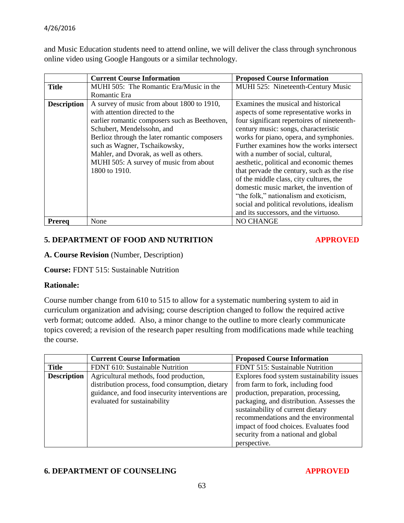and Music Education students need to attend online, we will deliver the class through synchronous online video using Google Hangouts or a similar technology.

|                    | <b>Current Course Information</b>             | <b>Proposed Course Information</b>          |
|--------------------|-----------------------------------------------|---------------------------------------------|
| <b>Title</b>       | MUHI 505: The Romantic Era/Music in the       | MUHI 525: Nineteenth-Century Music          |
|                    | Romantic Era                                  |                                             |
| <b>Description</b> | A survey of music from about 1800 to 1910,    | Examines the musical and historical         |
|                    | with attention directed to the                | aspects of some representative works in     |
|                    | earlier romantic composers such as Beethoven, | four significant repertoires of nineteenth- |
|                    | Schubert, Mendelssohn, and                    | century music: songs, characteristic        |
|                    | Berlioz through the later romantic composers  | works for piano, opera, and symphonies.     |
|                    | such as Wagner, Tschaikowsky,                 | Further examines how the works intersect    |
|                    | Mahler, and Dvorak, as well as others.        | with a number of social, cultural,          |
|                    | MUHI 505: A survey of music from about        | aesthetic, political and economic themes    |
|                    | 1800 to 1910.                                 | that pervade the century, such as the rise  |
|                    |                                               | of the middle class, city cultures, the     |
|                    |                                               | domestic music market, the invention of     |
|                    |                                               | "the folk," nationalism and exoticism,      |
|                    |                                               | social and political revolutions, idealism  |
|                    |                                               | and its successors, and the virtuoso.       |
| Prerea             | None                                          | <b>NO CHANGE</b>                            |

# **5. DEPARTMENT OF FOOD AND NUTRITION APPROVED**

# **A. Course Revision** (Number, Description)

**Course:** FDNT 515: Sustainable Nutrition

# **Rationale:**

Course number change from 610 to 515 to allow for a systematic numbering system to aid in curriculum organization and advising; course description changed to follow the required active verb format; outcome added. Also, a minor change to the outline to more clearly communicate topics covered; a revision of the research paper resulting from modifications made while teaching the course.

|                    | <b>Current Course Information</b>               | <b>Proposed Course Information</b>         |
|--------------------|-------------------------------------------------|--------------------------------------------|
| <b>Title</b>       | FDNT 610: Sustainable Nutrition                 | FDNT 515: Sustainable Nutrition            |
| <b>Description</b> | Agricultural methods, food production,          | Explores food system sustainability issues |
|                    | distribution process, food consumption, dietary | from farm to fork, including food          |
|                    | guidance, and food insecurity interventions are | production, preparation, processing,       |
|                    | evaluated for sustainability                    | packaging, and distribution. Assesses the  |
|                    |                                                 | sustainability of current dietary          |
|                    |                                                 | recommendations and the environmental      |
|                    |                                                 | impact of food choices. Evaluates food     |
|                    |                                                 | security from a national and global        |
|                    |                                                 | perspective.                               |

# **6. DEPARTMENT OF COUNSELING APPROVED**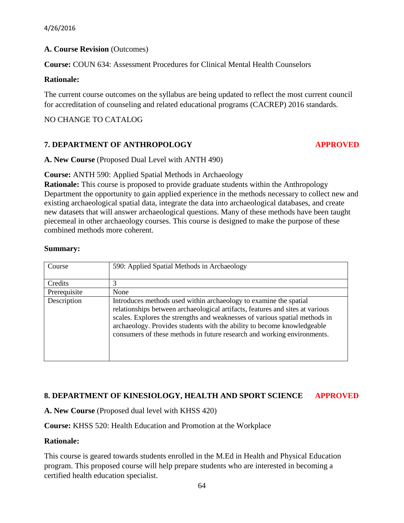# **A. Course Revision** (Outcomes)

**Course:** COUN 634: Assessment Procedures for Clinical Mental Health Counselors

#### **Rationale:**

The current course outcomes on the syllabus are being updated to reflect the most current council for accreditation of counseling and related educational programs (CACREP) 2016 standards.

# NO CHANGE TO CATALOG

# **7. DEPARTMENT OF ANTHROPOLOGY APPROVED**

**A. New Course** (Proposed Dual Level with ANTH 490)

**Course:** ANTH 590: Applied Spatial Methods in Archaeology

**Rationale:** This course is proposed to provide graduate students within the Anthropology Department the opportunity to gain applied experience in the methods necessary to collect new and existing archaeological spatial data, integrate the data into archaeological databases, and create new datasets that will answer archaeological questions. Many of these methods have been taught piecemeal in other archaeology courses. This course is designed to make the purpose of these combined methods more coherent.

#### **Summary:**

| Course       | 590: Applied Spatial Methods in Archaeology                                                                                                                                                                                                                                                                                                                                             |
|--------------|-----------------------------------------------------------------------------------------------------------------------------------------------------------------------------------------------------------------------------------------------------------------------------------------------------------------------------------------------------------------------------------------|
| Credits      |                                                                                                                                                                                                                                                                                                                                                                                         |
| Prerequisite | None                                                                                                                                                                                                                                                                                                                                                                                    |
| Description  | Introduces methods used within archaeology to examine the spatial<br>relationships between archaeological artifacts, features and sites at various<br>scales. Explores the strengths and weaknesses of various spatial methods in<br>archaeology. Provides students with the ability to become knowledgeable<br>consumers of these methods in future research and working environments. |

# **8. DEPARTMENT OF KINESIOLOGY, HEALTH AND SPORT SCIENCE APPROVED**

**A. New Course** (Proposed dual level with KHSS 420)

**Course:** KHSS 520: Health Education and Promotion at the Workplace

# **Rationale:**

This course is geared towards students enrolled in the M.Ed in Health and Physical Education program. This proposed course will help prepare students who are interested in becoming a certified health education specialist.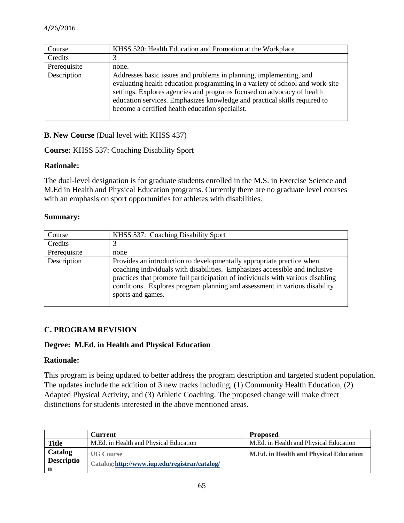| Course       | KHSS 520: Health Education and Promotion at the Workplace                                                                                                                                                                                                                                                                                                    |
|--------------|--------------------------------------------------------------------------------------------------------------------------------------------------------------------------------------------------------------------------------------------------------------------------------------------------------------------------------------------------------------|
| Credits      |                                                                                                                                                                                                                                                                                                                                                              |
| Prerequisite | none.                                                                                                                                                                                                                                                                                                                                                        |
| Description  | Addresses basic issues and problems in planning, implementing, and<br>evaluating health education programming in a variety of school and work-site<br>settings. Explores agencies and programs focused on advocacy of health<br>education services. Emphasizes knowledge and practical skills required to<br>become a certified health education specialist. |

**B. New Course (Dual level with KHSS 437)** 

**Course:** KHSS 537: Coaching Disability Sport

#### **Rationale:**

The dual-level designation is for graduate students enrolled in the M.S. in Exercise Science and M.Ed in Health and Physical Education programs. Currently there are no graduate level courses with an emphasis on sport opportunities for athletes with disabilities.

#### **Summary:**

| Course       | KHSS 537: Coaching Disability Sport                                                                                                                                                                                                                                                                                                        |  |
|--------------|--------------------------------------------------------------------------------------------------------------------------------------------------------------------------------------------------------------------------------------------------------------------------------------------------------------------------------------------|--|
| Credits      |                                                                                                                                                                                                                                                                                                                                            |  |
| Prerequisite | none                                                                                                                                                                                                                                                                                                                                       |  |
| Description  | Provides an introduction to developmentally appropriate practice when<br>coaching individuals with disabilities. Emphasizes accessible and inclusive<br>practices that promote full participation of individuals with various disabling<br>conditions. Explores program planning and assessment in various disability<br>sports and games. |  |

# **C. PROGRAM REVISION**

#### **Degree: M.Ed. in Health and Physical Education**

#### **Rationale:**

This program is being updated to better address the program description and targeted student population. The updates include the addition of 3 new tracks including, (1) Community Health Education, (2) Adapted Physical Activity, and (3) Athletic Coaching. The proposed change will make direct distinctions for students interested in the above mentioned areas.

|                              | <b>Current</b>                                                    | <b>Proposed</b>                               |
|------------------------------|-------------------------------------------------------------------|-----------------------------------------------|
| <b>Title</b>                 | M.Ed. in Health and Physical Education                            | M.Ed. in Health and Physical Education        |
| Catalog<br><b>Descriptio</b> | <b>UG Course</b><br>Catalog:http://www.iup.edu/registrar/catalog/ | <b>M.Ed. in Health and Physical Education</b> |
| $\mathbf n$                  |                                                                   |                                               |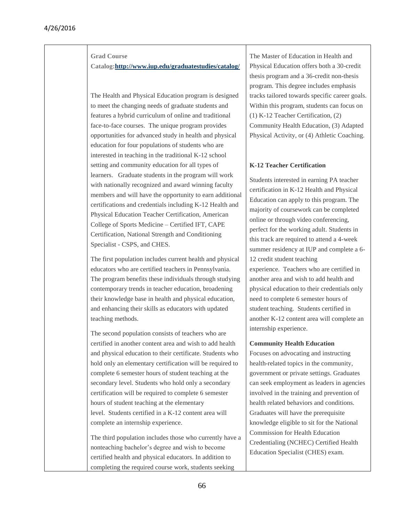#### **Grad Course**

**Catalog[:http://www.iup.edu/graduatestudies/catalog/](http://www.iup.edu/graduatestudies/catalog/)**

The Health and Physical Education program is designed to meet the changing needs of graduate students and features a hybrid curriculum of online and traditional face-to-face courses. The unique program provides opportunities for advanced study in health and physical education for four populations of students who are interested in teaching in the traditional K-12 school setting and community education for all types of learners. Graduate students in the program will work with nationally recognized and award winning faculty members and will have the opportunity to earn additional certifications and credentials including K-12 Health and Physical Education Teacher Certification, American College of Sports Medicine – Certified IFT, CAPE Certification, National Strength and Conditioning Specialist - CSPS, and CHES.

The first population includes current health and physical educators who are certified teachers in Pennsylvania. The program benefits these individuals through studying contemporary trends in teacher education, broadening their knowledge base in health and physical education, and enhancing their skills as educators with updated teaching methods.

The second population consists of teachers who are certified in another content area and wish to add health and physical education to their certificate. Students who hold only an elementary certification will be required to complete 6 semester hours of student teaching at the secondary level. Students who hold only a secondary certification will be required to complete 6 semester hours of student teaching at the elementary level. Students certified in a K-12 content area will complete an internship experience.

The third population includes those who currently have a nonteaching bachelor's degree and wish to become certified health and physical educators. In addition to completing the required course work, students seeking

The Master of Education in Health and Physical Education offers both a 30-credit thesis program and a 36-credit non-thesis program. This degree includes emphasis tracks tailored towards specific career goals. Within this program, students can focus on (1) K-12 Teacher Certification, (2) Community Health Education, (3) Adapted Physical Activity, or (4) Athletic Coaching.

#### **K-12 Teacher Certification**

Students interested in earning PA teacher certification in K-12 Health and Physical Education can apply to this program. The majority of coursework can be completed online or through video conferencing, perfect for the working adult. Students in this track are required to attend a 4-week summer residency at IUP and complete a 6- 12 credit student teaching experience. Teachers who are certified in another area and wish to add health and physical education to their credentials only need to complete 6 semester hours of student teaching. Students certified in another K-12 content area will complete an internship experience.

#### **Community Health Education**

Focuses on advocating and instructing health-related topics in the community, government or private settings. Graduates can seek employment as leaders in agencies involved in the training and prevention of health related behaviors and conditions. Graduates will have the prerequisite knowledge eligible to sit for the National Commission for Health Education Credentialing (NCHEC) Certified Health Education Specialist (CHES) exam.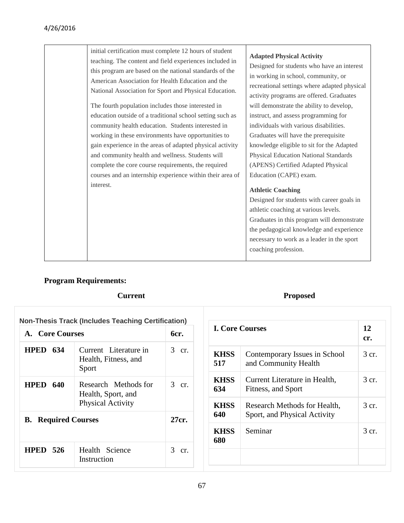# 4/26/2016

| interest. | initial certification must complete 12 hours of student<br>teaching. The content and field experiences included in<br>this program are based on the national standards of the<br>American Association for Health Education and the<br>National Association for Sport and Physical Education.<br>The fourth population includes those interested in<br>education outside of a traditional school setting such as<br>community health education. Students interested in<br>working in these environments have opportunities to<br>gain experience in the areas of adapted physical activity<br>and community health and wellness. Students will<br>complete the core course requirements, the required<br>courses and an internship experience within their area of | <b>Adapted Physical Activity</b><br>Designed for students who have an interest<br>in working in school, community, or<br>recreational settings where adapted physical<br>activity programs are offered. Graduates<br>will demonstrate the ability to develop,<br>instruct, and assess programming for<br>individuals with various disabilities.<br>Graduates will have the prerequisite<br>knowledge eligible to sit for the Adapted<br><b>Physical Education National Standards</b><br>(APENS) Certified Adapted Physical<br>Education (CAPE) exam.<br><b>Athletic Coaching</b><br>Designed for students with career goals in<br>athletic coaching at various levels.<br>Graduates in this program will demonstrate<br>the pedagogical knowledge and experience<br>necessary to work as a leader in the sport<br>coaching profession. |
|-----------|-------------------------------------------------------------------------------------------------------------------------------------------------------------------------------------------------------------------------------------------------------------------------------------------------------------------------------------------------------------------------------------------------------------------------------------------------------------------------------------------------------------------------------------------------------------------------------------------------------------------------------------------------------------------------------------------------------------------------------------------------------------------|----------------------------------------------------------------------------------------------------------------------------------------------------------------------------------------------------------------------------------------------------------------------------------------------------------------------------------------------------------------------------------------------------------------------------------------------------------------------------------------------------------------------------------------------------------------------------------------------------------------------------------------------------------------------------------------------------------------------------------------------------------------------------------------------------------------------------------------|
|-----------|-------------------------------------------------------------------------------------------------------------------------------------------------------------------------------------------------------------------------------------------------------------------------------------------------------------------------------------------------------------------------------------------------------------------------------------------------------------------------------------------------------------------------------------------------------------------------------------------------------------------------------------------------------------------------------------------------------------------------------------------------------------------|----------------------------------------------------------------------------------------------------------------------------------------------------------------------------------------------------------------------------------------------------------------------------------------------------------------------------------------------------------------------------------------------------------------------------------------------------------------------------------------------------------------------------------------------------------------------------------------------------------------------------------------------------------------------------------------------------------------------------------------------------------------------------------------------------------------------------------------|

# **Program Requirements:**

| <b>Non-Thesis Track (Includes Teaching Certification)</b> |                                                                        |          |  |
|-----------------------------------------------------------|------------------------------------------------------------------------|----------|--|
| A. Core Courses                                           |                                                                        | бcг.     |  |
| <b>HPED 634</b>                                           | Current Literature in<br>Health, Fitness, and<br>Sport                 | 3 cr.    |  |
| <b>HPED 640</b>                                           | Research Methods for<br>Health, Sport, and<br><b>Physical Activity</b> | 3 cr.    |  |
| <b>B.</b> Required Courses                                |                                                                        | 27cr.    |  |
| <b>HPED 526</b>                                           | Health Science<br>Instruction                                          | 3<br>cr. |  |

# **Current Proposed**

| <b>I. Core Courses</b> |                                                              | 12<br>cr.      |
|------------------------|--------------------------------------------------------------|----------------|
| <b>KHSS</b><br>517     | Contemporary Issues in School<br>and Community Health        | 3 cr.          |
| <b>KHSS</b><br>634     | Current Literature in Health,<br>Fitness, and Sport          | 3 cr.          |
| <b>KHSS</b><br>640     | Research Methods for Health,<br>Sport, and Physical Activity | $3 \text{ cr}$ |
| <b>KHSS</b><br>680     | Seminar                                                      | 3 cr.          |
|                        |                                                              |                |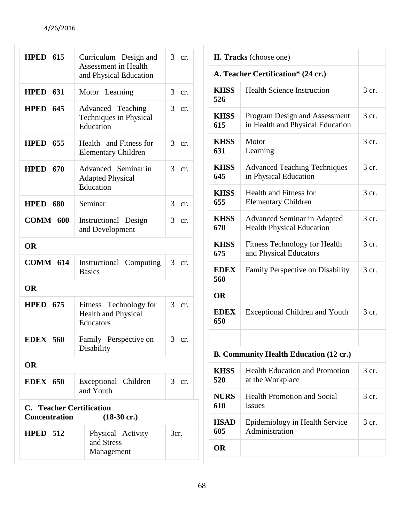| <b>HPED 615</b>                                                                  | Curriculum Design and                                             | 3 cr.                 |  |  |
|----------------------------------------------------------------------------------|-------------------------------------------------------------------|-----------------------|--|--|
|                                                                                  | <b>Assessment in Health</b><br>and Physical Education             |                       |  |  |
| <b>HPED 631</b>                                                                  | Motor Learning                                                    | 3<br>cr.              |  |  |
| <b>HPED 645</b>                                                                  | Advanced Teaching<br><b>Techniques in Physical</b><br>Education   | 3<br>cr.              |  |  |
| <b>HPED 655</b>                                                                  | Health and Fitness for<br><b>Elementary Children</b>              | 3<br>cr.              |  |  |
| <b>HPED 670</b>                                                                  | Advanced Seminar in<br><b>Adapted Physical</b><br>Education       | 3 cr.                 |  |  |
| <b>HPED 680</b>                                                                  | Seminar                                                           | 3<br>cr.              |  |  |
| <b>COMM 600</b>                                                                  | Instructional Design<br>and Development                           | 3 <sup>7</sup><br>cr. |  |  |
| <b>OR</b>                                                                        |                                                                   |                       |  |  |
| <b>COMM 614</b>                                                                  | Instructional Computing<br><b>Basics</b>                          | 3<br>cr.              |  |  |
| <b>OR</b>                                                                        |                                                                   |                       |  |  |
| <b>HPED 675</b>                                                                  | Fitness Technology for<br><b>Health and Physical</b><br>Educators | 3 cr.                 |  |  |
| <b>EDEX 560</b>                                                                  | Family Perspective on<br>Disability                               | 3 cr.                 |  |  |
| <b>OR</b>                                                                        |                                                                   |                       |  |  |
| <b>EDEX</b> 650                                                                  | Exceptional Children<br>and Youth                                 | 3 cr.                 |  |  |
| <b>C.</b> Teacher Certification<br><b>Concentration</b><br>$(18-30 \text{ cr.})$ |                                                                   |                       |  |  |
| <b>HPED 512</b>                                                                  | Physical Activity<br>and Stress<br>Management                     | 3cr.                  |  |  |

| II. Tracks (choose one)            |                                                                        |         |
|------------------------------------|------------------------------------------------------------------------|---------|
| A. Teacher Certification* (24 cr.) |                                                                        |         |
| <b>KHSS</b><br>526                 | <b>Health Science Instruction</b>                                      | 3 cr.   |
| <b>KHSS</b><br>615                 | Program Design and Assessment<br>in Health and Physical Education      | 3 cr.   |
| <b>KHSS</b><br>631                 | Motor<br>Learning                                                      | 3 cr.   |
| <b>KHSS</b><br>645                 | <b>Advanced Teaching Techniques</b><br>in Physical Education           | 3 cr.   |
| <b>KHSS</b><br>655                 | <b>Health and Fitness for</b><br><b>Elementary Children</b>            | 3 cr.   |
| <b>KHSS</b><br>670                 | <b>Advanced Seminar in Adapted</b><br><b>Health Physical Education</b> | $3$ cr. |
| <b>KHSS</b><br>675                 | <b>Fitness Technology for Health</b><br>and Physical Educators         | 3 cr.   |
| <b>EDEX</b><br>560<br><b>OR</b>    | Family Perspective on Disability                                       | 3 cr.   |
| <b>EDEX</b><br>650                 | <b>Exceptional Children and Youth</b>                                  | 3 cr.   |
|                                    |                                                                        |         |
|                                    | <b>B. Community Health Education (12 cr.)</b>                          |         |
| <b>KHSS</b><br>520                 | <b>Health Education and Promotion</b><br>at the Workplace              | 3 cr.   |
| <b>NURS</b><br>610                 | <b>Health Promotion and Social</b><br><b>Issues</b>                    | 3 cr.   |
| <b>HSAD</b><br>605                 | Epidemiology in Health Service<br>Administration                       | 3 cr.   |
| <b>OR</b>                          |                                                                        |         |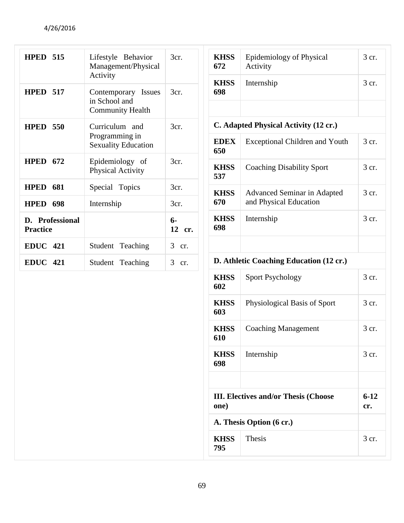| <b>HPED 515</b>                    | Lifestyle Behavior<br>Management/Physical<br>Activity | 3cr.                  | <b>KHSS</b><br>672                      | Epidemiology of Physical<br>Activity                  | 3 cr.           |
|------------------------------------|-------------------------------------------------------|-----------------------|-----------------------------------------|-------------------------------------------------------|-----------------|
|                                    |                                                       |                       | <b>KHSS</b>                             | Internship                                            | 3 cr.           |
| <b>HPED 517</b>                    | Contemporary Issues<br>in School and                  | 3cr.                  | 698                                     |                                                       |                 |
|                                    | <b>Community Health</b>                               |                       |                                         |                                                       |                 |
| <b>HPED 550</b>                    | Curriculum and                                        | 3cr.                  | C. Adapted Physical Activity (12 cr.)   |                                                       |                 |
|                                    | Programming in<br><b>Sexuality Education</b>          |                       | <b>EDEX</b><br>650                      | <b>Exceptional Children and Youth</b>                 | 3 cr.           |
| <b>HPED 672</b>                    | Epidemiology of<br>Physical Activity                  | 3cr.                  | <b>KHSS</b><br>537                      | <b>Coaching Disability Sport</b>                      | 3 cr.           |
| <b>HPED 681</b>                    | Special Topics                                        | 3cr.                  |                                         |                                                       |                 |
| <b>HPED 698</b>                    | Internship                                            | 3cr.                  | <b>KHSS</b><br>670                      | Advanced Seminar in Adapted<br>and Physical Education | 3 cr.           |
| D. Professional<br><b>Practice</b> |                                                       | $6-$<br>12 cr.        | <b>KHSS</b><br>698                      | Internship                                            | 3 cr.           |
| <b>EDUC</b> 421                    | Student Teaching                                      | $\mathfrak{Z}$<br>cr. |                                         |                                                       |                 |
| <b>EDUC</b> 421                    | Student Teaching                                      | $\mathfrak{Z}$<br>cr. | D. Athletic Coaching Education (12 cr.) |                                                       |                 |
|                                    |                                                       |                       | <b>KHSS</b><br>602                      | <b>Sport Psychology</b>                               | 3 cr.           |
|                                    |                                                       |                       | <b>KHSS</b><br>603                      | Physiological Basis of Sport                          | 3 cr.           |
|                                    |                                                       |                       | <b>KHSS</b><br>610                      | <b>Coaching Management</b>                            | 3 cr.           |
|                                    |                                                       |                       | <b>KHSS</b><br>698                      | Internship                                            | 3 cr.           |
|                                    |                                                       |                       | one)                                    | <b>III. Electives and/or Thesis (Choose</b>           | $6 - 12$<br>cr. |
| A. Thesis Option (6 cr.)           |                                                       |                       |                                         |                                                       |                 |
|                                    |                                                       |                       | <b>KHSS</b><br>795                      | Thesis                                                | 3 cr.           |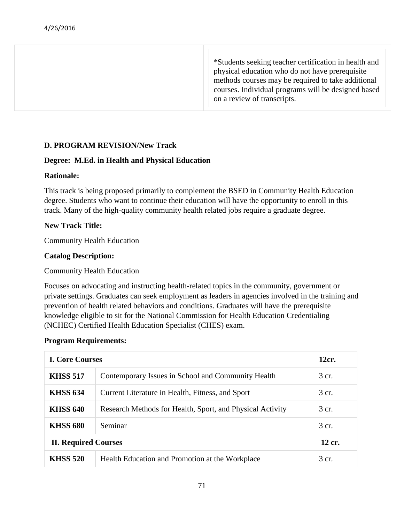\*Students seeking teacher certification in health and physical education who do not have prerequisite methods courses may be required to take additional courses. Individual programs will be designed based on a review of transcripts.

# **D. PROGRAM REVISION/New Track**

# **Degree: M.Ed. in Health and Physical Education**

# **Rationale:**

This track is being proposed primarily to complement the BSED in Community Health Education degree. Students who want to continue their education will have the opportunity to enroll in this track. Many of the high-quality community health related jobs require a graduate degree.

# **New Track Title:**

Community Health Education

# **Catalog Description:**

Community Health Education

Focuses on advocating and instructing health-related topics in the community, government or private settings. Graduates can seek employment as leaders in agencies involved in the training and prevention of health related behaviors and conditions. Graduates will have the prerequisite knowledge eligible to sit for the National Commission for Health Education Credentialing (NCHEC) Certified Health Education Specialist (CHES) exam.

# **Program Requirements:**

| <b>I. Core Courses</b>      |                                                           | 12cr.  |
|-----------------------------|-----------------------------------------------------------|--------|
| <b>KHSS 517</b>             | Contemporary Issues in School and Community Health        | 3 cr.  |
| <b>KHSS 634</b>             | Current Literature in Health, Fitness, and Sport          | 3 cr.  |
| <b>KHSS 640</b>             | Research Methods for Health, Sport, and Physical Activity | 3 cr.  |
| <b>KHSS 680</b>             | Seminar                                                   | 3 cr.  |
| <b>II. Required Courses</b> |                                                           | 12 cr. |
| <b>KHSS 520</b>             | Health Education and Promotion at the Workplace           | 3 cr.  |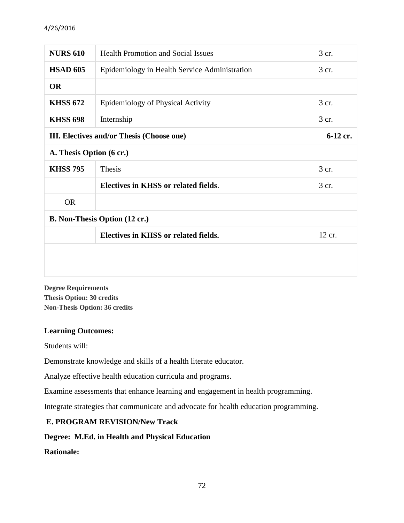# 4/26/2016

| <b>NURS 610</b>                           | <b>Health Promotion and Social Issues</b>     | 3 cr.  |  |
|-------------------------------------------|-----------------------------------------------|--------|--|
| <b>HSAD 605</b>                           | Epidemiology in Health Service Administration | 3 cr.  |  |
| <b>OR</b>                                 |                                               |        |  |
| <b>KHSS 672</b>                           | Epidemiology of Physical Activity             | 3 cr.  |  |
| <b>KHSS 698</b>                           | Internship                                    | 3 cr.  |  |
| III. Electives and/or Thesis (Choose one) |                                               |        |  |
| A. Thesis Option (6 cr.)                  |                                               |        |  |
| <b>KHSS 795</b>                           | Thesis                                        | 3 cr.  |  |
|                                           | Electives in KHSS or related fields.          | 3 cr.  |  |
| <b>OR</b>                                 |                                               |        |  |
| <b>B. Non-Thesis Option (12 cr.)</b>      |                                               |        |  |
|                                           | Electives in KHSS or related fields.          | 12 cr. |  |
|                                           |                                               |        |  |
|                                           |                                               |        |  |

**Degree Requirements Thesis Option: 30 credits Non-Thesis Option: 36 credits**

# **Learning Outcomes:**

Students will:

Demonstrate knowledge and skills of a health literate educator.

Analyze effective health education curricula and programs.

Examine assessments that enhance learning and engagement in health programming.

Integrate strategies that communicate and advocate for health education programming.

# **E. PROGRAM REVISION/New Track**

# **Degree: M.Ed. in Health and Physical Education**

**Rationale:**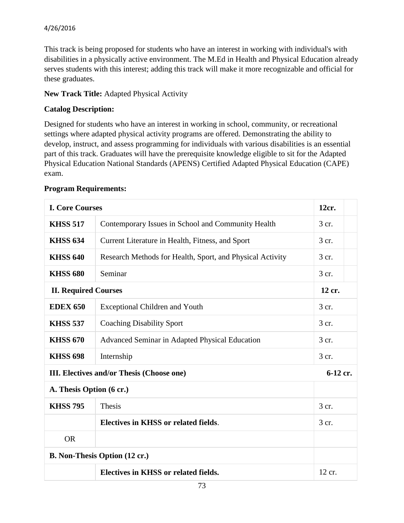# 4/26/2016

This track is being proposed for students who have an interest in working with individual's with disabilities in a physically active environment. The M.Ed in Health and Physical Education already serves students with this interest; adding this track will make it more recognizable and official for these graduates.

# **New Track Title:** Adapted Physical Activity

# **Catalog Description:**

Designed for students who have an interest in working in school, community, or recreational settings where adapted physical activity programs are offered. Demonstrating the ability to develop, instruct, and assess programming for individuals with various disabilities is an essential part of this track. Graduates will have the prerequisite knowledge eligible to sit for the Adapted Physical Education National Standards (APENS) Certified Adapted Physical Education (CAPE) exam.

| <b>I. Core Courses</b>               |                                                           | 12cr.    |  |
|--------------------------------------|-----------------------------------------------------------|----------|--|
| <b>KHSS 517</b>                      | Contemporary Issues in School and Community Health        | 3 cr.    |  |
| <b>KHSS 634</b>                      | Current Literature in Health, Fitness, and Sport          | 3 cr.    |  |
| <b>KHSS 640</b>                      | Research Methods for Health, Sport, and Physical Activity | $3$ cr.  |  |
| <b>KHSS 680</b>                      | Seminar                                                   | 3 cr.    |  |
| <b>II. Required Courses</b>          |                                                           | 12 cr.   |  |
| <b>EDEX 650</b>                      | <b>Exceptional Children and Youth</b>                     | 3 cr.    |  |
| <b>KHSS 537</b>                      | <b>Coaching Disability Sport</b>                          | 3 cr.    |  |
| <b>KHSS 670</b>                      | Advanced Seminar in Adapted Physical Education            | 3 cr.    |  |
| <b>KHSS 698</b>                      | Internship                                                | 3 cr.    |  |
|                                      | III. Electives and/or Thesis (Choose one)                 | 6-12 cr. |  |
| A. Thesis Option (6 cr.)             |                                                           |          |  |
| <b>KHSS 795</b>                      | Thesis                                                    | 3 cr.    |  |
|                                      | Electives in KHSS or related fields.                      | 3 cr.    |  |
| <b>OR</b>                            |                                                           |          |  |
| <b>B. Non-Thesis Option (12 cr.)</b> |                                                           |          |  |
|                                      | Electives in KHSS or related fields.                      | 12 cr.   |  |

# **Program Requirements:**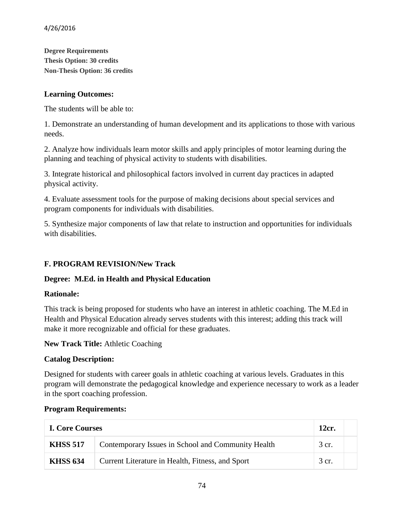**Degree Requirements Thesis Option: 30 credits Non-Thesis Option: 36 credits**

# **Learning Outcomes:**

The students will be able to:

1. Demonstrate an understanding of human development and its applications to those with various needs.

2. Analyze how individuals learn motor skills and apply principles of motor learning during the planning and teaching of physical activity to students with disabilities.

3. Integrate historical and philosophical factors involved in current day practices in adapted physical activity.

4. Evaluate assessment tools for the purpose of making decisions about special services and program components for individuals with disabilities.

5. Synthesize major components of law that relate to instruction and opportunities for individuals with disabilities.

# **F. PROGRAM REVISION/New Track**

# **Degree: M.Ed. in Health and Physical Education**

# **Rationale:**

This track is being proposed for students who have an interest in athletic coaching. The M.Ed in Health and Physical Education already serves students with this interest; adding this track will make it more recognizable and official for these graduates.

**New Track Title:** Athletic Coaching

# **Catalog Description:**

Designed for students with career goals in athletic coaching at various levels. Graduates in this program will demonstrate the pedagogical knowledge and experience necessary to work as a leader in the sport coaching profession.

# **Program Requirements:**

| <b>I. Core Courses</b> |                                                    | 12cr. |  |
|------------------------|----------------------------------------------------|-------|--|
| <b>KHSS 517</b>        | Contemporary Issues in School and Community Health | 3 cr. |  |
| <b>KHSS 634</b>        | Current Literature in Health, Fitness, and Sport   | 3 cr. |  |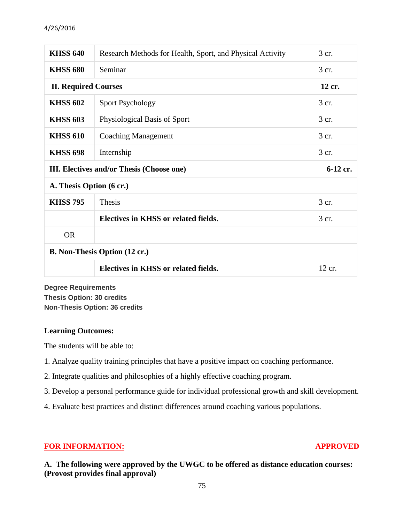## 4/26/2016

| <b>KHSS 640</b>                                  | Research Methods for Health, Sport, and Physical Activity | 3 cr.    |
|--------------------------------------------------|-----------------------------------------------------------|----------|
| <b>KHSS 680</b>                                  | Seminar                                                   | 3 cr.    |
| <b>II. Required Courses</b>                      |                                                           | 12 cr.   |
| <b>KHSS 602</b>                                  | <b>Sport Psychology</b>                                   | 3 cr.    |
| <b>KHSS 603</b>                                  | Physiological Basis of Sport                              | 3 cr.    |
| <b>KHSS 610</b>                                  | <b>Coaching Management</b>                                | 3 cr.    |
| <b>KHSS 698</b>                                  | Internship                                                | 3 cr.    |
| <b>III.</b> Electives and/or Thesis (Choose one) |                                                           |          |
|                                                  |                                                           | 6-12 cr. |
| A. Thesis Option (6 cr.)                         |                                                           |          |
| <b>KHSS 795</b>                                  | <b>Thesis</b>                                             | 3 cr.    |
|                                                  | Electives in KHSS or related fields.                      | 3 cr.    |
| <b>OR</b>                                        |                                                           |          |
|                                                  | <b>B. Non-Thesis Option (12 cr.)</b>                      |          |

**Degree Requirements Thesis Option: 30 credits Non-Thesis Option: 36 credits**

## **Learning Outcomes:**

The students will be able to:

- 1. Analyze quality training principles that have a positive impact on coaching performance.
- 2. Integrate qualities and philosophies of a highly effective coaching program.
- 3. Develop a personal performance guide for individual professional growth and skill development.
- 4. Evaluate best practices and distinct differences around coaching various populations.

# **FOR INFORMATION: APPROVED**

**A. The following were approved by the UWGC to be offered as distance education courses: (Provost provides final approval)**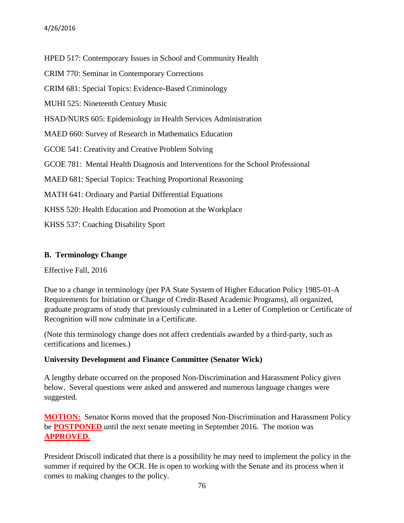HPED 517: Contemporary Issues in School and Community Health

CRIM 770: Seminar in Contemporary Corrections

CRIM 681: Special Topics: Evidence-Based Criminology

MUHI 525: Nineteenth Century Music

HSAD/NURS 605: Epidemiology in Health Services Administration

MAED 660: Survey of Research in Mathematics Education

GCOE 541: Creativity and Creative Problem Solving

GCOE 781: Mental Health Diagnosis and Interventions for the School Professional

MAED 681: Special Topics: Teaching Proportional Reasoning

MATH 641: Ordinary and Partial Differential Equations

KHSS 520: Health Education and Promotion at the Workplace

KHSS 537: Coaching Disability Sport

## **B. Terminology Change**

Effective Fall, 2016

Due to a change in terminology (per PA State System of Higher Education Policy 1985-01-A Requirements for Initiation or Change of Credit-Based Academic Programs), all organized, graduate programs of study that previously culminated in a Letter of Completion or Certificate of Recognition will now culminate in a Certificate.

(Note this terminology change does not affect credentials awarded by a third-party, such as certifications and licenses.)

# **University Development and Finance Committee (Senator Wick)**

A lengthy debate occurred on the proposed Non-Discrimination and Harassment Policy given below. Several questions were asked and answered and numerous language changes were suggested.

**MOTION:** Senator Korns moved that the proposed Non-Discrimination and Harassment Policy be **POSTPONED** until the next senate meeting in September 2016. The motion was **APPROVED.**

President Driscoll indicated that there is a possibility he may need to implement the policy in the summer if required by the OCR. He is open to working with the Senate and its process when it comes to making changes to the policy.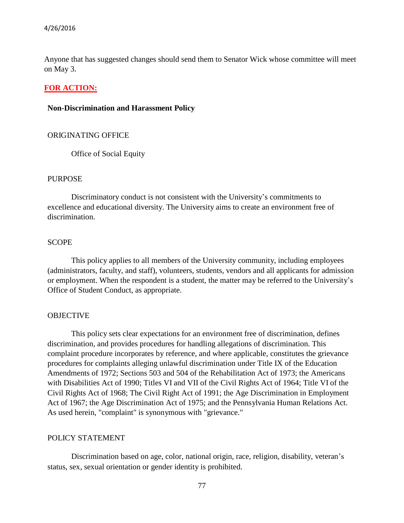Anyone that has suggested changes should send them to Senator Wick whose committee will meet on May 3.

## **FOR ACTION:**

#### **Non-Discrimination and Harassment Policy**

#### ORIGINATING OFFICE

Office of Social Equity

#### PURPOSE

Discriminatory conduct is not consistent with the University's commitments to excellence and educational diversity. The University aims to create an environment free of discrimination.

#### **SCOPE**

This policy applies to all members of the University community, including employees (administrators, faculty, and staff), volunteers, students, vendors and all applicants for admission or employment. When the respondent is a student, the matter may be referred to the University's Office of Student Conduct, as appropriate.

#### OBJECTIVE

This policy sets clear expectations for an environment free of discrimination, defines discrimination, and provides procedures for handling allegations of discrimination. This complaint procedure incorporates by reference, and where applicable, constitutes the grievance procedures for complaints alleging unlawful discrimination under Title IX of the Education Amendments of 1972; Sections 503 and 504 of the Rehabilitation Act of 1973; the Americans with Disabilities Act of 1990; Titles VI and VII of the Civil Rights Act of 1964; Title VI of the Civil Rights Act of 1968; The Civil Right Act of 1991; the Age Discrimination in Employment Act of 1967; the Age Discrimination Act of 1975; and the Pennsylvania Human Relations Act. As used herein, "complaint" is synonymous with "grievance."

## POLICY STATEMENT

Discrimination based on age, color, national origin, race, religion, disability, veteran's status, sex, sexual orientation or gender identity is prohibited.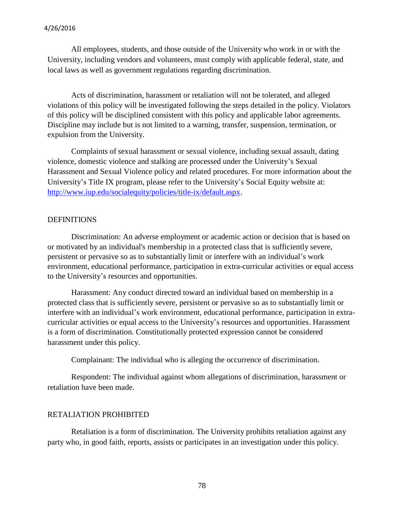All employees, students, and those outside of the University who work in or with the University, including vendors and volunteers, must comply with applicable federal, state, and local laws as well as government regulations regarding discrimination.

Acts of discrimination, harassment or retaliation will not be tolerated, and alleged violations of this policy will be investigated following the steps detailed in the policy. Violators of this policy will be disciplined consistent with this policy and applicable labor agreements. Discipline may include but is not limited to a warning, transfer, suspension, termination, or expulsion from the University.

Complaints of sexual harassment or sexual violence, including sexual assault, dating violence, domestic violence and stalking are processed under the University's Sexual Harassment and Sexual Violence policy and related procedures. For more information about the University's Title IX program, please refer to the University's Social Equity [website](http://www.iup.edu/socialequity/policies/title-ix/default.aspx) at: [http://www.iup.edu/socialequity/policies/title-ix/default.aspx.](http://www.iup.edu/socialequity/policies/title-ix/default.aspx)

## DEFINITIONS

Discrimination: An adverse employment or academic action or decision that is based on or motivated by an individual's membership in a protected class that is sufficiently severe, persistent or pervasive so as to substantially limit or interfere with an individual's work environment, educational performance, participation in extra-curricular activities or equal access to the University's resources and opportunities.

Harassment: Any conduct directed toward an individual based on membership in a protected class that is sufficiently severe, persistent or pervasive so as to substantially limit or interfere with an individual's work environment, educational performance, participation in extracurricular activities or equal access to the University's resources and opportunities. Harassment is a form of discrimination. Constitutionally protected expression cannot be considered harassment under this policy.

Complainant: The individual who is alleging the occurrence of discrimination.

Respondent: The individual against whom allegations of discrimination, harassment or retaliation have been made.

#### RETALIATION PROHIBITED

Retaliation is a form of discrimination. The University prohibits retaliation against any party who, in good faith, reports, assists or participates in an investigation under this policy.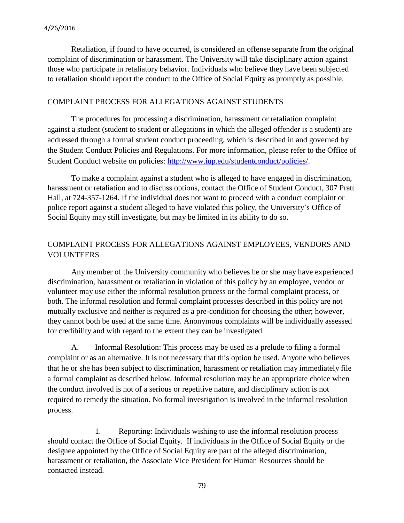Retaliation, if found to have occurred, is considered an offense separate from the original complaint of discrimination or harassment. The University will take disciplinary action against those who participate in retaliatory behavior. Individuals who believe they have been subjected to retaliation should report the conduct to the Office of Social Equity as promptly as possible.

## COMPLAINT PROCESS FOR ALLEGATIONS AGAINST STUDENTS

The procedures for processing a discrimination, harassment or retaliation complaint against a student (student to student or allegations in which the alleged offender is a student) are addressed through a formal student conduct proceeding, which is described in and governed by the Student Conduct Policies and Regulations. For more information, please refer to the Office of Student Conduct website on policies: [http://www.iup.edu/studentconduct/policies/.](http://www.iup.edu/studentconduct/policies/)

To make a complaint against a student who is alleged to have engaged in discrimination, harassment or retaliation and to discuss options, contact the Office of Student Conduct, 307 Pratt Hall, at 724-357-1264. If the individual does not want to proceed with a conduct complaint or police report against a student alleged to have violated this policy, the University's Office of Social Equity may still investigate, but may be limited in its ability to do so.

# COMPLAINT PROCESS FOR ALLEGATIONS AGAINST EMPLOYEES, VENDORS AND VOLUNTEERS

Any member of the University community who believes he or she may have experienced discrimination, harassment or retaliation in violation of this policy by an employee, vendor or volunteer may use either the informal resolution process or the formal complaint process, or both. The informal resolution and formal complaint processes described in this policy are not mutually exclusive and neither is required as a pre-condition for choosing the other; however, they cannot both be used at the same time. Anonymous complaints will be individually assessed for credibility and with regard to the extent they can be investigated.

A. Informal Resolution: This process may be used as a prelude to filing a formal complaint or as an alternative. It is not necessary that this option be used. Anyone who believes that he or she has been subject to discrimination, harassment or retaliation may immediately file a formal complaint as described below. Informal resolution may be an appropriate choice when the conduct involved is not of a serious or repetitive nature, and disciplinary action is not required to remedy the situation. No formal investigation is involved in the informal resolution process.

1. Reporting: Individuals wishing to use the informal resolution process should contact the Office of Social Equity. If individuals in the Office of Social Equity or the designee appointed by the Office of Social Equity are part of the alleged discrimination, harassment or retaliation, the Associate Vice President for Human Resources should be contacted instead.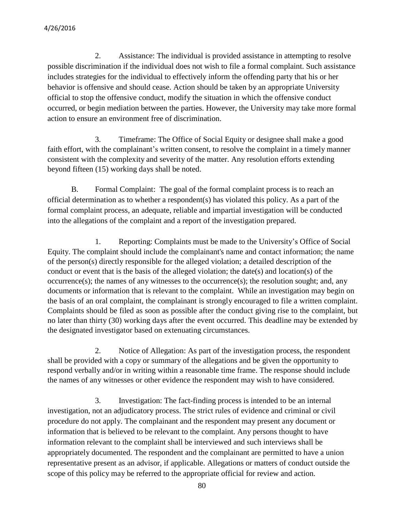2. Assistance: The individual is provided assistance in attempting to resolve possible discrimination if the individual does not wish to file a formal complaint. Such assistance includes strategies for the individual to effectively inform the offending party that his or her behavior is offensive and should cease. Action should be taken by an appropriate University official to stop the offensive conduct, modify the situation in which the offensive conduct occurred, or begin mediation between the parties. However, the University may take more formal action to ensure an environment free of discrimination.

3. Timeframe: The Office of Social Equity or designee shall make a good faith effort, with the complainant's written consent, to resolve the complaint in a timely manner consistent with the complexity and severity of the matter. Any resolution efforts extending beyond fifteen (15) working days shall be noted.

B. Formal Complaint: The goal of the formal complaint process is to reach an official determination as to whether a respondent(s) has violated this policy. As a part of the formal complaint process, an adequate, reliable and impartial investigation will be conducted into the allegations of the complaint and a report of the investigation prepared.

1. Reporting: Complaints must be made to the University's Office of Social Equity. The complaint should include the complainant's name and contact information; the name of the person(s) directly responsible for the alleged violation; a detailed description of the conduct or event that is the basis of the alleged violation; the date(s) and location(s) of the  $occurrence(s)$ ; the names of any witnesses to the occurrence(s); the resolution sought; and, any documents or information that is relevant to the complaint. While an investigation may begin on the basis of an oral complaint, the complainant is strongly encouraged to file a written complaint. Complaints should be filed as soon as possible after the conduct giving rise to the complaint, but no later than thirty (30) working days after the event occurred. This deadline may be extended by the designated investigator based on extenuating circumstances.

2. Notice of Allegation: As part of the investigation process, the respondent shall be provided with a copy or summary of the allegations and be given the opportunity to respond verbally and/or in writing within a reasonable time frame. The response should include the names of any witnesses or other evidence the respondent may wish to have considered.

3. Investigation: The fact-finding process is intended to be an internal investigation, not an adjudicatory process. The strict rules of evidence and criminal or civil procedure do not apply. The complainant and the respondent may present any document or information that is believed to be relevant to the complaint. Any persons thought to have information relevant to the complaint shall be interviewed and such interviews shall be appropriately documented. The respondent and the complainant are permitted to have a union representative present as an advisor, if applicable. Allegations or matters of conduct outside the scope of this policy may be referred to the appropriate official for review and action.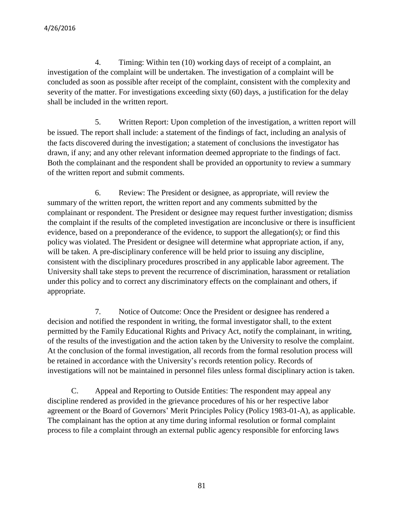4. Timing: Within ten (10) working days of receipt of a complaint, an investigation of the complaint will be undertaken. The investigation of a complaint will be concluded as soon as possible after receipt of the complaint, consistent with the complexity and severity of the matter. For investigations exceeding sixty (60) days, a justification for the delay shall be included in the written report.

5. Written Report: Upon completion of the investigation, a written report will be issued. The report shall include: a statement of the findings of fact, including an analysis of the facts discovered during the investigation; a statement of conclusions the investigator has drawn, if any; and any other relevant information deemed appropriate to the findings of fact. Both the complainant and the respondent shall be provided an opportunity to review a summary of the written report and submit comments.

6. Review: The President or designee, as appropriate, will review the summary of the written report, the written report and any comments submitted by the complainant or respondent. The President or designee may request further investigation; dismiss the complaint if the results of the completed investigation are inconclusive or there is insufficient evidence, based on a preponderance of the evidence, to support the allegation(s); or find this policy was violated. The President or designee will determine what appropriate action, if any, will be taken. A pre-disciplinary conference will be held prior to issuing any discipline, consistent with the disciplinary procedures proscribed in any applicable labor agreement. The University shall take steps to prevent the recurrence of discrimination, harassment or retaliation under this policy and to correct any discriminatory effects on the complainant and others, if appropriate.

7. Notice of Outcome: Once the President or designee has rendered a decision and notified the respondent in writing, the formal investigator shall, to the extent permitted by the Family Educational Rights and Privacy Act, notify the complainant, in writing, of the results of the investigation and the action taken by the University to resolve the complaint. At the conclusion of the formal investigation, all records from the formal resolution process will be retained in accordance with the University's records retention policy. Records of investigations will not be maintained in personnel files unless formal disciplinary action is taken.

C. Appeal and Reporting to Outside Entities: The respondent may appeal any discipline rendered as provided in the grievance procedures of his or her respective labor agreement or the Board of Governors' Merit Principles Policy (Policy 1983-01-A), as applicable. The complainant has the option at any time during informal resolution or formal complaint process to file a complaint through an external public agency responsible for enforcing laws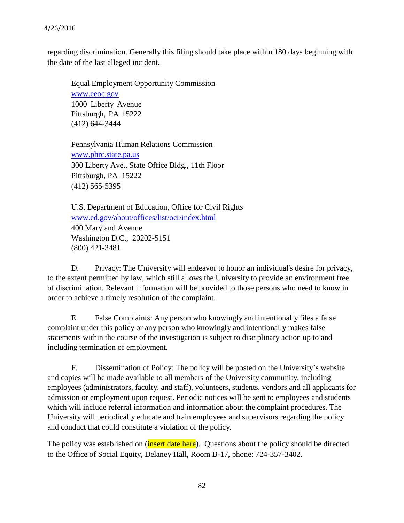regarding discrimination. Generally this filing should take place within 180 days beginning with the date of the last alleged incident.

Equal Employment Opportunity Commission [www.eeoc.gov](http://www.eeoc.gov/) 1000 Liberty Avenue Pittsburgh, PA 15222 (412) 644-3444

Pennsylvania Human Relations Commission [www.phrc.state.pa.us](http://www.phrc.state.pa.us/) 300 Liberty Ave., State Office Bldg., 11th Floor Pittsburgh, PA 15222 (412) 565-5395

U.S. Department of Education, Office for Civil Rights [www.ed.gov/about/offices/list/ocr/index.html](http://www.ed.gov/about/offices/list/ocr/index.html) 400 Maryland Avenue Washington D.C., 20202-5151 (800) 421-3481

D. Privacy: The University will endeavor to honor an individual's desire for privacy, to the extent permitted by law, which still allows the University to provide an environment free of discrimination. Relevant information will be provided to those persons who need to know in order to achieve a timely resolution of the complaint.

E. False Complaints: Any person who knowingly and intentionally files a false complaint under this policy or any person who knowingly and intentionally makes false statements within the course of the investigation is subject to disciplinary action up to and including termination of employment.

F. Dissemination of Policy: The policy will be posted on the University's website and copies will be made available to all members of the University community, including employees (administrators, faculty, and staff), volunteers, students, vendors and all applicants for admission or employment upon request. Periodic notices will be sent to employees and students which will include referral information and information about the complaint procedures. The University will periodically educate and train employees and supervisors regarding the policy and conduct that could constitute a violation of the policy.

The policy was established on (*insert date here*). Questions about the policy should be directed to the Office of Social Equity, Delaney Hall, Room B-17, phone: 724-357-3402.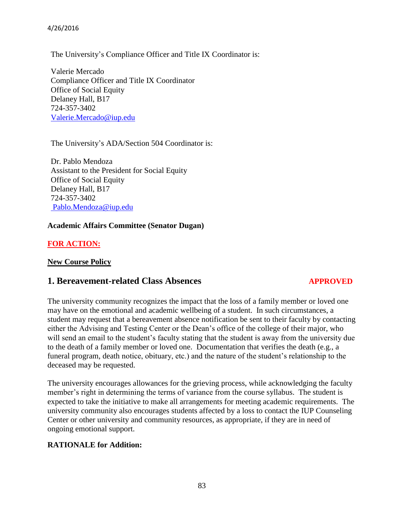4/26/2016

The University's Compliance Officer and Title IX Coordinator is:

Valerie Mercado Compliance Officer and Title IX Coordinator Office of Social Equity Delaney Hall, B17 724-357-3402 [Valerie.Mercado@iup.edu](mailto:Valerie.Mercado@iup.edu)

The University's ADA/Section 504 Coordinator is:

Dr. Pablo Mendoza Assistant to the President for Social Equity Office of Social Equity Delaney Hall, B17 724-357-3402 [Pablo.Mendoza@iup.edu](mailto:Pablo.Mendoza@iup.edu)

#### **Academic Affairs Committee (Senator Dugan)**

## **FOR ACTION:**

#### **New Course Policy**

# **1. Bereavement-related Class Absences** *APPROVED*

The university community recognizes the impact that the loss of a family member or loved one may have on the emotional and academic wellbeing of a student. In such circumstances, a student may request that a bereavement absence notification be sent to their faculty by contacting either the Advising and Testing Center or the Dean's office of the college of their major, who will send an email to the student's faculty stating that the student is away from the university due to the death of a family member or loved one. Documentation that verifies the death (e.g., a funeral program, death notice, obituary, etc.) and the nature of the student's relationship to the deceased may be requested.

The university encourages allowances for the grieving process, while acknowledging the faculty member's right in determining the terms of variance from the course syllabus. The student is expected to take the initiative to make all arrangements for meeting academic requirements. The university community also encourages students affected by a loss to contact the IUP Counseling Center or other university and community resources, as appropriate, if they are in need of ongoing emotional support.

## **RATIONALE for Addition:**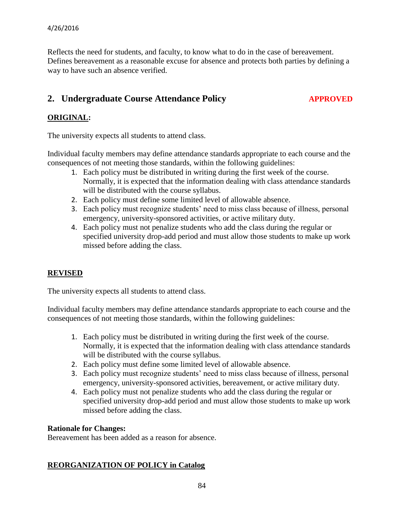Reflects the need for students, and faculty, to know what to do in the case of bereavement. Defines bereavement as a reasonable excuse for absence and protects both parties by defining a way to have such an absence verified.

# 2. Undergraduate Course Attendance Policy *APPROVED*

# **ORIGINAL:**

The university expects all students to attend class.

Individual faculty members may define attendance standards appropriate to each course and the consequences of not meeting those standards, within the following guidelines:

- 1. Each policy must be distributed in writing during the first week of the course. Normally, it is expected that the information dealing with class attendance standards will be distributed with the course syllabus.
- 2. Each policy must define some limited level of allowable absence.
- 3. Each policy must recognize students' need to miss class because of illness, personal emergency, university-sponsored activities, or active military duty.
- 4. Each policy must not penalize students who add the class during the regular or specified university drop-add period and must allow those students to make up work missed before adding the class.

# **REVISED**

The university expects all students to attend class.

Individual faculty members may define attendance standards appropriate to each course and the consequences of not meeting those standards, within the following guidelines:

- 1. Each policy must be distributed in writing during the first week of the course. Normally, it is expected that the information dealing with class attendance standards will be distributed with the course syllabus.
- 2. Each policy must define some limited level of allowable absence.
- 3. Each policy must recognize students' need to miss class because of illness, personal emergency, university-sponsored activities, bereavement, or active military duty.
- 4. Each policy must not penalize students who add the class during the regular or specified university drop-add period and must allow those students to make up work missed before adding the class.

# **Rationale for Changes:**

Bereavement has been added as a reason for absence.

# **REORGANIZATION OF POLICY in Catalog**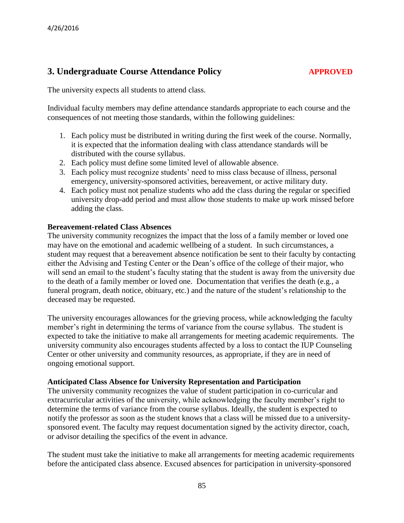# **3. Undergraduate Course Attendance Policy <b>APPROVED**

The university expects all students to attend class.

Individual faculty members may define attendance standards appropriate to each course and the consequences of not meeting those standards, within the following guidelines:

- 1. Each policy must be distributed in writing during the first week of the course. Normally, it is expected that the information dealing with class attendance standards will be distributed with the course syllabus.
- 2. Each policy must define some limited level of allowable absence.
- 3. Each policy must recognize students' need to miss class because of illness, personal emergency, university-sponsored activities, bereavement, or active military duty.
- 4. Each policy must not penalize students who add the class during the regular or specified university drop-add period and must allow those students to make up work missed before adding the class.

## **Bereavement-related Class Absences**

The university community recognizes the impact that the loss of a family member or loved one may have on the emotional and academic wellbeing of a student. In such circumstances, a student may request that a bereavement absence notification be sent to their faculty by contacting either the Advising and Testing Center or the Dean's office of the college of their major, who will send an email to the student's faculty stating that the student is away from the university due to the death of a family member or loved one. Documentation that verifies the death (e.g., a funeral program, death notice, obituary, etc.) and the nature of the student's relationship to the deceased may be requested.

The university encourages allowances for the grieving process, while acknowledging the faculty member's right in determining the terms of variance from the course syllabus. The student is expected to take the initiative to make all arrangements for meeting academic requirements. The university community also encourages students affected by a loss to contact the IUP Counseling Center or other university and community resources, as appropriate, if they are in need of ongoing emotional support.

# **Anticipated Class Absence for University Representation and Participation**

The university community recognizes the value of student participation in co-curricular and extracurricular activities of the university, while acknowledging the faculty member's right to determine the terms of variance from the course syllabus. Ideally, the student is expected to notify the professor as soon as the student knows that a class will be missed due to a universitysponsored event. The faculty may request documentation signed by the activity director, coach, or advisor detailing the specifics of the event in advance.

The student must take the initiative to make all arrangements for meeting academic requirements before the anticipated class absence. Excused absences for participation in university-sponsored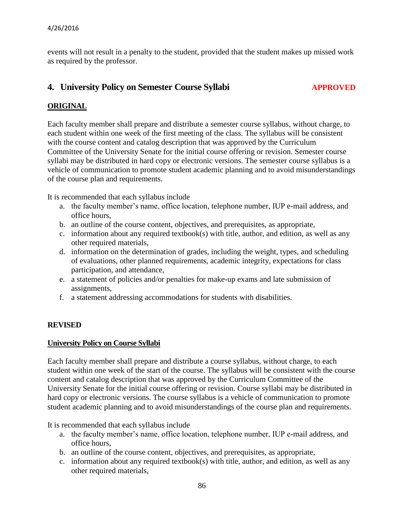events will not result in a penalty to the student, provided that the student makes up missed work as required by the professor.

# **4. University Policy on Semester Course Syllabi APPROVED**

# **ORIGINAL**

Each faculty member shall prepare and distribute a semester course syllabus, without charge, to each student within one week of the first meeting of the class. The syllabus will be consistent with the course content and catalog description that was approved by the Curriculum Committee of the University Senate for the initial course offering or revision. Semester course syllabi may be distributed in hard copy or electronic versions. The semester course syllabus is a vehicle of communication to promote student academic planning and to avoid misunderstandings of the course plan and requirements.

It is recommended that each syllabus include

- a. the faculty member's name, office location, telephone number, IUP e-mail address, and office hours,
- b. an outline of the course content, objectives, and prerequisites, as appropriate,
- c. information about any required textbook(s) with title, author, and edition, as well as any other required materials,
- d. information on the determination of grades, including the weight, types, and scheduling of evaluations, other planned requirements, academic integrity, expectations for class participation, and attendance,
- e. a statement of policies and/or penalties for make-up exams and late submission of assignments,
- f. a statement addressing accommodations for students with disabilities.

# **REVISED**

## **University Policy on Course Syllabi**

Each faculty member shall prepare and distribute a course syllabus, without charge, to each student within one week of the start of the course. The syllabus will be consistent with the course content and catalog description that was approved by the Curriculum Committee of the University Senate for the initial course offering or revision. Course syllabi may be distributed in hard copy or electronic versions. The course syllabus is a vehicle of communication to promote student academic planning and to avoid misunderstandings of the course plan and requirements.

It is recommended that each syllabus include

- a. the faculty member's name, office location, telephone number, IUP e-mail address, and office hours,
- b. an outline of the course content, objectives, and prerequisites, as appropriate,
- c. information about any required textbook(s) with title, author, and edition, as well as any other required materials,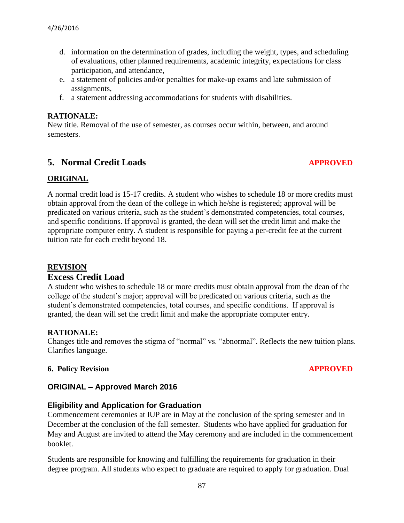- d. information on the determination of grades, including the weight, types, and scheduling of evaluations, other planned requirements, academic integrity, expectations for class participation, and attendance,
- e. a statement of policies and/or penalties for make-up exams and late submission of assignments,
- f. a statement addressing accommodations for students with disabilities.

## **RATIONALE:**

New title. Removal of the use of semester, as courses occur within, between, and around semesters.

# **5. Normal Credit Loads** *APPROVED*

# **ORIGINAL**

A normal credit load is 15-17 credits. A student who wishes to schedule 18 or more credits must obtain approval from the dean of the college in which he/she is registered; approval will be predicated on various criteria, such as the student's demonstrated competencies, total courses, and specific conditions. If approval is granted, the dean will set the credit limit and make the appropriate computer entry. A student is responsible for paying a per-credit fee at the current tuition rate for each credit beyond 18.

# **REVISION**

# **Excess Credit Load**

A student who wishes to schedule 18 or more credits must obtain approval from the dean of the college of the student's major; approval will be predicated on various criteria, such as the student's demonstrated competencies, total courses, and specific conditions. If approval is granted, the dean will set the credit limit and make the appropriate computer entry.

# **RATIONALE:**

Changes title and removes the stigma of "normal" vs. "abnormal". Reflects the new tuition plans. Clarifies language.

## **6. Policy Revision APPROVED**

# **ORIGINAL – Approved March 2016**

# **Eligibility and Application for Graduation**

Commencement ceremonies at IUP are in May at the conclusion of the spring semester and in December at the conclusion of the fall semester. Students who have applied for graduation for May and August are invited to attend the May ceremony and are included in the commencement booklet.

Students are responsible for knowing and fulfilling the requirements for graduation in their degree program. All students who expect to graduate are required to apply for graduation. Dual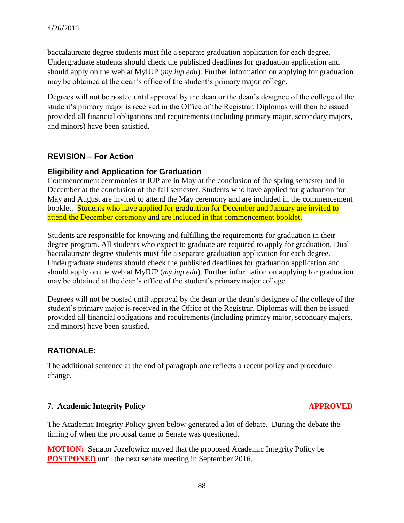baccalaureate degree students must file a separate graduation application for each degree. Undergraduate students should check the published deadlines for graduation application and should apply on the web at MyIUP (*my.iup.edu*). Further information on applying for graduation may be obtained at the dean's office of the student's primary major college.

Degrees will not be posted until approval by the dean or the dean's designee of the college of the student's primary major is received in the Office of the Registrar. Diplomas will then be issued provided all financial obligations and requirements (including primary major, secondary majors, and minors) have been satisfied.

# **REVISION – For Action**

# **Eligibility and Application for Graduation**

Commencement ceremonies at IUP are in May at the conclusion of the spring semester and in December at the conclusion of the fall semester. Students who have applied for graduation for May and August are invited to attend the May ceremony and are included in the commencement booklet. Students who have applied for graduation for December and January are invited to attend the December ceremony and are included in that commencement booklet.

Students are responsible for knowing and fulfilling the requirements for graduation in their degree program. All students who expect to graduate are required to apply for graduation. Dual baccalaureate degree students must file a separate graduation application for each degree. Undergraduate students should check the published deadlines for graduation application and should apply on the web at MyIUP (*my.iup.edu*). Further information on applying for graduation may be obtained at the dean's office of the student's primary major college.

Degrees will not be posted until approval by the dean or the dean's designee of the college of the student's primary major is received in the Office of the Registrar. Diplomas will then be issued provided all financial obligations and requirements (including primary major, secondary majors, and minors) have been satisfied.

# **RATIONALE:**

The additional sentence at the end of paragraph one reflects a recent policy and procedure change.

# **7. Academic Integrity Policy APPROVED**

The Academic Integrity Policy given below generated a lot of debate. During the debate the timing of when the proposal came to Senate was questioned.

**MOTION:** Senator Jozefowicz moved that the proposed Academic Integrity Policy be **POSTPONED** until the next senate meeting in September 2016.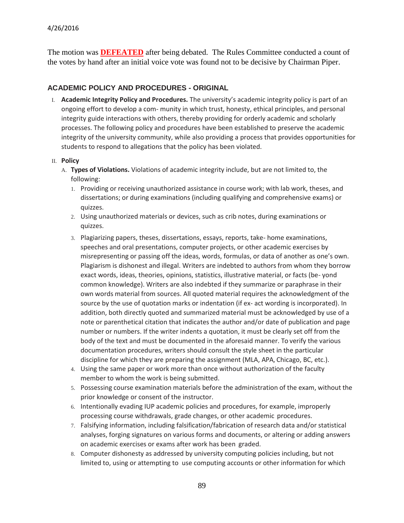The motion was **DEFEATED** after being debated. The Rules Committee conducted a count of the votes by hand after an initial voice vote was found not to be decisive by Chairman Piper.

## **ACADEMIC POLICY AND PROCEDURES - ORIGINAL**

I. **Academic Integrity Policy and Procedures.** The university's academic integrity policy is part of an ongoing effort to develop a com- munity in which trust, honesty, ethical principles, and personal integrity guide interactions with others, thereby providing for orderly academic and scholarly processes. The following policy and procedures have been established to preserve the academic integrity of the university community, while also providing a process that provides opportunities for students to respond to allegations that the policy has been violated.

#### II. **Policy**

- A. **Types of Violations.** Violations of academic integrity include, but are not limited to, the following:
	- 1. Providing or receiving unauthorized assistance in course work; with lab work, theses, and dissertations; or during examinations (including qualifying and comprehensive exams) or quizzes.
	- 2. Using unauthorized materials or devices, such as crib notes, during examinations or quizzes.
	- 3. Plagiarizing papers, theses, dissertations, essays, reports, take- home examinations, speeches and oral presentations, computer projects, or other academic exercises by misrepresenting or passing off the ideas, words, formulas, or data of another as one's own. Plagiarism is dishonest and illegal. Writers are indebted to authors from whom they borrow exact words, ideas, theories, opinions, statistics, illustrative material, or facts (be- yond common knowledge). Writers are also indebted if they summarize or paraphrase in their own words material from sources. All quoted material requires the acknowledgment of the source by the use of quotation marks or indentation (if ex- act wording is incorporated). In addition, both directly quoted and summarized material must be acknowledged by use of a note or parenthetical citation that indicates the author and/or date of publication and page number or numbers. If the writer indents a quotation, it must be clearly set off from the body of the text and must be documented in the aforesaid manner. To verify the various documentation procedures, writers should consult the style sheet in the particular discipline for which they are preparing the assignment (MLA, APA, Chicago, BC, etc.).
	- 4. Using the same paper or work more than once without authorization of the faculty member to whom the work is being submitted.
	- 5. Possessing course examination materials before the administration of the exam, without the prior knowledge or consent of the instructor.
	- 6. Intentionally evading IUP academic policies and procedures, for example, improperly processing course withdrawals, grade changes, or other academic procedures.
	- 7. Falsifying information, including falsification/fabrication of research data and/or statistical analyses, forging signatures on various forms and documents, or altering or adding answers on academic exercises or exams after work has been graded.
	- 8. Computer dishonesty as addressed by university computing policies including, but not limited to, using or attempting to use computing accounts or other information for which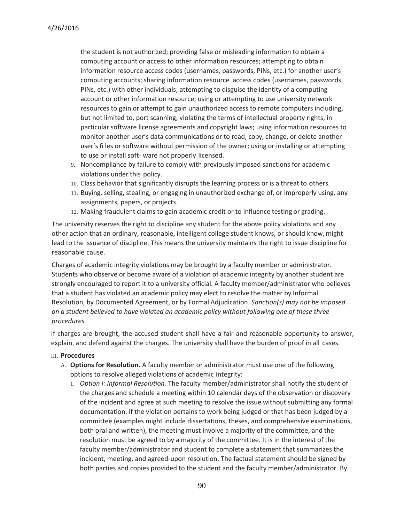the student is not authorized; providing false or misleading information to obtain a computing account or access to other information resources; attempting to obtain information resource access codes (usernames, passwords, PINs, etc.) for another user's computing accounts; sharing information resource access codes (usernames, passwords, PINs, etc.) with other individuals; attempting to disguise the identity of a computing account or other information resource; using or attempting to use university network resources to gain or attempt to gain unauthorized access to remote computers including, but not limited to, port scanning; violating the terms of intellectual property rights, in particular software license agreements and copyright laws; using information resources to monitor another user's data communications or to read, copy, change, or delete another user's fi les or software without permission of the owner; using or installing or attempting to use or install soft- ware not properly licensed.

- 9. Noncompliance by failure to comply with previously imposed sanctions for academic violations under this policy.
- 10. Class behavior that significantly disrupts the learning process or is a threat to others.
- 11. Buying, selling, stealing, or engaging in unauthorized exchange of, or improperly using, any assignments, papers, or projects.
- 12. Making fraudulent claims to gain academic credit or to influence testing or grading.

The university reserves the right to discipline any student for the above policy violations and any other action that an ordinary, reasonable, intelligent college student knows, or should know, might lead to the issuance of discipline. This means the university maintains the right to issue discipline for reasonable cause.

Charges of academic integrity violations may be brought by a faculty member or administrator. Students who observe or become aware of a violation of academic integrity by another student are strongly encouraged to report it to a university official. A faculty member/administrator who believes that a student has violated an academic policy may elect to resolve the matter by Informal Resolution, by Documented Agreement, or by Formal Adjudication. *Sanction(s) may not be imposed on a student believed to have violated an academic policy without following one of these three procedures.*

If charges are brought, the accused student shall have a fair and reasonable opportunity to answer, explain, and defend against the charges. The university shall have the burden of proof in all cases.

#### III. **Procedures**

- A. **Options for Resolution.** A faculty member or administrator must use one of the following options to resolve alleged violations of academic integrity:
	- 1. *Option I: Informal Resolution.* The faculty member/administrator shall notify the student of the charges and schedule a meeting within 10 calendar days of the observation or discovery of the incident and agree at such meeting to resolve the issue without submitting any formal documentation. If the violation pertains to work being judged or that has been judged by a committee (examples might include dissertations, theses, and comprehensive examinations, both oral and written), the meeting must involve a majority of the committee, and the resolution must be agreed to by a majority of the committee. It is in the interest of the faculty member/administrator and student to complete a statement that summarizes the incident, meeting, and agreed-upon resolution. The factual statement should be signed by both parties and copies provided to the student and the faculty member/administrator. By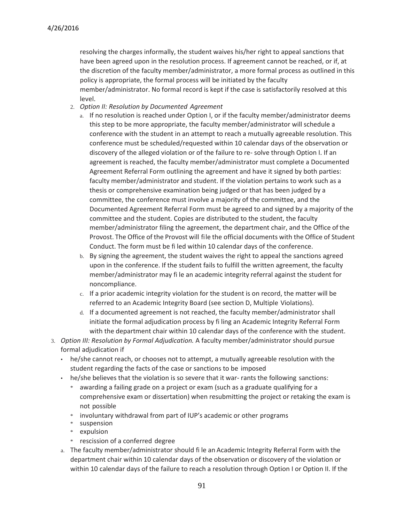resolving the charges informally, the student waives his/her right to appeal sanctions that have been agreed upon in the resolution process. If agreement cannot be reached, or if, at the discretion of the faculty member/administrator, a more formal process as outlined in this policy is appropriate, the formal process will be initiated by the faculty member/administrator. No formal record is kept if the case is satisfactorily resolved at this level.

- 2. *Option II: Resolution by Documented Agreement*
	- a. If no resolution is reached under Option I, or if the faculty member/administrator deems this step to be more appropriate, the faculty member/administrator will schedule a conference with the student in an attempt to reach a mutually agreeable resolution. This conference must be scheduled/requested within 10 calendar days of the observation or discovery of the alleged violation or of the failure to re- solve through Option I. If an agreement is reached, the faculty member/administrator must complete a Documented Agreement Referral Form outlining the agreement and have it signed by both parties: faculty member/administrator and student. If the violation pertains to work such as a thesis or comprehensive examination being judged or that has been judged by a committee, the conference must involve a majority of the committee, and the Documented Agreement Referral Form must be agreed to and signed by a majority of the committee and the student. Copies are distributed to the student, the faculty member/administrator filing the agreement, the department chair, and the Office of the Provost. The Office of the Provost will file the official documents with the Office of Student Conduct. The form must be fi led within 10 calendar days of the conference.
	- b. By signing the agreement, the student waives the right to appeal the sanctions agreed upon in the conference. If the student fails to fulfill the written agreement, the faculty member/administrator may fi le an academic integrity referral against the student for noncompliance.
	- c. If a prior academic integrity violation for the student is on record, the matter will be referred to an Academic Integrity Board (see section D, Multiple Violations).
	- d. If a documented agreement is not reached, the faculty member/administrator shall initiate the formal adjudication process by fi ling an Academic Integrity Referral Form with the department chair within 10 calendar days of the conference with the student.
- 3. *Option III: Resolution by Formal Adjudication.* A faculty member/administrator should pursue formal adjudication if
	- he/she cannot reach, or chooses not to attempt, a mutually agreeable resolution with the student regarding the facts of the case or sanctions to be imposed
	- he/she believes that the violation is so severe that it war- rants the following sanctions:
		- \* awarding a failing grade on a project or exam (such as a graduate qualifying for a comprehensive exam or dissertation) when resubmitting the project or retaking the exam is not possible
		- \* involuntary withdrawal from part of IUP's academic or other programs
		- \* suspension
		- \* expulsion
		- \* rescission of a conferred degree
	- a. The faculty member/administrator should fi le an Academic Integrity Referral Form with the department chair within 10 calendar days of the observation or discovery of the violation or within 10 calendar days of the failure to reach a resolution through Option I or Option II. If the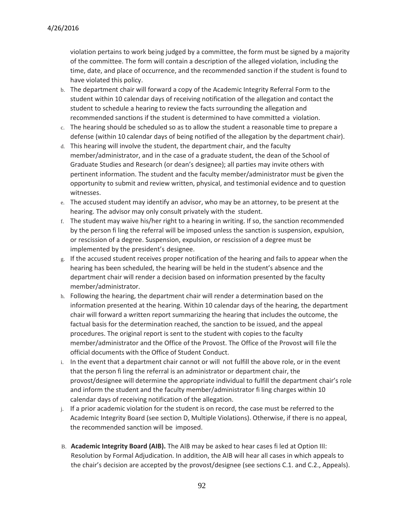violation pertains to work being judged by a committee, the form must be signed by a majority of the committee. The form will contain a description of the alleged violation, including the time, date, and place of occurrence, and the recommended sanction if the student is found to have violated this policy.

- b. The department chair will forward a copy of the Academic Integrity Referral Form to the student within 10 calendar days of receiving notification of the allegation and contact the student to schedule a hearing to review the facts surrounding the allegation and recommended sanctions if the student is determined to have committed a violation.
- c. The hearing should be scheduled so as to allow the student a reasonable time to prepare a defense (within 10 calendar days of being notified of the allegation by the department chair).
- d. This hearing will involve the student, the department chair, and the faculty member/administrator, and in the case of a graduate student, the dean of the School of Graduate Studies and Research (or dean's designee); all parties may invite others with pertinent information. The student and the faculty member/administrator must be given the opportunity to submit and review written, physical, and testimonial evidence and to question witnesses.
- e. The accused student may identify an advisor, who may be an attorney, to be present at the hearing. The advisor may only consult privately with the student.
- f. The student may waive his/her right to a hearing in writing. If so, the sanction recommended by the person fi ling the referral will be imposed unless the sanction is suspension, expulsion, or rescission of a degree. Suspension, expulsion, or rescission of a degree must be implemented by the president's designee.
- g. If the accused student receives proper notification of the hearing and fails to appear when the hearing has been scheduled, the hearing will be held in the student's absence and the department chair will render a decision based on information presented by the faculty member/administrator.
- h. Following the hearing, the department chair will render a determination based on the information presented at the hearing. Within 10 calendar days of the hearing, the department chair will forward a written report summarizing the hearing that includes the outcome, the factual basis for the determination reached, the sanction to be issued, and the appeal procedures. The original report is sent to the student with copies to the faculty member/administrator and the Office of the Provost. The Office of the Provost will fi le the official documents with the Office of Student Conduct.
- i. In the event that a department chair cannot or will not fulfill the above role, or in the event that the person fi ling the referral is an administrator or department chair, the provost/designee will determine the appropriate individual to fulfill the department chair's role and inform the student and the faculty member/administrator fi ling charges within 10 calendar days of receiving notification of the allegation.
- j. If a prior academic violation for the student is on record, the case must be referred to the Academic Integrity Board (see section D, Multiple Violations). Otherwise, if there is no appeal, the recommended sanction will be imposed.
- B. **Academic Integrity Board (AIB).** The AIB may be asked to hear cases fi led at Option III: Resolution by Formal Adjudication. In addition, the AIB will hear all cases in which appeals to the chair's decision are accepted by the provost/designee (see sections C.1. and C.2., Appeals).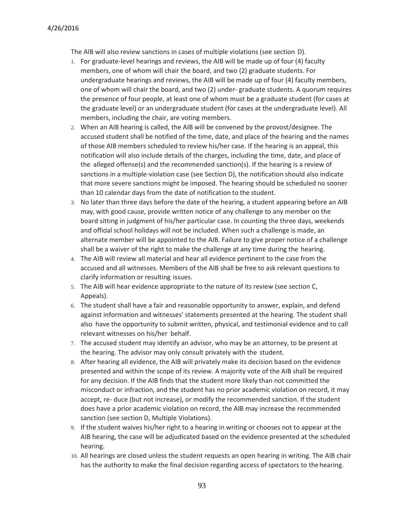The AIB will also review sanctions in cases of multiple violations (see section D).

- 1. For graduate-level hearings and reviews, the AIB will be made up of four (4) faculty members, one of whom will chair the board, and two (2) graduate students. For undergraduate hearings and reviews, the AIB will be made up of four (4) faculty members, one of whom will chair the board, and two (2) under- graduate students. A quorum requires the presence of four people, at least one of whom must be a graduate student (for cases at the graduate level) or an undergraduate student (for cases at the undergraduate level). All members, including the chair, are voting members.
- 2. When an AIB hearing is called, the AIB will be convened by the provost/designee. The accused student shall be notified of the time, date, and place of the hearing and the names of those AIB members scheduled to review his/her case. If the hearing is an appeal, this notification will also include details of the charges, including the time, date, and place of the alleged offense(s) and the recommended sanction(s). If the hearing is a review of sanctions in a multiple-violation case (see Section D), the notification should also indicate that more severe sanctions might be imposed. The hearing should be scheduled no sooner than 10 calendar days from the date of notification to the student.
- 3. No later than three days before the date of the hearing, a student appearing before an AIB may, with good cause, provide written notice of any challenge to any member on the board sitting in judgment of his/her particular case. In counting the three days, weekends and official school holidays will not be included. When such a challenge is made, an alternate member will be appointed to the AIB. Failure to give proper notice of a challenge shall be a waiver of the right to make the challenge at any time during the hearing.
- 4. The AIB will review all material and hear all evidence pertinent to the case from the accused and all witnesses. Members of the AIB shall be free to ask relevant questions to clarify information or resulting issues.
- 5. The AIB will hear evidence appropriate to the nature of its review (see section C, Appeals).
- 6. The student shall have a fair and reasonable opportunity to answer, explain, and defend against information and witnesses' statements presented at the hearing. The student shall also have the opportunity to submit written, physical, and testimonial evidence and to call relevant witnesses on his/her behalf.
- 7. The accused student may identify an advisor, who may be an attorney, to be present at the hearing. The advisor may only consult privately with the student.
- 8. After hearing all evidence, the AIB will privately make its decision based on the evidence presented and within the scope of its review. A majority vote of the AIB shall be required for any decision. If the AIB finds that the student more likely than not committed the misconduct or infraction, and the student has no prior academic violation on record, it may accept, re- duce (but not increase), or modify the recommended sanction. If the student does have a prior academic violation on record, the AIB may increase the recommended sanction (see section D, Multiple Violations).
- 9. If the student waives his/her right to a hearing in writing or chooses not to appear at the AIB hearing, the case will be adjudicated based on the evidence presented at the scheduled hearing.
- 10. All hearings are closed unless the student requests an open hearing in writing. The AIB chair has the authority to make the final decision regarding access of spectators to the hearing.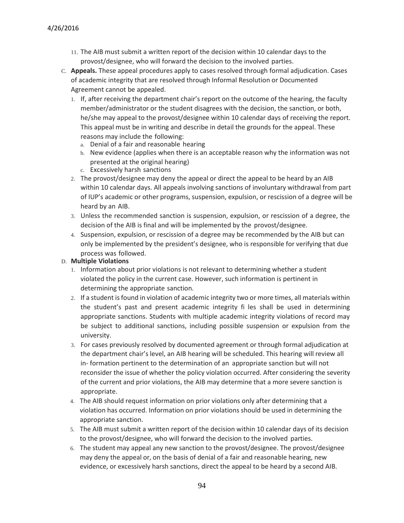- 11. The AIB must submit a written report of the decision within 10 calendar days to the provost/designee, who will forward the decision to the involved parties.
- C. **Appeals.** These appeal procedures apply to cases resolved through formal adjudication. Cases of academic integrity that are resolved through Informal Resolution or Documented Agreement cannot be appealed.
	- 1. If, after receiving the department chair's report on the outcome of the hearing, the faculty member/administrator or the student disagrees with the decision, the sanction, or both, he/she may appeal to the provost/designee within 10 calendar days of receiving the report. This appeal must be in writing and describe in detail the grounds for the appeal. These reasons may include the following:
		- a. Denial of a fair and reasonable hearing
		- b. New evidence (applies when there is an acceptable reason why the information was not presented at the original hearing)
		- c. Excessively harsh sanctions
	- 2. The provost/designee may deny the appeal or direct the appeal to be heard by an AIB within 10 calendar days. All appeals involving sanctions of involuntary withdrawal from part of IUP's academic or other programs, suspension, expulsion, or rescission of a degree will be heard by an AIB.
	- 3. Unless the recommended sanction is suspension, expulsion, or rescission of a degree, the decision of the AIB is final and will be implemented by the provost/designee.
	- 4. Suspension, expulsion, or rescission of a degree may be recommended by the AIB but can only be implemented by the president's designee, who is responsible for verifying that due process was followed.

#### D. **Multiple Violations**

- 1. Information about prior violations is not relevant to determining whether a student violated the policy in the current case. However, such information is pertinent in determining the appropriate sanction.
- 2. If a student is found in violation of academic integrity two or more times, all materials within the student's past and present academic integrity fi les shall be used in determining appropriate sanctions. Students with multiple academic integrity violations of record may be subject to additional sanctions, including possible suspension or expulsion from the university.
- 3. For cases previously resolved by documented agreement or through formal adjudication at the department chair's level, an AIB hearing will be scheduled. This hearing will review all in- formation pertinent to the determination of an appropriate sanction but will not reconsider the issue of whether the policy violation occurred. After considering the severity of the current and prior violations, the AIB may determine that a more severe sanction is appropriate.
- 4. The AIB should request information on prior violations only after determining that a violation has occurred. Information on prior violations should be used in determining the appropriate sanction.
- 5. The AIB must submit a written report of the decision within 10 calendar days of its decision to the provost/designee, who will forward the decision to the involved parties.
- 6. The student may appeal any new sanction to the provost/designee. The provost/designee may deny the appeal or, on the basis of denial of a fair and reasonable hearing, new evidence, or excessively harsh sanctions, direct the appeal to be heard by a second AIB.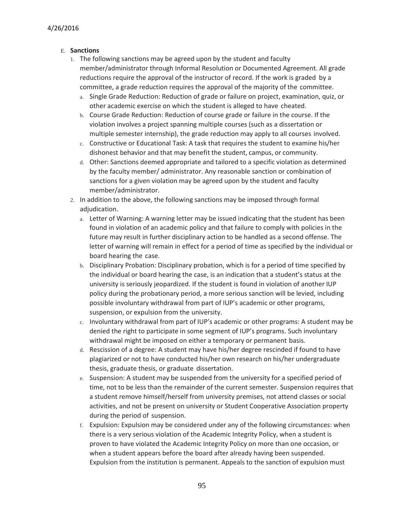#### E. **Sanctions**

- 1. The following sanctions may be agreed upon by the student and faculty member/administrator through Informal Resolution or Documented Agreement. All grade reductions require the approval of the instructor of record. If the work is graded by a committee, a grade reduction requires the approval of the majority of the committee.
	- a. Single Grade Reduction: Reduction of grade or failure on project, examination, quiz, or other academic exercise on which the student is alleged to have cheated.
	- b. Course Grade Reduction: Reduction of course grade or failure in the course. If the violation involves a project spanning multiple courses (such as a dissertation or multiple semester internship), the grade reduction may apply to all courses involved.
	- c. Constructive or Educational Task: A task that requires the student to examine his/her dishonest behavior and that may benefit the student, campus, or community.
	- d. Other: Sanctions deemed appropriate and tailored to a specific violation as determined by the faculty member/ administrator. Any reasonable sanction or combination of sanctions for a given violation may be agreed upon by the student and faculty member/administrator.
- 2. In addition to the above, the following sanctions may be imposed through formal adjudication.
	- a. Letter of Warning: A warning letter may be issued indicating that the student has been found in violation of an academic policy and that failure to comply with policies in the future may result in further disciplinary action to be handled as a second offense. The letter of warning will remain in effect for a period of time as specified by the individual or board hearing the case.
	- b. Disciplinary Probation: Disciplinary probation, which is for a period of time specified by the individual or board hearing the case, is an indication that a student's status at the university is seriously jeopardized. If the student is found in violation of another IUP policy during the probationary period, a more serious sanction will be levied, including possible involuntary withdrawal from part of IUP's academic or other programs, suspension, or expulsion from the university.
	- c. Involuntary withdrawal from part of IUP's academic or other programs: A student may be denied the right to participate in some segment of IUP's programs. Such involuntary withdrawal might be imposed on either a temporary or permanent basis.
	- d. Rescission of a degree: A student may have his/her degree rescinded if found to have plagiarized or not to have conducted his/her own research on his/her undergraduate thesis, graduate thesis, or graduate dissertation.
	- e. Suspension: A student may be suspended from the university for a specified period of time, not to be less than the remainder of the current semester. Suspension requires that a student remove himself/herself from university premises, not attend classes or social activities, and not be present on university or Student Cooperative Association property during the period of suspension.
	- f. Expulsion: Expulsion may be considered under any of the following circumstances: when there is a very serious violation of the Academic Integrity Policy, when a student is proven to have violated the Academic Integrity Policy on more than one occasion, or when a student appears before the board after already having been suspended. Expulsion from the institution is permanent. Appeals to the sanction of expulsion must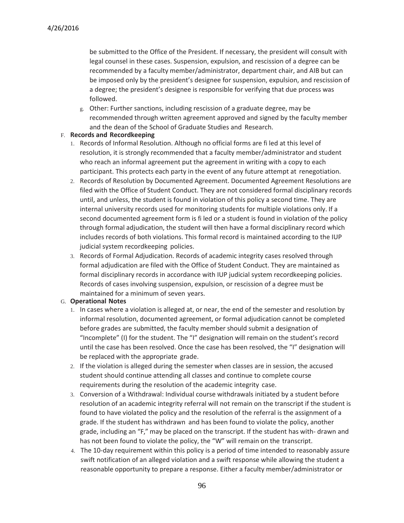be submitted to the Office of the President. If necessary, the president will consult with legal counsel in these cases. Suspension, expulsion, and rescission of a degree can be recommended by a faculty member/administrator, department chair, and AIB but can be imposed only by the president's designee for suspension, expulsion, and rescission of a degree; the president's designee is responsible for verifying that due process was followed.

g. Other: Further sanctions, including rescission of a graduate degree, may be recommended through written agreement approved and signed by the faculty member and the dean of the School of Graduate Studies and Research.

#### F. **Records and Recordkeeping**

- 1. Records of Informal Resolution. Although no official forms are fi led at this level of resolution, it is strongly recommended that a faculty member/administrator and student who reach an informal agreement put the agreement in writing with a copy to each participant. This protects each party in the event of any future attempt at renegotiation.
- 2. Records of Resolution by Documented Agreement. Documented Agreement Resolutions are filed with the Office of Student Conduct. They are not considered formal disciplinary records until, and unless, the student is found in violation of this policy a second time. They are internal university records used for monitoring students for multiple violations only. If a second documented agreement form is fi led or a student is found in violation of the policy through formal adjudication, the student will then have a formal disciplinary record which includes records of both violations. This formal record is maintained according to the IUP judicial system recordkeeping policies.
- 3. Records of Formal Adjudication. Records of academic integrity cases resolved through formal adjudication are filed with the Office of Student Conduct. They are maintained as formal disciplinary records in accordance with IUP judicial system recordkeeping policies. Records of cases involving suspension, expulsion, or rescission of a degree must be maintained for a minimum of seven years.

#### G. **Operational Notes**

- 1. In cases where a violation is alleged at, or near, the end of the semester and resolution by informal resolution, documented agreement, or formal adjudication cannot be completed before grades are submitted, the faculty member should submit a designation of "Incomplete" (I) for the student. The "I" designation will remain on the student's record until the case has been resolved. Once the case has been resolved, the "I" designation will be replaced with the appropriate grade.
- 2. If the violation is alleged during the semester when classes are in session, the accused student should continue attending all classes and continue to complete course requirements during the resolution of the academic integrity case.
- 3. Conversion of a Withdrawal: Individual course withdrawals initiated by a student before resolution of an academic integrity referral will not remain on the transcript if the student is found to have violated the policy and the resolution of the referral is the assignment of a grade. If the student has withdrawn and has been found to violate the policy, another grade, including an "F," may be placed on the transcript. If the student has with- drawn and has not been found to violate the policy, the "W" will remain on the transcript.
- 4. The 10-day requirement within this policy is a period of time intended to reasonably assure swift notification of an alleged violation and a swift response while allowing the student a reasonable opportunity to prepare a response. Either a faculty member/administrator or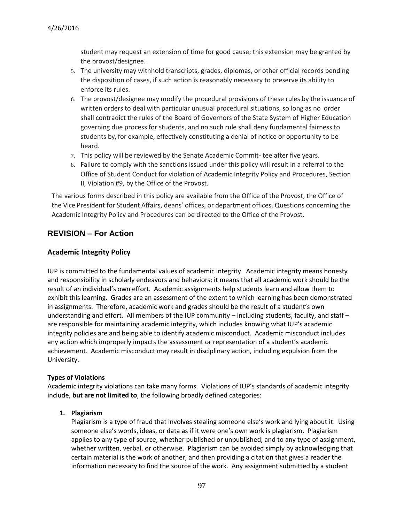student may request an extension of time for good cause; this extension may be granted by the provost/designee.

- 5. The university may withhold transcripts, grades, diplomas, or other official records pending the disposition of cases, if such action is reasonably necessary to preserve its ability to enforce its rules.
- 6. The provost/designee may modify the procedural provisions of these rules by the issuance of written orders to deal with particular unusual procedural situations, so long as no order shall contradict the rules of the Board of Governors of the State System of Higher Education governing due process for students, and no such rule shall deny fundamental fairness to students by, for example, effectively constituting a denial of notice or opportunity to be heard.
- 7. This policy will be reviewed by the Senate Academic Commit- tee after five years.
- 8. Failure to comply with the sanctions issued under this policy will result in a referral to the Office of Student Conduct for violation of Academic Integrity Policy and Procedures, Section II, Violation #9, by the Office of the Provost.

The various forms described in this policy are available from the Office of the Provost, the Office of the Vice President for Student Affairs, deans' offices, or department offices. Questions concerning the Academic Integrity Policy and Procedures can be directed to the Office of the Provost.

# **REVISION – For Action**

## **Academic Integrity Policy**

IUP is committed to the fundamental values of academic integrity. Academic integrity means honesty and responsibility in scholarly endeavors and behaviors; it means that all academic work should be the result of an individual's own effort. Academic assignments help students learn and allow them to exhibit this learning. Grades are an assessment of the extent to which learning has been demonstrated in assignments. Therefore, academic work and grades should be the result of a student's own understanding and effort. All members of the IUP community – including students, faculty, and staff – are responsible for maintaining academic integrity, which includes knowing what IUP's academic integrity policies are and being able to identify academic misconduct. Academic misconduct includes any action which improperly impacts the assessment or representation of a student's academic achievement. Academic misconduct may result in disciplinary action, including expulsion from the University.

## **Types of Violations**

Academic integrity violations can take many forms. Violations of IUP's standards of academic integrity include, **but are not limited to**, the following broadly defined categories:

## **1. Plagiarism**

Plagiarism is a type of fraud that involves stealing someone else's work and lying about it. Using someone else's words, ideas, or data as if it were one's own work is plagiarism. Plagiarism applies to any type of source, whether published or unpublished, and to any type of assignment, whether written, verbal, or otherwise. Plagiarism can be avoided simply by acknowledging that certain material is the work of another, and then providing a citation that gives a reader the information necessary to find the source of the work. Any assignment submitted by a student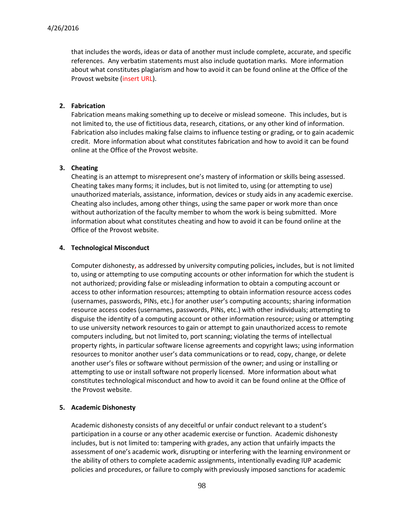that includes the words, ideas or data of another must include complete, accurate, and specific references. Any verbatim statements must also include quotation marks. More information about what constitutes plagiarism and how to avoid it can be found online at the Office of the Provost website (insert URL).

#### **2. Fabrication**

Fabrication means making something up to deceive or mislead someone. This includes, but is not limited to, the use of fictitious data, research, citations, or any other kind of information. Fabrication also includes making false claims to influence testing or grading, or to gain academic credit. More information about what constitutes fabrication and how to avoid it can be found online at the Office of the Provost website.

#### **3. Cheating**

Cheating is an attempt to misrepresent one's mastery of information or skills being assessed. Cheating takes many forms; it includes, but is not limited to, using (or attempting to use) unauthorized materials, assistance, information, devices or study aids in any academic exercise. Cheating also includes, among other things, using the same paper or work more than once without authorization of the faculty member to whom the work is being submitted. More information about what constitutes cheating and how to avoid it can be found online at the Office of the Provost website.

#### **4. Technological Misconduct**

Computer dishonesty**,** as addressed by university computing policies**,** includes, but is not limited to, using or attempting to use computing accounts or other information for which the student is not authorized; providing false or misleading information to obtain a computing account or access to other information resources; attempting to obtain information resource access codes (usernames, passwords, PINs, etc.) for another user's computing accounts; sharing information resource access codes (usernames, passwords, PINs, etc.) with other individuals; attempting to disguise the identity of a computing account or other information resource; using or attempting to use university network resources to gain or attempt to gain unauthorized access to remote computers including, but not limited to, port scanning; violating the terms of intellectual property rights, in particular software license agreements and copyright laws; using information resources to monitor another user's data communications or to read, copy, change, or delete another user's files or software without permission of the owner; and using or installing or attempting to use or install software not properly licensed. More information about what constitutes technological misconduct and how to avoid it can be found online at the Office of the Provost website.

#### **5. Academic Dishonesty**

Academic dishonesty consists of any deceitful or unfair conduct relevant to a student's participation in a course or any other academic exercise or function. Academic dishonesty includes, but is not limited to: tampering with grades, any action that unfairly impacts the assessment of one's academic work, disrupting or interfering with the learning environment or the ability of others to complete academic assignments, intentionally evading IUP academic policies and procedures, or failure to comply with previously imposed sanctions for academic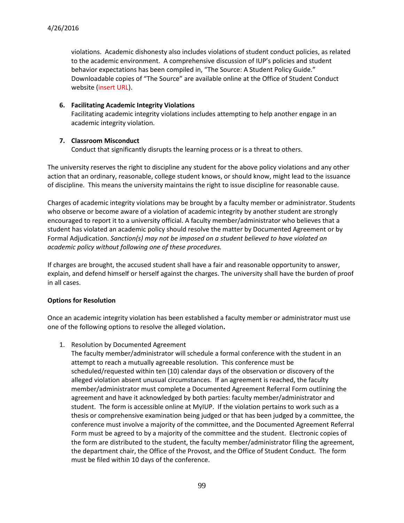violations. Academic dishonesty also includes violations of student conduct policies, as related to the academic environment. A comprehensive discussion of IUP's policies and student behavior expectations has been compiled in, "The Source: A Student Policy Guide." Downloadable copies of "The Source" are available online at the Office of Student Conduct website (insert URL).

#### **6. Facilitating Academic Integrity Violations**

Facilitating academic integrity violations includes attempting to help another engage in an academic integrity violation.

#### **7. Classroom Misconduct**

Conduct that significantly disrupts the learning process or is a threat to others.

The university reserves the right to discipline any student for the above policy violations and any other action that an ordinary, reasonable, college student knows, or should know, might lead to the issuance of discipline. This means the university maintains the right to issue discipline for reasonable cause.

Charges of academic integrity violations may be brought by a faculty member or administrator. Students who observe or become aware of a violation of academic integrity by another student are strongly encouraged to report it to a university official. A faculty member/administrator who believes that a student has violated an academic policy should resolve the matter by Documented Agreement or by Formal Adjudication. *Sanction(s) may not be imposed on a student believed to have violated an academic policy without following one of these procedures.* 

If charges are brought, the accused student shall have a fair and reasonable opportunity to answer, explain, and defend himself or herself against the charges. The university shall have the burden of proof in all cases.

#### **Options for Resolution**

Once an academic integrity violation has been established a faculty member or administrator must use one of the following options to resolve the alleged violation**.**

1. Resolution by Documented Agreement

The faculty member/administrator will schedule a formal conference with the student in an attempt to reach a mutually agreeable resolution. This conference must be scheduled/requested within ten (10) calendar days of the observation or discovery of the alleged violation absent unusual circumstances. If an agreement is reached, the faculty member/administrator must complete a Documented Agreement Referral Form outlining the agreement and have it acknowledged by both parties: faculty member/administrator and student. The form is accessible online at MyIUP. If the violation pertains to work such as a thesis or comprehensive examination being judged or that has been judged by a committee, the conference must involve a majority of the committee, and the Documented Agreement Referral Form must be agreed to by a majority of the committee and the student. Electronic copies of the form are distributed to the student, the faculty member/administrator filing the agreement, the department chair, the Office of the Provost, and the Office of Student Conduct. The form must be filed within 10 days of the conference.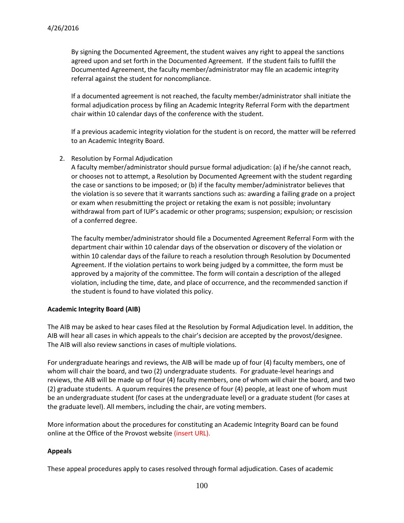By signing the Documented Agreement, the student waives any right to appeal the sanctions agreed upon and set forth in the Documented Agreement. If the student fails to fulfill the Documented Agreement, the faculty member/administrator may file an academic integrity referral against the student for noncompliance.

If a documented agreement is not reached, the faculty member/administrator shall initiate the formal adjudication process by filing an Academic Integrity Referral Form with the department chair within 10 calendar days of the conference with the student.

If a previous academic integrity violation for the student is on record, the matter will be referred to an Academic Integrity Board.

2. Resolution by Formal Adjudication

A faculty member/administrator should pursue formal adjudication: (a) if he/she cannot reach, or chooses not to attempt, a Resolution by Documented Agreement with the student regarding the case or sanctions to be imposed; or (b) if the faculty member/administrator believes that the violation is so severe that it warrants sanctions such as: awarding a failing grade on a project or exam when resubmitting the project or retaking the exam is not possible; involuntary withdrawal from part of IUP's academic or other programs; suspension; expulsion; or rescission of a conferred degree.

The faculty member/administrator should file a Documented Agreement Referral Form with the department chair within 10 calendar days of the observation or discovery of the violation or within 10 calendar days of the failure to reach a resolution through Resolution by Documented Agreement. If the violation pertains to work being judged by a committee, the form must be approved by a majority of the committee. The form will contain a description of the alleged violation, including the time, date, and place of occurrence, and the recommended sanction if the student is found to have violated this policy.

#### **Academic Integrity Board (AIB)**

The AIB may be asked to hear cases filed at the Resolution by Formal Adjudication level. In addition, the AIB will hear all cases in which appeals to the chair's decision are accepted by the provost/designee. The AIB will also review sanctions in cases of multiple violations.

For undergraduate hearings and reviews, the AIB will be made up of four (4) faculty members, one of whom will chair the board, and two (2) undergraduate students. For graduate-level hearings and reviews, the AIB will be made up of four (4) faculty members, one of whom will chair the board, and two (2) graduate students. A quorum requires the presence of four (4) people, at least one of whom must be an undergraduate student (for cases at the undergraduate level) or a graduate student (for cases at the graduate level). All members, including the chair, are voting members.

More information about the procedures for constituting an Academic Integrity Board can be found online at the Office of the Provost website (insert URL).

#### **Appeals**

These appeal procedures apply to cases resolved through formal adjudication. Cases of academic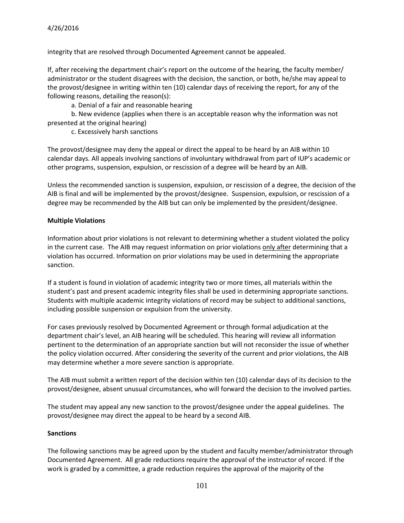integrity that are resolved through Documented Agreement cannot be appealed.

If, after receiving the department chair's report on the outcome of the hearing, the faculty member/ administrator or the student disagrees with the decision, the sanction, or both, he/she may appeal to the provost/designee in writing within ten (10) calendar days of receiving the report, for any of the following reasons, detailing the reason(s):

a. Denial of a fair and reasonable hearing

b. New evidence (applies when there is an acceptable reason why the information was not presented at the original hearing)

c. Excessively harsh sanctions

The provost/designee may deny the appeal or direct the appeal to be heard by an AIB within 10 calendar days. All appeals involving sanctions of involuntary withdrawal from part of IUP's academic or other programs, suspension, expulsion, or rescission of a degree will be heard by an AIB.

Unless the recommended sanction is suspension, expulsion, or rescission of a degree, the decision of the AIB is final and will be implemented by the provost/designee. Suspension, expulsion, or rescission of a degree may be recommended by the AIB but can only be implemented by the president/designee.

#### **Multiple Violations**

Information about prior violations is not relevant to determining whether a student violated the policy in the current case. The AIB may request information on prior violations only after determining that a violation has occurred. Information on prior violations may be used in determining the appropriate sanction.

If a student is found in violation of academic integrity two or more times, all materials within the student's past and present academic integrity files shall be used in determining appropriate sanctions. Students with multiple academic integrity violations of record may be subject to additional sanctions, including possible suspension or expulsion from the university.

For cases previously resolved by Documented Agreement or through formal adjudication at the department chair's level, an AIB hearing will be scheduled. This hearing will review all information pertinent to the determination of an appropriate sanction but will not reconsider the issue of whether the policy violation occurred. After considering the severity of the current and prior violations, the AIB may determine whether a more severe sanction is appropriate.

The AIB must submit a written report of the decision within ten (10) calendar days of its decision to the provost/designee, absent unusual circumstances, who will forward the decision to the involved parties.

The student may appeal any new sanction to the provost/designee under the appeal guidelines. The provost/designee may direct the appeal to be heard by a second AIB.

#### **Sanctions**

The following sanctions may be agreed upon by the student and faculty member/administrator through Documented Agreement. All grade reductions require the approval of the instructor of record. If the work is graded by a committee, a grade reduction requires the approval of the majority of the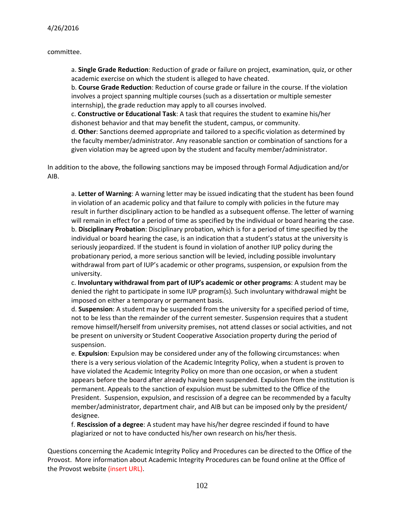committee.

a. **Single Grade Reduction**: Reduction of grade or failure on project, examination, quiz, or other academic exercise on which the student is alleged to have cheated.

b. **Course Grade Reduction**: Reduction of course grade or failure in the course. If the violation involves a project spanning multiple courses (such as a dissertation or multiple semester internship), the grade reduction may apply to all courses involved.

c. **Constructive or Educational Task**: A task that requires the student to examine his/her dishonest behavior and that may benefit the student, campus, or community.

d. **Other**: Sanctions deemed appropriate and tailored to a specific violation as determined by the faculty member/administrator. Any reasonable sanction or combination of sanctions for a given violation may be agreed upon by the student and faculty member/administrator.

In addition to the above, the following sanctions may be imposed through Formal Adjudication and/or AIB.

a. **Letter of Warning**: A warning letter may be issued indicating that the student has been found in violation of an academic policy and that failure to comply with policies in the future may result in further disciplinary action to be handled as a subsequent offense. The letter of warning will remain in effect for a period of time as specified by the individual or board hearing the case. b. **Disciplinary Probation**: Disciplinary probation, which is for a period of time specified by the individual or board hearing the case, is an indication that a student's status at the university is seriously jeopardized. If the student is found in violation of another IUP policy during the probationary period, a more serious sanction will be levied, including possible involuntary withdrawal from part of IUP's academic or other programs, suspension, or expulsion from the university.

c. **Involuntary withdrawal from part of IUP's academic or other programs**: A student may be denied the right to participate in some IUP program(s). Such involuntary withdrawal might be imposed on either a temporary or permanent basis.

d. **Suspension**: A student may be suspended from the university for a specified period of time, not to be less than the remainder of the current semester. Suspension requires that a student remove himself/herself from university premises, not attend classes or social activities, and not be present on university or Student Cooperative Association property during the period of suspension.

e. **Expulsion**: Expulsion may be considered under any of the following circumstances: when there is a very serious violation of the Academic Integrity Policy, when a student is proven to have violated the Academic Integrity Policy on more than one occasion, or when a student appears before the board after already having been suspended. Expulsion from the institution is permanent. Appeals to the sanction of expulsion must be submitted to the Office of the President. Suspension, expulsion, and rescission of a degree can be recommended by a faculty member/administrator, department chair, and AIB but can be imposed only by the president/ designee.

f. **Rescission of a degree**: A student may have his/her degree rescinded if found to have plagiarized or not to have conducted his/her own research on his/her thesis.

Questions concerning the Academic Integrity Policy and Procedures can be directed to the Office of the Provost. More information about Academic Integrity Procedures can be found online at the Office of the Provost website (insert URL).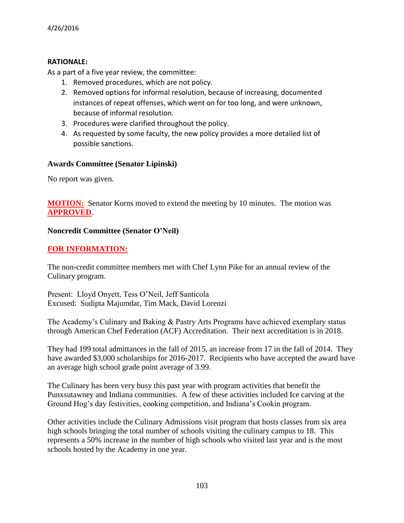## **RATIONALE:**

As a part of a five year review, the committee:

- 1. Removed procedures, which are not policy.
- 2. Removed options for informal resolution, because of increasing, documented instances of repeat offenses, which went on for too long, and were unknown, because of informal resolution.
- 3. Procedures were clarified throughout the policy.
- 4. As requested by some faculty, the new policy provides a more detailed list of possible sanctions.

# **Awards Committee (Senator Lipinski)**

No report was given.

**MOTION:** Senator Korns moved to extend the meeting by 10 minutes. The motion was **APPROVED**.

# **Noncredit Committee (Senator O'Neil)**

# **FOR INFORMATION:**

The non-credit committee members met with Chef Lynn Pike for an annual review of the Culinary program.

Present: Lloyd Onyett, Tess O'Neil, Jeff Santicola Excused: Sudipta Majumdar, Tim Mack, David Lorenzi

The Academy's Culinary and Baking & Pastry Arts Programs have achieved exemplary status through American Chef Federation (ACF) Accreditation. Their next accreditation is in 2018.

They had 199 total admittances in the fall of 2015, an increase from 17 in the fall of 2014. They have awarded \$3,000 scholarships for 2016-2017. Recipients who have accepted the award have an average high school grade point average of 3.99.

The Culinary has been very busy this past year with program activities that benefit the Punxsutawney and Indiana communities. A few of these activities included Ice carving at the Ground Hog's day festivities, cooking competition, and Indiana's Cookin program.

Other activities include the Culinary Admissions visit program that hosts classes from six area high schools bringing the total number of schools visiting the culinary campus to 18. This represents a 50% increase in the number of high schools who visited last year and is the most schools hosted by the Academy in one year.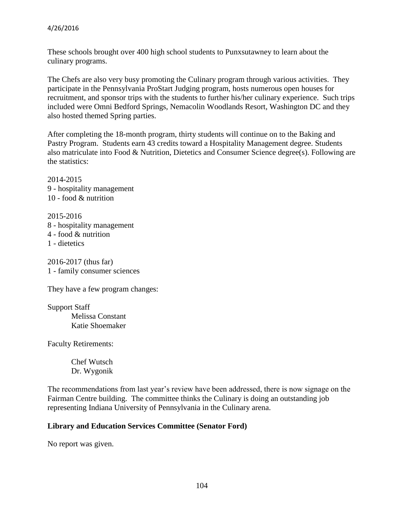These schools brought over 400 high school students to Punxsutawney to learn about the culinary programs.

The Chefs are also very busy promoting the Culinary program through various activities. They participate in the Pennsylvania ProStart Judging program, hosts numerous open houses for recruitment, and sponsor trips with the students to further his/her culinary experience. Such trips included were Omni Bedford Springs, Nemacolin Woodlands Resort, Washington DC and they also hosted themed Spring parties.

After completing the 18-month program, thirty students will continue on to the Baking and Pastry Program. Students earn 43 credits toward a Hospitality Management degree. Students also matriculate into Food & Nutrition, Dietetics and Consumer Science degree(s). Following are the statistics:

2014-2015 9 - hospitality management 10 - food & nutrition

2015-2016 8 - hospitality management 4 - food & nutrition 1 - dietetics

2016-2017 (thus far) 1 - family consumer sciences

They have a few program changes:

Support Staff Melissa Constant Katie Shoemaker

Faculty Retirements:

Chef Wutsch Dr. Wygonik

The recommendations from last year's review have been addressed, there is now signage on the Fairman Centre building. The committee thinks the Culinary is doing an outstanding job representing Indiana University of Pennsylvania in the Culinary arena.

## **Library and Education Services Committee (Senator Ford)**

No report was given.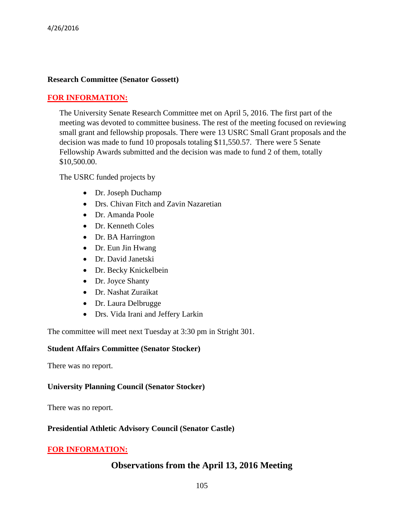## **Research Committee (Senator Gossett)**

#### **FOR INFORMATION:**

The University Senate Research Committee met on April 5, 2016. The first part of the meeting was devoted to committee business. The rest of the meeting focused on reviewing small grant and fellowship proposals. There were 13 USRC Small Grant proposals and the decision was made to fund 10 proposals totaling \$11,550.57. There were 5 Senate Fellowship Awards submitted and the decision was made to fund 2 of them, totally \$10,500.00.

The USRC funded projects by

- Dr. Joseph Duchamp
- Drs. Chivan Fitch and Zavin Nazaretian
- Dr. Amanda Poole
- Dr. Kenneth Coles
- Dr. BA Harrington
- Dr. Eun Jin Hwang
- Dr. David Janetski
- Dr. Becky Knickelbein
- Dr. Joyce Shanty
- Dr. Nashat Zuraikat
- Dr. Laura Delbrugge
- Drs. Vida Irani and Jeffery Larkin

The committee will meet next Tuesday at 3:30 pm in Stright 301.

#### **Student Affairs Committee (Senator Stocker)**

There was no report.

## **University Planning Council (Senator Stocker)**

There was no report.

## **Presidential Athletic Advisory Council (Senator Castle)**

## **FOR INFORMATION:**

# **Observations from the April 13, 2016 Meeting**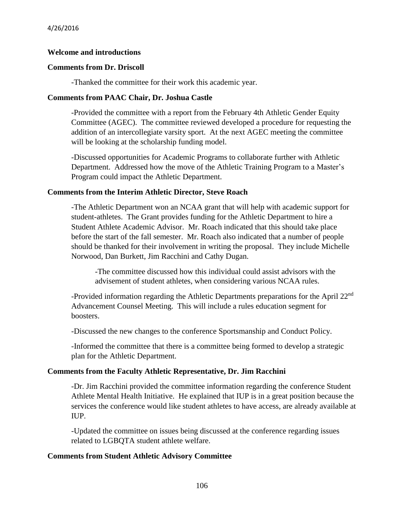#### **Welcome and introductions**

#### **Comments from Dr. Driscoll**

-Thanked the committee for their work this academic year.

#### **Comments from PAAC Chair, Dr. Joshua Castle**

-Provided the committee with a report from the February 4th Athletic Gender Equity Committee (AGEC). The committee reviewed developed a procedure for requesting the addition of an intercollegiate varsity sport. At the next AGEC meeting the committee will be looking at the scholarship funding model.

-Discussed opportunities for Academic Programs to collaborate further with Athletic Department. Addressed how the move of the Athletic Training Program to a Master's Program could impact the Athletic Department.

#### **Comments from the Interim Athletic Director, Steve Roach**

-The Athletic Department won an NCAA grant that will help with academic support for student-athletes. The Grant provides funding for the Athletic Department to hire a Student Athlete Academic Advisor. Mr. Roach indicated that this should take place before the start of the fall semester. Mr. Roach also indicated that a number of people should be thanked for their involvement in writing the proposal. They include Michelle Norwood, Dan Burkett, Jim Racchini and Cathy Dugan.

-The committee discussed how this individual could assist advisors with the advisement of student athletes, when considering various NCAA rules.

-Provided information regarding the Athletic Departments preparations for the April 22<sup>nd</sup> Advancement Counsel Meeting. This will include a rules education segment for boosters.

-Discussed the new changes to the conference Sportsmanship and Conduct Policy.

-Informed the committee that there is a committee being formed to develop a strategic plan for the Athletic Department.

#### **Comments from the Faculty Athletic Representative, Dr. Jim Racchini**

-Dr. Jim Racchini provided the committee information regarding the conference Student Athlete Mental Health Initiative. He explained that IUP is in a great position because the services the conference would like student athletes to have access, are already available at IUP.

-Updated the committee on issues being discussed at the conference regarding issues related to LGBQTA student athlete welfare.

#### **Comments from Student Athletic Advisory Committee**